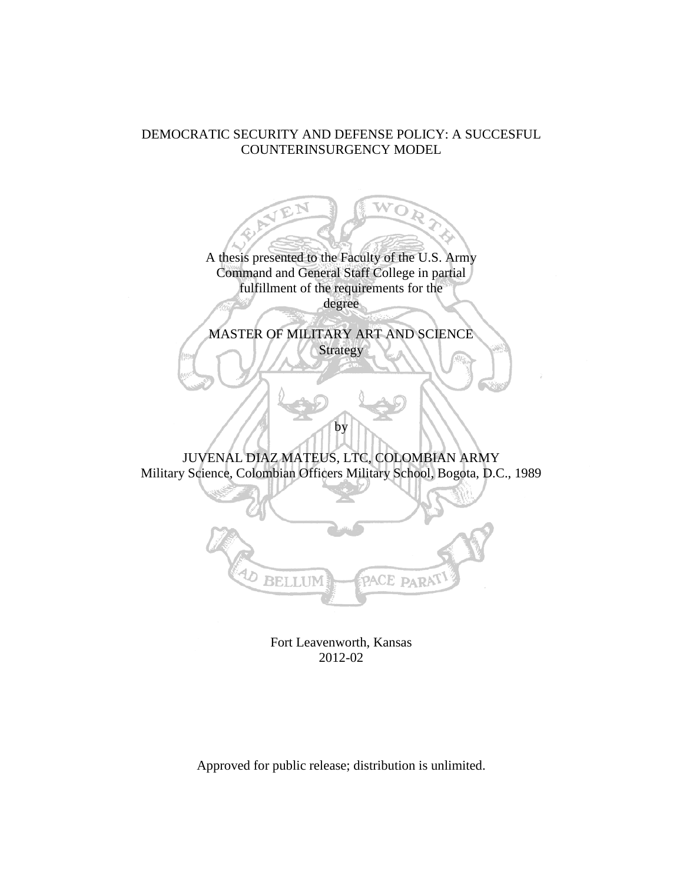## DEMOCRATIC SECURITY AND DEFENSE POLICY: A SUCCESFUL COUNTERINSURGENCY MODEL

A thesis presented to the Faculty of the U.S. Army Command and General Staff College in partial fulfillment of the requirements for the degree

MASTER OF MILITARY ART AND SCIENCE Strategy

JUVENAL DIAZ MATEUS, LTC, COLOMBIAN ARMY Military Science, Colombian Officers Military School, Bogota, D.C., 1989

by



Fort Leavenworth, Kansas 2012-02

Approved for public release; distribution is unlimited.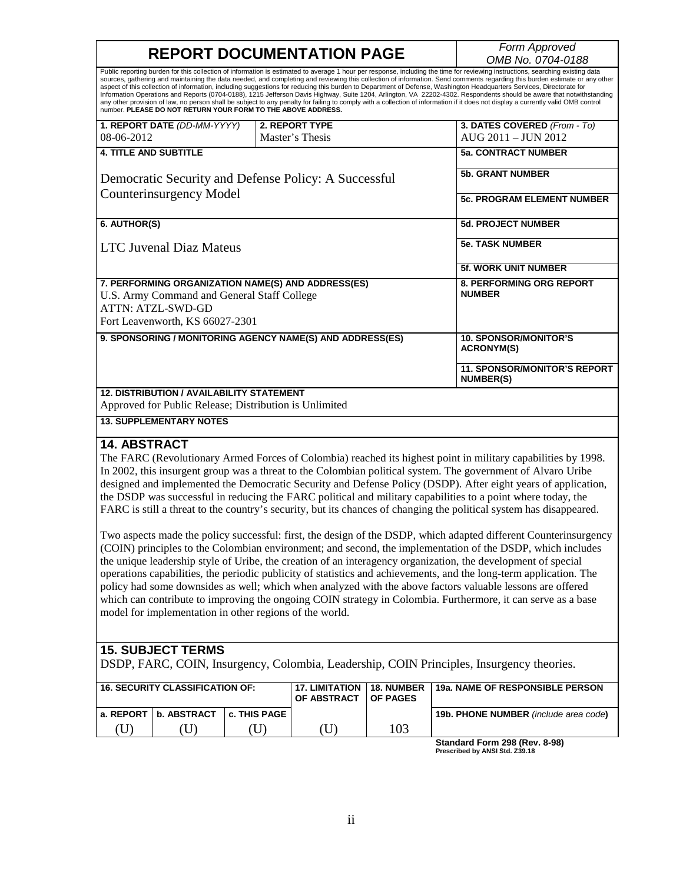# **REPORT DOCUMENTATION PAGE**

*OMB No. 0704-0188*

|                                                                                                                                                           |                                                                                                                                                                                                                                                                                                                                                                                                                                                                                                                                                                                                                                                                                                     | OMD IVO. U <i>I</i> 04-0 100                                                                                                                                                                                                                                                                                                                       |  |  |  |  |
|-----------------------------------------------------------------------------------------------------------------------------------------------------------|-----------------------------------------------------------------------------------------------------------------------------------------------------------------------------------------------------------------------------------------------------------------------------------------------------------------------------------------------------------------------------------------------------------------------------------------------------------------------------------------------------------------------------------------------------------------------------------------------------------------------------------------------------------------------------------------------------|----------------------------------------------------------------------------------------------------------------------------------------------------------------------------------------------------------------------------------------------------------------------------------------------------------------------------------------------------|--|--|--|--|
| number. PLEASE DO NOT RETURN YOUR FORM TO THE ABOVE ADDRESS.                                                                                              | Public reporting burden for this collection of information is estimated to average 1 hour per response, including the time for reviewing instructions, searching existing data<br>aspect of this collection of information, including suggestions for reducing this burden to Department of Defense, Washington Headquarters Services, Directorate for<br>any other provision of law, no person shall be subject to any penalty for failing to comply with a collection of information if it does not display a currently valid OMB control                                                                                                                                                         | sources, gathering and maintaining the data needed, and completing and reviewing this collection of information. Send comments regarding this burden estimate or any other<br>Information Operations and Reports (0704-0188), 1215 Jefferson Davis Highway, Suite 1204, Arlington, VA 22202-4302. Respondents should be aware that notwithstanding |  |  |  |  |
| 1. REPORT DATE (DD-MM-YYYY)                                                                                                                               | <b>2. REPORT TYPE</b>                                                                                                                                                                                                                                                                                                                                                                                                                                                                                                                                                                                                                                                                               | 3. DATES COVERED (From - To)                                                                                                                                                                                                                                                                                                                       |  |  |  |  |
| 08-06-2012                                                                                                                                                | Master's Thesis                                                                                                                                                                                                                                                                                                                                                                                                                                                                                                                                                                                                                                                                                     | AUG 2011 - JUN 2012                                                                                                                                                                                                                                                                                                                                |  |  |  |  |
| <b>4. TITLE AND SUBTITLE</b>                                                                                                                              |                                                                                                                                                                                                                                                                                                                                                                                                                                                                                                                                                                                                                                                                                                     | <b>5a. CONTRACT NUMBER</b>                                                                                                                                                                                                                                                                                                                         |  |  |  |  |
| Democratic Security and Defense Policy: A Successful                                                                                                      |                                                                                                                                                                                                                                                                                                                                                                                                                                                                                                                                                                                                                                                                                                     | <b>5b. GRANT NUMBER</b>                                                                                                                                                                                                                                                                                                                            |  |  |  |  |
| Counterinsurgency Model                                                                                                                                   |                                                                                                                                                                                                                                                                                                                                                                                                                                                                                                                                                                                                                                                                                                     | <b>5c. PROGRAM ELEMENT NUMBER</b>                                                                                                                                                                                                                                                                                                                  |  |  |  |  |
| 6. AUTHOR(S)                                                                                                                                              |                                                                                                                                                                                                                                                                                                                                                                                                                                                                                                                                                                                                                                                                                                     | <b>5d. PROJECT NUMBER</b>                                                                                                                                                                                                                                                                                                                          |  |  |  |  |
| <b>LTC Juvenal Diaz Mateus</b>                                                                                                                            |                                                                                                                                                                                                                                                                                                                                                                                                                                                                                                                                                                                                                                                                                                     | <b>5e. TASK NUMBER</b>                                                                                                                                                                                                                                                                                                                             |  |  |  |  |
|                                                                                                                                                           |                                                                                                                                                                                                                                                                                                                                                                                                                                                                                                                                                                                                                                                                                                     | 5f. WORK UNIT NUMBER                                                                                                                                                                                                                                                                                                                               |  |  |  |  |
| 7. PERFORMING ORGANIZATION NAME(S) AND ADDRESS(ES)<br>U.S. Army Command and General Staff College<br>ATTN: ATZL-SWD-GD<br>Fort Leavenworth, KS 66027-2301 |                                                                                                                                                                                                                                                                                                                                                                                                                                                                                                                                                                                                                                                                                                     | 8. PERFORMING ORG REPORT<br><b>NUMBER</b>                                                                                                                                                                                                                                                                                                          |  |  |  |  |
|                                                                                                                                                           | 9. SPONSORING / MONITORING AGENCY NAME(S) AND ADDRESS(ES)                                                                                                                                                                                                                                                                                                                                                                                                                                                                                                                                                                                                                                           | <b>10. SPONSOR/MONITOR'S</b><br><b>ACRONYM(S)</b>                                                                                                                                                                                                                                                                                                  |  |  |  |  |
|                                                                                                                                                           |                                                                                                                                                                                                                                                                                                                                                                                                                                                                                                                                                                                                                                                                                                     | <b>11. SPONSOR/MONITOR'S REPORT</b><br><b>NUMBER(S)</b>                                                                                                                                                                                                                                                                                            |  |  |  |  |
| <b>12. DISTRIBUTION / AVAILABILITY STATEMENT</b>                                                                                                          |                                                                                                                                                                                                                                                                                                                                                                                                                                                                                                                                                                                                                                                                                                     |                                                                                                                                                                                                                                                                                                                                                    |  |  |  |  |
| Approved for Public Release; Distribution is Unlimited                                                                                                    |                                                                                                                                                                                                                                                                                                                                                                                                                                                                                                                                                                                                                                                                                                     |                                                                                                                                                                                                                                                                                                                                                    |  |  |  |  |
| <b>13. SUPPLEMENTARY NOTES</b>                                                                                                                            |                                                                                                                                                                                                                                                                                                                                                                                                                                                                                                                                                                                                                                                                                                     |                                                                                                                                                                                                                                                                                                                                                    |  |  |  |  |
| 14. ABSTRACT                                                                                                                                              | The FARC (Revolutionary Armed Forces of Colombia) reached its highest point in military capabilities by 1998.<br>In 2002, this insurgent group was a threat to the Colombian political system. The government of Alvaro Uribe<br>designed and implemented the Democratic Security and Defense Policy (DSDP). After eight years of application,<br>the DSDP was successful in reducing the FARC political and military capabilities to a point where today, the<br>FARC is still a threat to the country's security, but its chances of changing the political system has disappeared.<br>(COIN) principles to the Colombian environment; and second, the implementation of the DSDP, which includes | Two aspects made the policy successful: first, the design of the DSDP, which adapted different Counterinsurgency                                                                                                                                                                                                                                   |  |  |  |  |
|                                                                                                                                                           | the unique leadership style of Uribe, the creation of an interagency organization, the development of special<br>operations canabilities, the periodic publicity of statistics and achievements, and the long-term application. The                                                                                                                                                                                                                                                                                                                                                                                                                                                                 |                                                                                                                                                                                                                                                                                                                                                    |  |  |  |  |

capabilities, the periodic publicity of statistics and achievements, and the long-term application. policy had some downsides as well; which when analyzed with the above factors valuable lessons are offered which can contribute to improving the ongoing COIN strategy in Colombia. Furthermore, it can serve as a base model for implementation in other regions of the world.

## **15. SUBJECT TERMS**

DSDP, FARC, COIN, Insurgency, Colombia, Leadership, COIN Principles, Insurgency theories.

| <b>16. SECURITY CLASSIFICATION OF:</b> |               |                     | <b>17. LIMITATION 18. NUMBER</b><br>OF ABSTRACT | <b>OF PAGES</b> | <b>19a. NAME OF RESPONSIBLE PERSON</b>                                      |
|----------------------------------------|---------------|---------------------|-------------------------------------------------|-----------------|-----------------------------------------------------------------------------|
| a. REPORT I                            | l b. ABSTRACT | <b>C. THIS PAGE</b> |                                                 |                 | 19b. PHONE NUMBER (include area code)                                       |
|                                        |               |                     |                                                 | 03              |                                                                             |
|                                        |               |                     |                                                 |                 | $P_{\text{total}}$ $P_{\text{model}}$ $P_{\text{model}}$ $P_{\text{total}}$ |

**Standard Form 298 (Rev. 8-98) Prescribed by ANSI Std. Z39.18**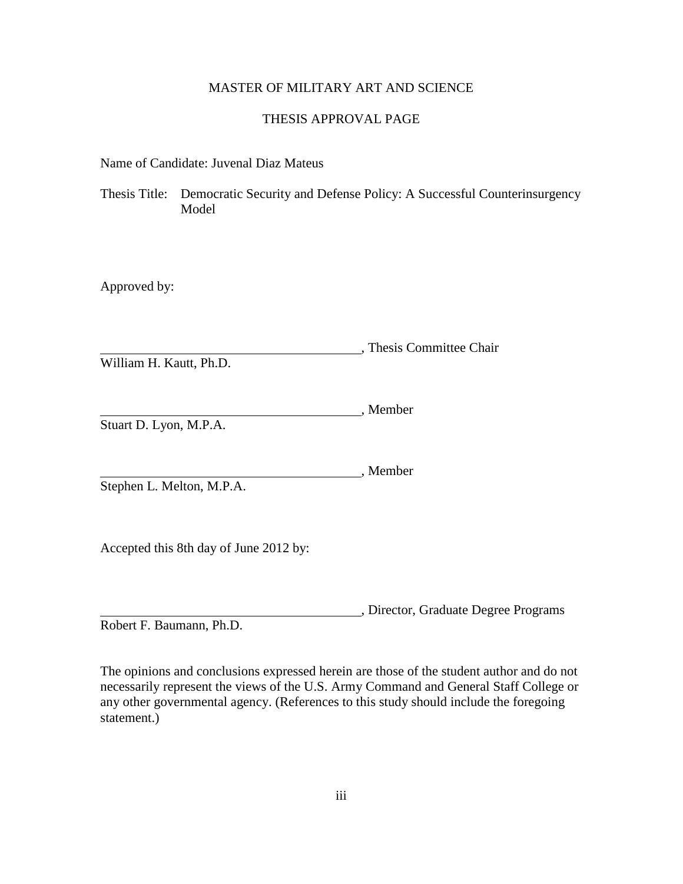## MASTER OF MILITARY ART AND SCIENCE

## THESIS APPROVAL PAGE

<span id="page-2-0"></span>Name of Candidate: Juvenal Diaz Mateus

Thesis Title: Democratic Security and Defense Policy: A Successful Counterinsurgency Model

Approved by:

**Thesis Committee Chair** William H. Kautt, Ph.D.

, Member Stuart D. Lyon, M.P.A.

, Member

Stephen L. Melton, M.P.A.

Accepted this 8th day of June 2012 by:

, Director, Graduate Degree Programs

Robert F. Baumann, Ph.D.

The opinions and conclusions expressed herein are those of the student author and do not necessarily represent the views of the U.S. Army Command and General Staff College or any other governmental agency. (References to this study should include the foregoing statement.)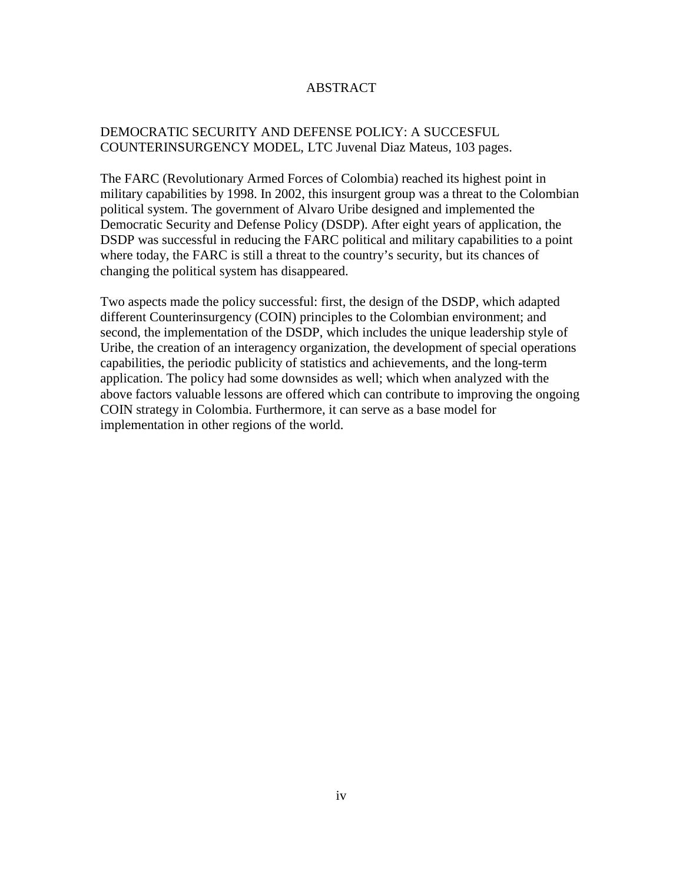## ABSTRACT

## <span id="page-3-0"></span>DEMOCRATIC SECURITY AND DEFENSE POLICY: A SUCCESFUL COUNTERINSURGENCY MODEL, LTC Juvenal Diaz Mateus, 103 pages.

The FARC (Revolutionary Armed Forces of Colombia) reached its highest point in military capabilities by 1998. In 2002, this insurgent group was a threat to the Colombian political system. The government of Alvaro Uribe designed and implemented the Democratic Security and Defense Policy (DSDP). After eight years of application, the DSDP was successful in reducing the FARC political and military capabilities to a point where today, the FARC is still a threat to the country's security, but its chances of changing the political system has disappeared.

Two aspects made the policy successful: first, the design of the DSDP, which adapted different Counterinsurgency (COIN) principles to the Colombian environment; and second, the implementation of the DSDP, which includes the unique leadership style of Uribe, the creation of an interagency organization, the development of special operations capabilities, the periodic publicity of statistics and achievements, and the long-term application. The policy had some downsides as well; which when analyzed with the above factors valuable lessons are offered which can contribute to improving the ongoing COIN strategy in Colombia. Furthermore, it can serve as a base model for implementation in other regions of the world.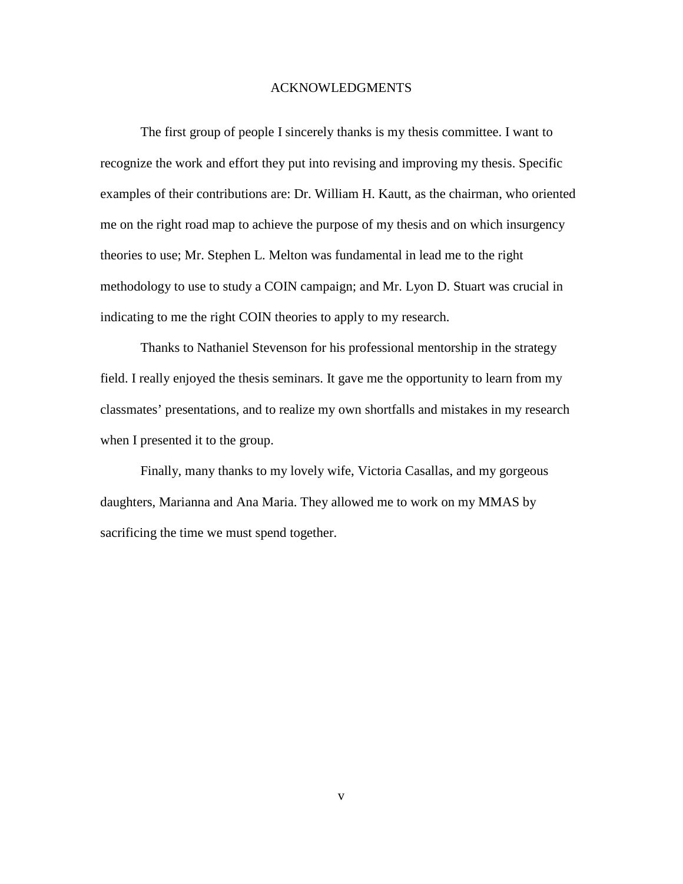#### ACKNOWLEDGMENTS

<span id="page-4-0"></span>The first group of people I sincerely thanks is my thesis committee. I want to recognize the work and effort they put into revising and improving my thesis. Specific examples of their contributions are: Dr. William H. Kautt, as the chairman, who oriented me on the right road map to achieve the purpose of my thesis and on which insurgency theories to use; Mr. Stephen L. Melton was fundamental in lead me to the right methodology to use to study a COIN campaign; and Mr. Lyon D. Stuart was crucial in indicating to me the right COIN theories to apply to my research.

Thanks to Nathaniel Stevenson for his professional mentorship in the strategy field. I really enjoyed the thesis seminars. It gave me the opportunity to learn from my classmates' presentations, and to realize my own shortfalls and mistakes in my research when I presented it to the group.

Finally, many thanks to my lovely wife, Victoria Casallas, and my gorgeous daughters, Marianna and Ana Maria. They allowed me to work on my MMAS by sacrificing the time we must spend together.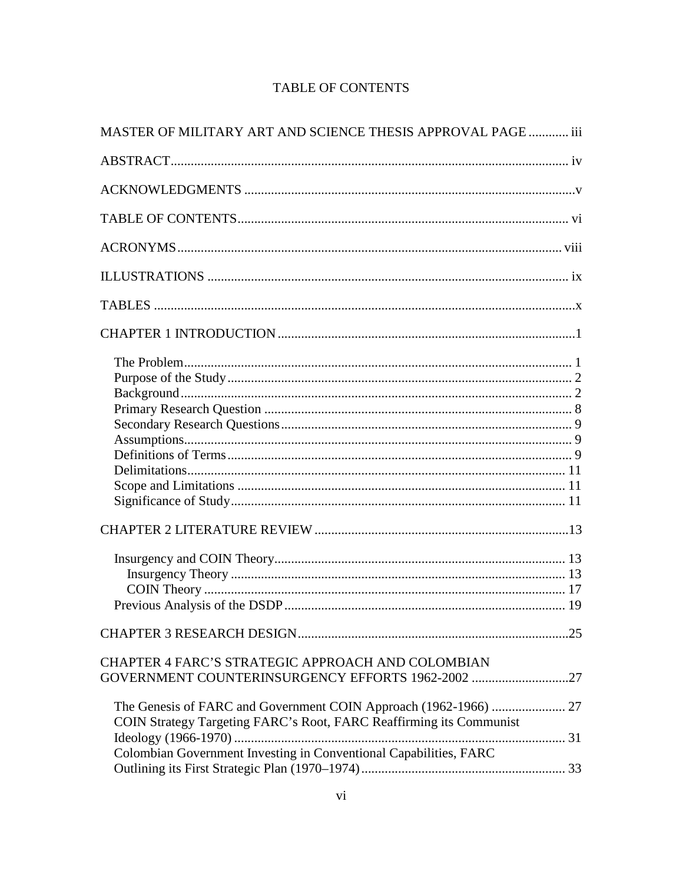<span id="page-5-0"></span>

| MASTER OF MILITARY ART AND SCIENCE THESIS APPROVAL PAGE  iii        |  |
|---------------------------------------------------------------------|--|
|                                                                     |  |
|                                                                     |  |
|                                                                     |  |
|                                                                     |  |
|                                                                     |  |
|                                                                     |  |
|                                                                     |  |
|                                                                     |  |
|                                                                     |  |
|                                                                     |  |
|                                                                     |  |
|                                                                     |  |
|                                                                     |  |
|                                                                     |  |
|                                                                     |  |
|                                                                     |  |
|                                                                     |  |
|                                                                     |  |
|                                                                     |  |
|                                                                     |  |
|                                                                     |  |
|                                                                     |  |
|                                                                     |  |
| CHAPTER 4 FARC'S STRATEGIC APPROACH AND COLOMBIAN                   |  |
| GOVERNMENT COUNTERINSURGENCY EFFORTS 1962-2002 27                   |  |
|                                                                     |  |
| COIN Strategy Targeting FARC's Root, FARC Reaffirming its Communist |  |
|                                                                     |  |
| Colombian Government Investing in Conventional Capabilities, FARC   |  |
|                                                                     |  |

## **TABLE OF CONTENTS**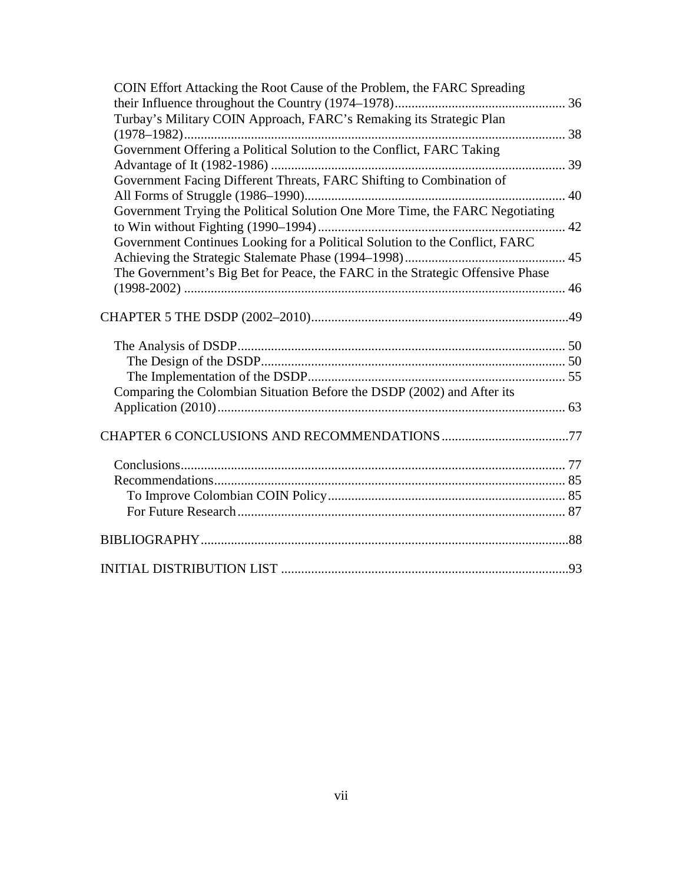| COIN Effort Attacking the Root Cause of the Problem, the FARC Spreading       |  |
|-------------------------------------------------------------------------------|--|
|                                                                               |  |
| Turbay's Military COIN Approach, FARC's Remaking its Strategic Plan           |  |
|                                                                               |  |
| Government Offering a Political Solution to the Conflict, FARC Taking         |  |
|                                                                               |  |
| Government Facing Different Threats, FARC Shifting to Combination of          |  |
|                                                                               |  |
| Government Trying the Political Solution One More Time, the FARC Negotiating  |  |
|                                                                               |  |
| Government Continues Looking for a Political Solution to the Conflict, FARC   |  |
|                                                                               |  |
| The Government's Big Bet for Peace, the FARC in the Strategic Offensive Phase |  |
|                                                                               |  |
|                                                                               |  |
|                                                                               |  |
|                                                                               |  |
|                                                                               |  |
|                                                                               |  |
| Comparing the Colombian Situation Before the DSDP (2002) and After its        |  |
|                                                                               |  |
|                                                                               |  |
|                                                                               |  |
|                                                                               |  |
|                                                                               |  |
|                                                                               |  |
|                                                                               |  |
|                                                                               |  |
|                                                                               |  |
|                                                                               |  |
|                                                                               |  |
|                                                                               |  |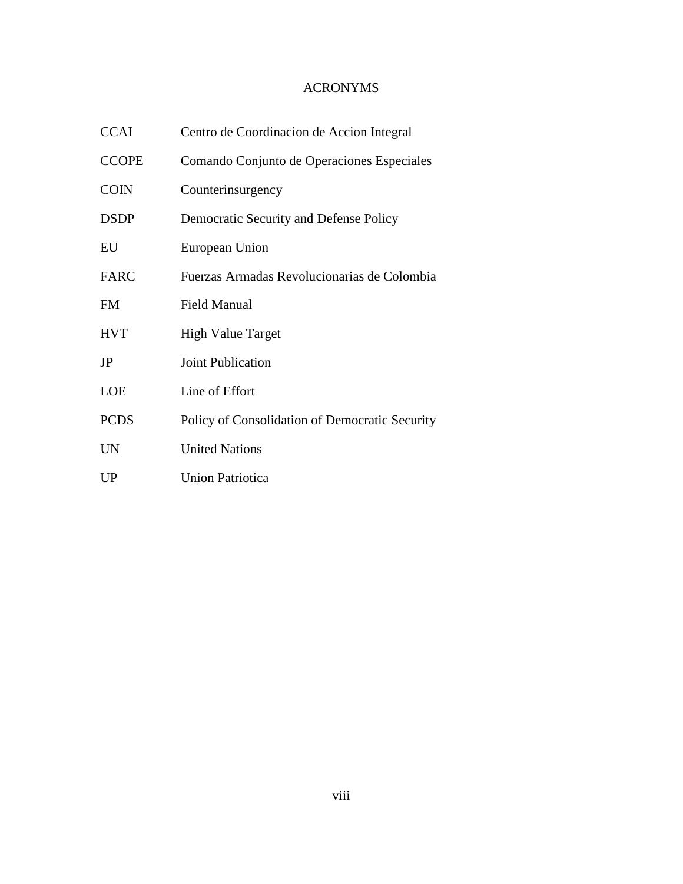## ACRONYMS

<span id="page-7-0"></span>

| <b>CCAI</b>  | Centro de Coordinacion de Accion Integral      |
|--------------|------------------------------------------------|
| <b>CCOPE</b> | Comando Conjunto de Operaciones Especiales     |
| <b>COIN</b>  | Counterinsurgency                              |
| <b>DSDP</b>  | Democratic Security and Defense Policy         |
| EU           | European Union                                 |
| <b>FARC</b>  | Fuerzas Armadas Revolucionarias de Colombia    |
| <b>FM</b>    | <b>Field Manual</b>                            |
| <b>HVT</b>   | <b>High Value Target</b>                       |
| JP           | Joint Publication                              |
| <b>LOE</b>   | Line of Effort                                 |
| <b>PCDS</b>  | Policy of Consolidation of Democratic Security |
| <b>UN</b>    | <b>United Nations</b>                          |
| UP           | <b>Union Patriotica</b>                        |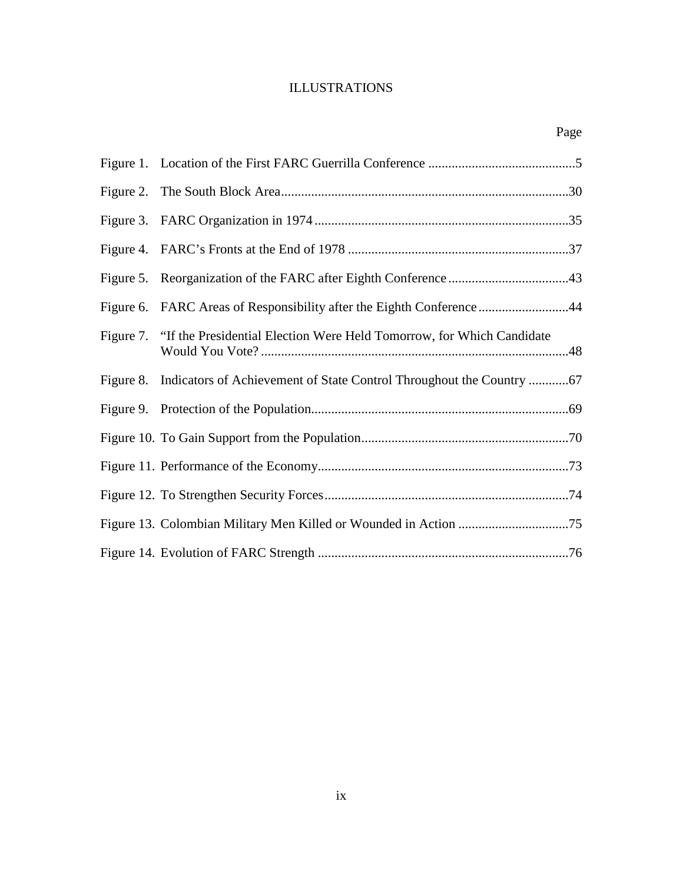## ILLUSTRATIONS

<span id="page-8-0"></span>

| Page                                                                            |  |
|---------------------------------------------------------------------------------|--|
|                                                                                 |  |
|                                                                                 |  |
|                                                                                 |  |
|                                                                                 |  |
|                                                                                 |  |
| Figure 6. FARC Areas of Responsibility after the Eighth Conference44            |  |
| Figure 7. "If the Presidential Election Were Held Tomorrow, for Which Candidate |  |
| Figure 8. Indicators of Achievement of State Control Throughout the Country     |  |
|                                                                                 |  |
|                                                                                 |  |
|                                                                                 |  |
|                                                                                 |  |

Figure 12. To Strengthen Security Forces.........................................................................74

Figure 13. Colombian Military Men Killed or Wounded in Action .................................75

Figure 14. Evolution of FARC Strength ...........................................................................76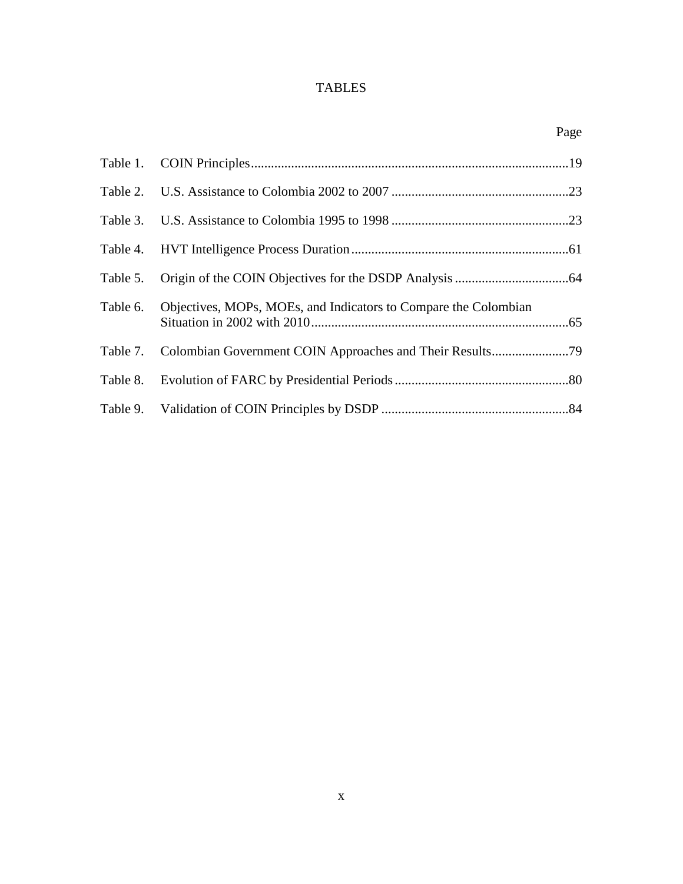## TABLES

<span id="page-9-0"></span>

|          |                                                                 | Page |
|----------|-----------------------------------------------------------------|------|
|          |                                                                 |      |
|          |                                                                 |      |
|          |                                                                 |      |
|          |                                                                 |      |
| Table 5. |                                                                 |      |
| Table 6. | Objectives, MOPs, MOEs, and Indicators to Compare the Colombian |      |
|          |                                                                 |      |
|          |                                                                 |      |
|          |                                                                 |      |
|          |                                                                 |      |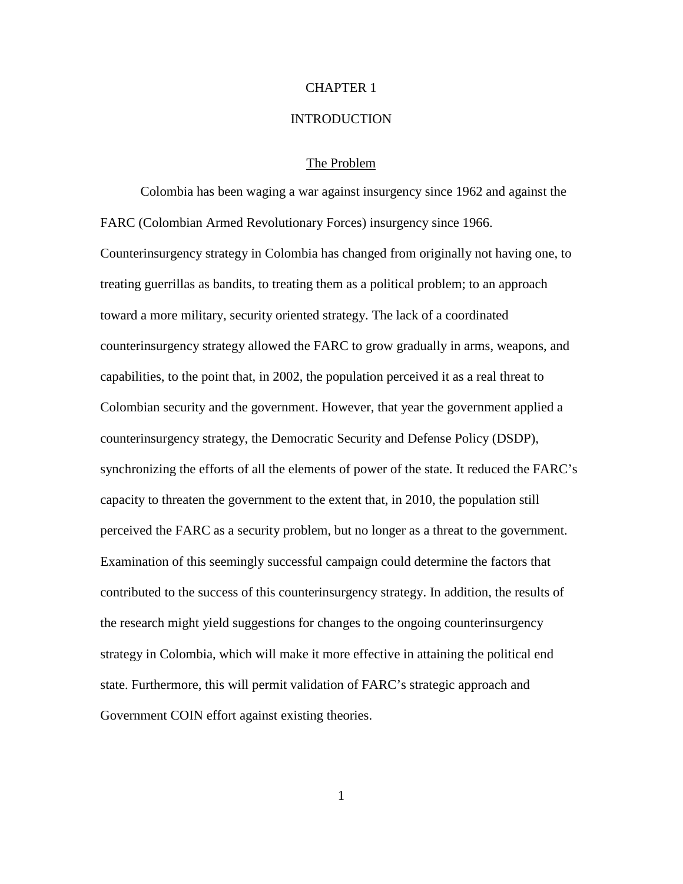## CHAPTER 1

#### **INTRODUCTION**

## The Problem

<span id="page-10-1"></span><span id="page-10-0"></span>Colombia has been waging a war against insurgency since 1962 and against the FARC (Colombian Armed Revolutionary Forces) insurgency since 1966. Counterinsurgency strategy in Colombia has changed from originally not having one, to treating guerrillas as bandits, to treating them as a political problem; to an approach toward a more military, security oriented strategy. The lack of a coordinated counterinsurgency strategy allowed the FARC to grow gradually in arms, weapons, and capabilities, to the point that, in 2002, the population perceived it as a real threat to Colombian security and the government. However, that year the government applied a counterinsurgency strategy, the Democratic Security and Defense Policy (DSDP), synchronizing the efforts of all the elements of power of the state. It reduced the FARC's capacity to threaten the government to the extent that, in 2010, the population still perceived the FARC as a security problem, but no longer as a threat to the government. Examination of this seemingly successful campaign could determine the factors that contributed to the success of this counterinsurgency strategy. In addition, the results of the research might yield suggestions for changes to the ongoing counterinsurgency strategy in Colombia, which will make it more effective in attaining the political end state. Furthermore, this will permit validation of FARC's strategic approach and Government COIN effort against existing theories.

1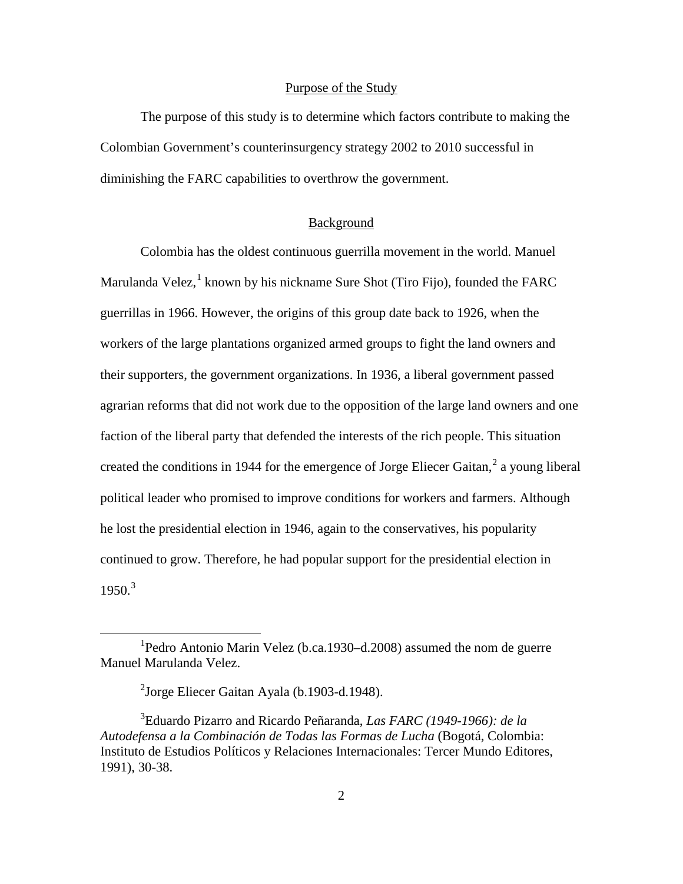#### Purpose of the Study

<span id="page-11-0"></span>The purpose of this study is to determine which factors contribute to making the Colombian Government's counterinsurgency strategy 2002 to 2010 successful in diminishing the FARC capabilities to overthrow the government.

## Background

<span id="page-11-1"></span>Colombia has the oldest continuous guerrilla movement in the world. Manuel Marulanda Velez,  $<sup>1</sup>$  $<sup>1</sup>$  $<sup>1</sup>$  known by his nickname Sure Shot (Tiro Fijo), founded the FARC</sup> guerrillas in 1966. However, the origins of this group date back to 1926, when the workers of the large plantations organized armed groups to fight the land owners and their supporters, the government organizations. In 1936, a liberal government passed agrarian reforms that did not work due to the opposition of the large land owners and one faction of the liberal party that defended the interests of the rich people. This situation created the conditions in 1944 for the emergence of Jorge Eliecer Gaitan,<sup>[2](#page-11-3)</sup> a young liberal political leader who promised to improve conditions for workers and farmers. Although he lost the presidential election in 1946, again to the conservatives, his popularity continued to grow. Therefore, he had popular support for the presidential election in  $1950.<sup>3</sup>$  $1950.<sup>3</sup>$  $1950.<sup>3</sup>$ 

<span id="page-11-2"></span><sup>&</sup>lt;u>1</u> <sup>1</sup>Pedro Antonio Marin Velez (b.ca.1930–d.2008) assumed the nom de guerre Manuel Marulanda Velez.

<sup>&</sup>lt;sup>2</sup>Jorge Eliecer Gaitan Ayala (b.1903-d.1948).

<span id="page-11-4"></span><span id="page-11-3"></span><sup>3</sup> Eduardo Pizarro and Ricardo Peñaranda, *Las FARC (1949-1966): de la Autodefensa a la Combinación de Todas las Formas de Lucha* (Bogotá, Colombia: Instituto de Estudios Políticos y Relaciones Internacionales: Tercer Mundo Editores, 1991), 30-38.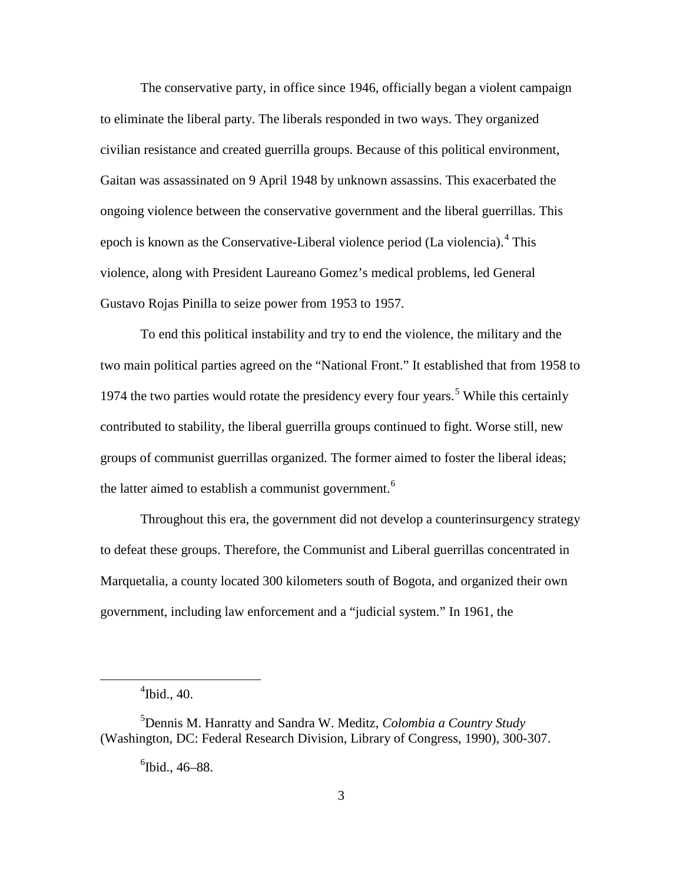The conservative party, in office since 1946, officially began a violent campaign to eliminate the liberal party. The liberals responded in two ways. They organized civilian resistance and created guerrilla groups. Because of this political environment, Gaitan was assassinated on 9 April 1948 by unknown assassins. This exacerbated the ongoing violence between the conservative government and the liberal guerrillas. This epoch is known as the Conservative-Liberal violence period (La violencia).<sup>[4](#page-12-0)</sup> This violence, along with President Laureano Gomez's medical problems, led General Gustavo Rojas Pinilla to seize power from 1953 to 1957.

To end this political instability and try to end the violence, the military and the two main political parties agreed on the "National Front." It established that from 1958 to 1974 the two parties would rotate the presidency every four years.<sup>[5](#page-12-1)</sup> While this certainly contributed to stability, the liberal guerrilla groups continued to fight. Worse still, new groups of communist guerrillas organized. The former aimed to foster the liberal ideas; the latter aimed to establish a communist government.<sup>[6](#page-12-2)</sup>

Throughout this era, the government did not develop a counterinsurgency strategy to defeat these groups. Therefore, the Communist and Liberal guerrillas concentrated in Marquetalia, a county located 300 kilometers south of Bogota, and organized their own government, including law enforcement and a "judicial system." In 1961, the

<span id="page-12-0"></span> $\frac{1}{4}$  $\rm{^4}$ Ibid., 40.

<span id="page-12-2"></span><span id="page-12-1"></span><sup>5</sup> Dennis M. Hanratty and Sandra W. Meditz, *Colombia a Country Study* (Washington, DC: Federal Research Division, Library of Congress, 1990), 300-307.

 ${}^{6}$ Ibid., 46–88.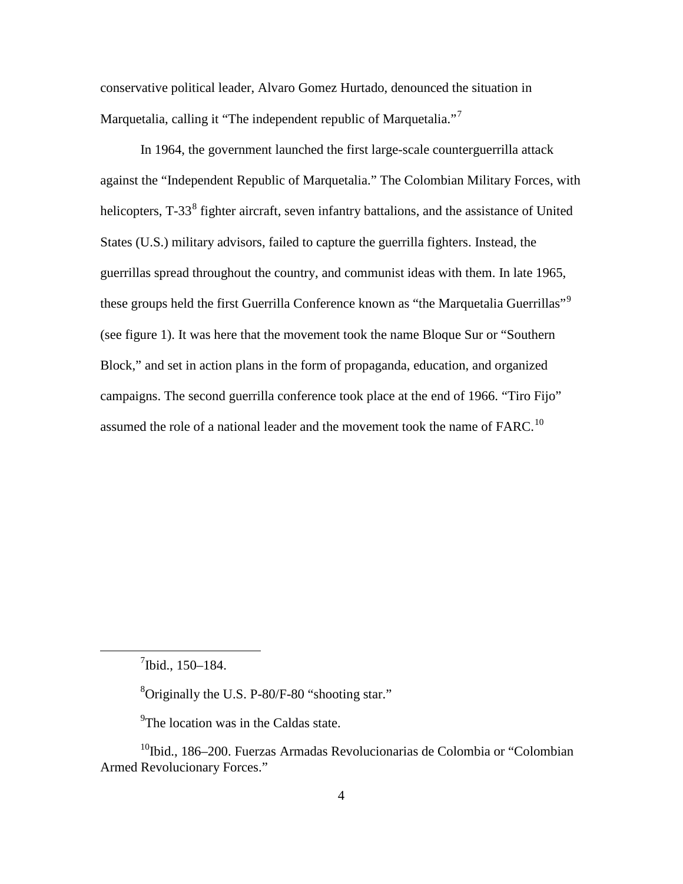conservative political leader, Alvaro Gomez Hurtado, denounced the situation in Marquetalia, calling it "The independent republic of Marquetalia."<sup>[7](#page-13-0)</sup>

In 1964, the government launched the first large-scale counterguerrilla attack against the "Independent Republic of Marquetalia." The Colombian Military Forces, with helicopters, T-33<sup>[8](#page-13-1)</sup> fighter aircraft, seven infantry battalions, and the assistance of United States (U.S.) military advisors, failed to capture the guerrilla fighters. Instead, the guerrillas spread throughout the country, and communist ideas with them. In late 1965, these groups held the first Guerrilla Conference known as "the Marquetalia Guerrillas"<sup>[9](#page-13-2)</sup> (see figure 1). It was here that the movement took the name Bloque Sur or "Southern Block," and set in action plans in the form of propaganda, education, and organized campaigns. The second guerrilla conference took place at the end of 1966. "Tiro Fijo" assumed the role of a national leader and the movement took the name of  $FARC$ .<sup>[10](#page-13-3)</sup>

<span id="page-13-1"></span><span id="page-13-0"></span> $\frac{1}{7}$  $^{7}$ Ibid., 150–184.

<sup>8</sup>Originally the U.S. P-80/F-80 "shooting star."

<sup>9</sup>The location was in the Caldas state.

<span id="page-13-3"></span><span id="page-13-2"></span> $10$ Ibid., 186–200. Fuerzas Armadas Revolucionarias de Colombia or "Colombian Armed Revolucionary Forces."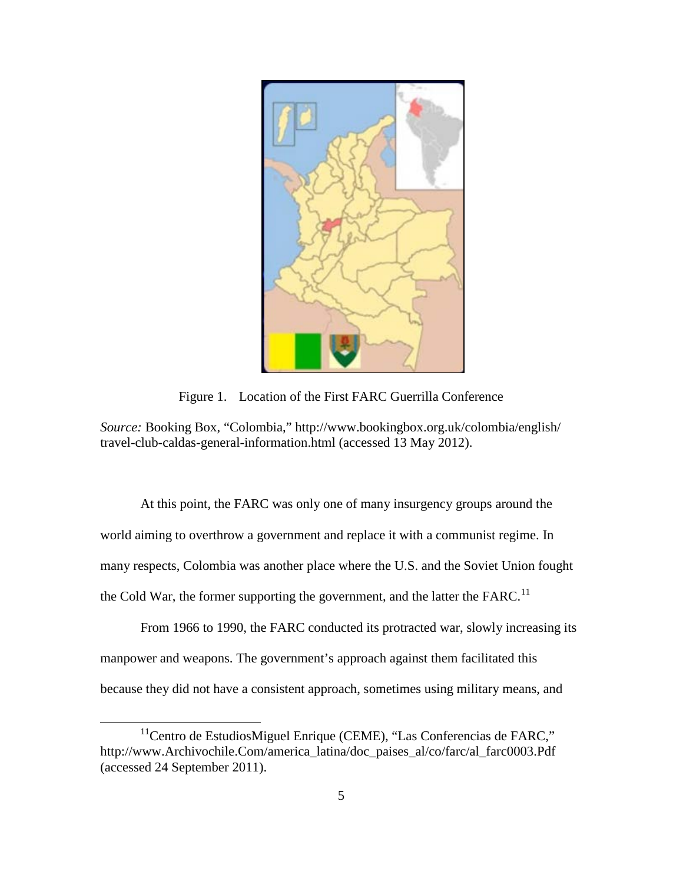

Figure 1. Location of the First FARC Guerrilla Conference

*Source:* Booking Box, "Colombia," http://www.bookingbox.org.uk/colombia/english/ travel-club-caldas-general-information.html (accessed 13 May 2012).

At this point, the FARC was only one of many insurgency groups around the world aiming to overthrow a government and replace it with a communist regime. In many respects, Colombia was another place where the U.S. and the Soviet Union fought the Cold War, the former supporting the government, and the latter the FARC.<sup>[11](#page-14-0)</sup>

From 1966 to 1990, the FARC conducted its protracted war, slowly increasing its manpower and weapons. The government's approach against them facilitated this because they did not have a consistent approach, sometimes using military means, and

<span id="page-14-0"></span> $11$ Centro de EstudiosMiguel Enrique (CEME), "Las Conferencias de FARC," http://www.Archivochile.Com/america\_latina/doc\_paises\_al/co/farc/al\_farc0003.Pdf (accessed 24 September 2011).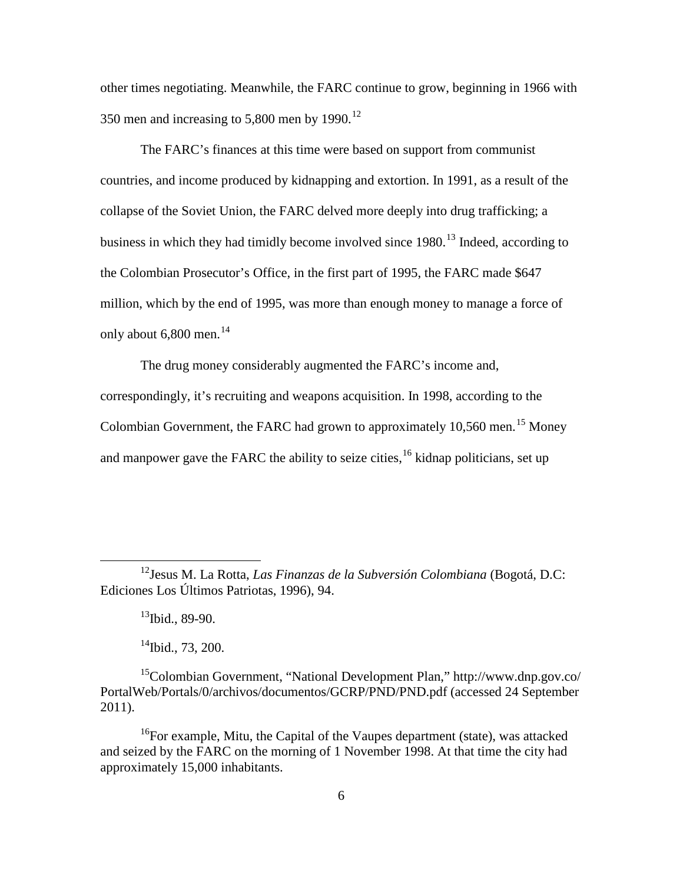other times negotiating. Meanwhile, the FARC continue to grow, beginning in 1966 with 350 men and increasing to 5,800 men by  $1990$ <sup>[12](#page-15-0)</sup>

The FARC's finances at this time were based on support from communist countries, and income produced by kidnapping and extortion. In 1991, as a result of the collapse of the Soviet Union, the FARC delved more deeply into drug trafficking; a business in which they had timidly become involved since 1980.<sup>[13](#page-15-1)</sup> Indeed, according to the Colombian Prosecutor's Office, in the first part of 1995, the FARC made \$647 million, which by the end of 1995, was more than enough money to manage a force of only about  $6,800$  men.<sup>[14](#page-15-2)</sup>

The drug money considerably augmented the FARC's income and, correspondingly, it's recruiting and weapons acquisition. In 1998, according to the Colombian Government, the FARC had grown to approximately 10,560 men.<sup>[15](#page-15-3)</sup> Money and manpower gave the FARC the ability to seize cities, <sup>[16](#page-15-4)</sup> kidnap politicians, set up

 $^{13}$ Ibid., 89-90.

 $14$ Ibid., 73, 200.

<span id="page-15-1"></span><span id="page-15-0"></span> <sup>12</sup>Jesus M. La Rotta, *Las Finanzas de la Subversión Colombiana* (Bogotá, D.C: Ediciones Los Últimos Patriotas, 1996), 94.

<span id="page-15-3"></span><span id="page-15-2"></span><sup>&</sup>lt;sup>15</sup>Colombian Government, "National Development Plan," http://www.dnp.gov.co/ PortalWeb/Portals/0/archivos/documentos/GCRP/PND/PND.pdf (accessed 24 September 2011).

<span id="page-15-4"></span><sup>&</sup>lt;sup>16</sup>For example, Mitu, the Capital of the Vaupes department (state), was attacked and seized by the FARC on the morning of 1 November 1998. At that time the city had approximately 15,000 inhabitants.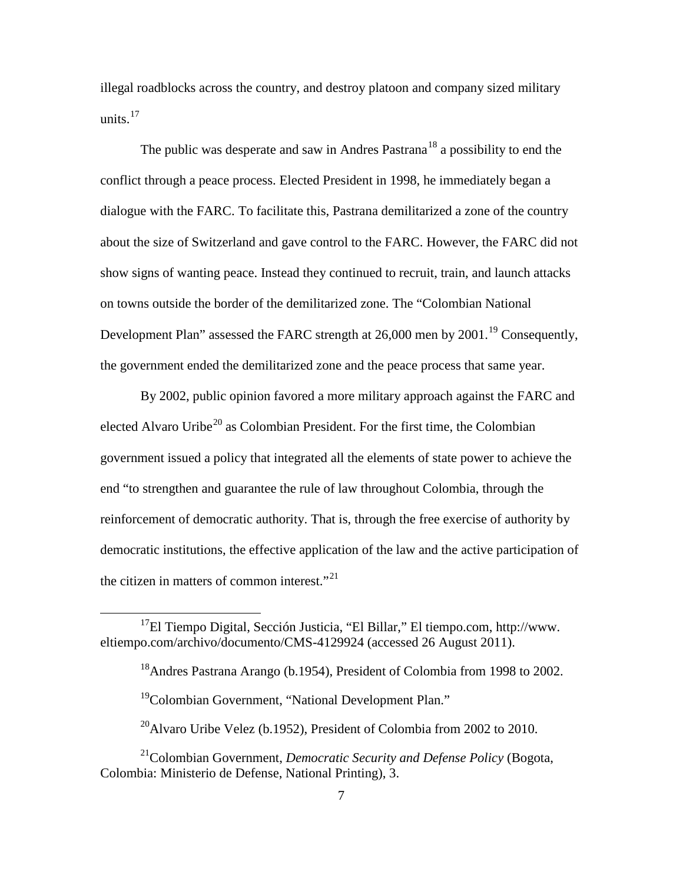illegal roadblocks across the country, and destroy platoon and company sized military units. $17$ 

The public was desperate and saw in Andres Pastrana<sup>[18](#page-16-1)</sup> a possibility to end the conflict through a peace process. Elected President in 1998, he immediately began a dialogue with the FARC. To facilitate this, Pastrana demilitarized a zone of the country about the size of Switzerland and gave control to the FARC. However, the FARC did not show signs of wanting peace. Instead they continued to recruit, train, and launch attacks on towns outside the border of the demilitarized zone. The "Colombian National Development Plan" assessed the FARC strength at 26,000 men by 2001.<sup>[19](#page-16-2)</sup> Consequently, the government ended the demilitarized zone and the peace process that same year.

By 2002, public opinion favored a more military approach against the FARC and elected Alvaro Uribe<sup>[20](#page-16-3)</sup> as Colombian President. For the first time, the Colombian government issued a policy that integrated all the elements of state power to achieve the end "to strengthen and guarantee the rule of law throughout Colombia, through the reinforcement of democratic authority. That is, through the free exercise of authority by democratic institutions, the effective application of the law and the active participation of the citizen in matters of common interest."<sup>[21](#page-16-4)</sup>

<span id="page-16-1"></span><span id="page-16-0"></span> $17$ El Tiempo Digital, Sección Justicia, "El Billar," El tiempo.com, http://www. eltiempo.com/archivo/documento/CMS-4129924 (accessed 26 August 2011).

<sup>&</sup>lt;sup>18</sup>Andres Pastrana Arango (b.1954), President of Colombia from 1998 to 2002.

<sup>&</sup>lt;sup>19</sup>Colombian Government, "National Development Plan."

 $^{20}$ Alvaro Uribe Velez (b.1952), President of Colombia from 2002 to 2010.

<span id="page-16-4"></span><span id="page-16-3"></span><span id="page-16-2"></span><sup>21</sup>Colombian Government, *Democratic Security and Defense Policy* (Bogota, Colombia: Ministerio de Defense, National Printing), 3.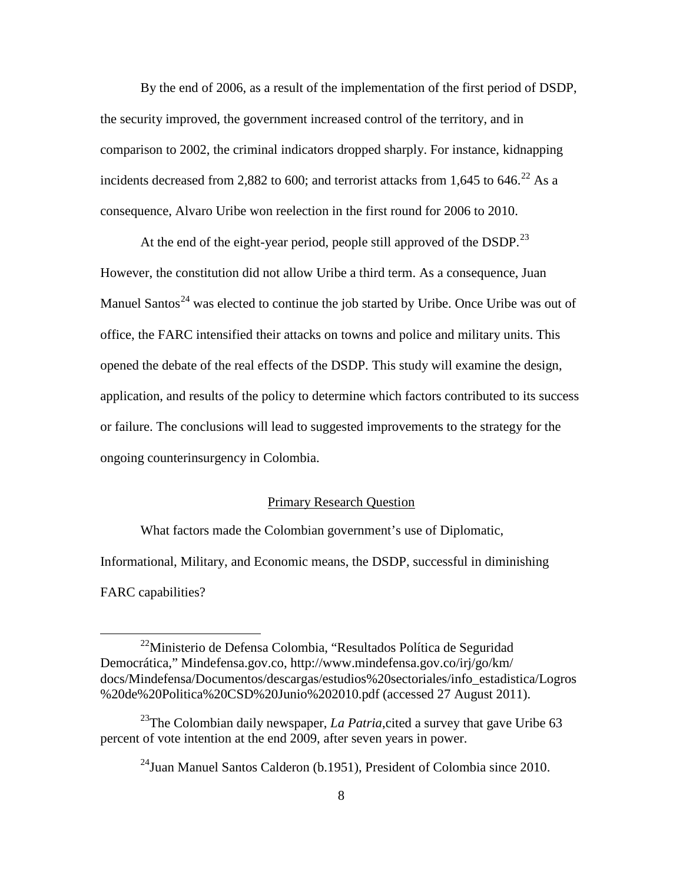By the end of 2006, as a result of the implementation of the first period of DSDP, the security improved, the government increased control of the territory, and in comparison to 2002, the criminal indicators dropped sharply. For instance, kidnapping incidents decreased from 2,882 to 600; and terrorist attacks from 1,645 to 646.<sup>[22](#page-17-1)</sup> As a consequence, Alvaro Uribe won reelection in the first round for 2006 to 2010.

At the end of the eight-year period, people still approved of the DSDP.<sup>[23](#page-17-2)</sup> However, the constitution did not allow Uribe a third term. As a consequence, Juan Manuel Santos<sup>[24](#page-17-3)</sup> was elected to continue the job started by Uribe. Once Uribe was out of office, the FARC intensified their attacks on towns and police and military units. This opened the debate of the real effects of the DSDP. This study will examine the design, application, and results of the policy to determine which factors contributed to its success or failure. The conclusions will lead to suggested improvements to the strategy for the ongoing counterinsurgency in Colombia.

## Primary Research Question

<span id="page-17-0"></span>What factors made the Colombian government's use of Diplomatic, Informational, Military, and Economic means, the DSDP, successful in diminishing FARC capabilities?

<span id="page-17-1"></span> <sup>22</sup>Ministerio de Defensa Colombia, "Resultados Política de Seguridad Democrática," Mindefensa.gov.co, http://www.mindefensa.gov.co/irj/go/km/ docs/Mindefensa/Documentos/descargas/estudios%20sectoriales/info\_estadistica/Logros %20de%20Politica%20CSD%20Junio%202010.pdf (accessed 27 August 2011).

<span id="page-17-3"></span><span id="page-17-2"></span><sup>&</sup>lt;sup>23</sup>The Colombian daily newspaper, *La Patria*, cited a survey that gave Uribe 63 percent of vote intention at the end 2009, after seven years in power.

 $^{24}$ Juan Manuel Santos Calderon (b.1951), President of Colombia since 2010.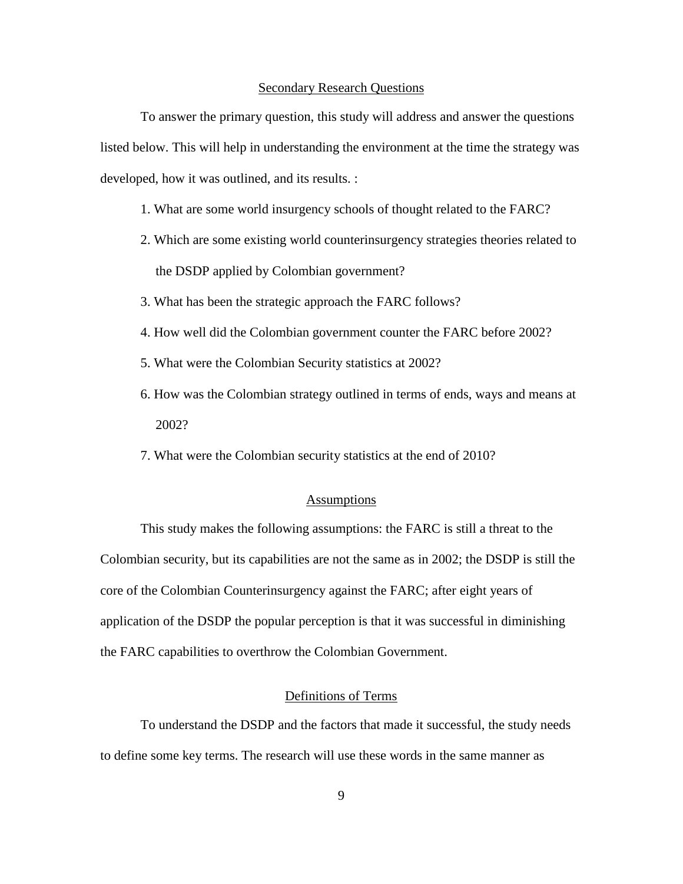#### Secondary Research Questions

<span id="page-18-0"></span>To answer the primary question, this study will address and answer the questions listed below. This will help in understanding the environment at the time the strategy was developed, how it was outlined, and its results. :

- 1. What are some world insurgency schools of thought related to the FARC?
- 2. Which are some existing world counterinsurgency strategies theories related to the DSDP applied by Colombian government?
- 3. What has been the strategic approach the FARC follows?
- 4. How well did the Colombian government counter the FARC before 2002?
- 5. What were the Colombian Security statistics at 2002?
- 6. How was the Colombian strategy outlined in terms of ends, ways and means at 2002?
- 7. What were the Colombian security statistics at the end of 2010?

#### **Assumptions**

<span id="page-18-1"></span>This study makes the following assumptions: the FARC is still a threat to the Colombian security, but its capabilities are not the same as in 2002; the DSDP is still the core of the Colombian Counterinsurgency against the FARC; after eight years of application of the DSDP the popular perception is that it was successful in diminishing the FARC capabilities to overthrow the Colombian Government.

#### Definitions of Terms

<span id="page-18-2"></span>To understand the DSDP and the factors that made it successful, the study needs to define some key terms. The research will use these words in the same manner as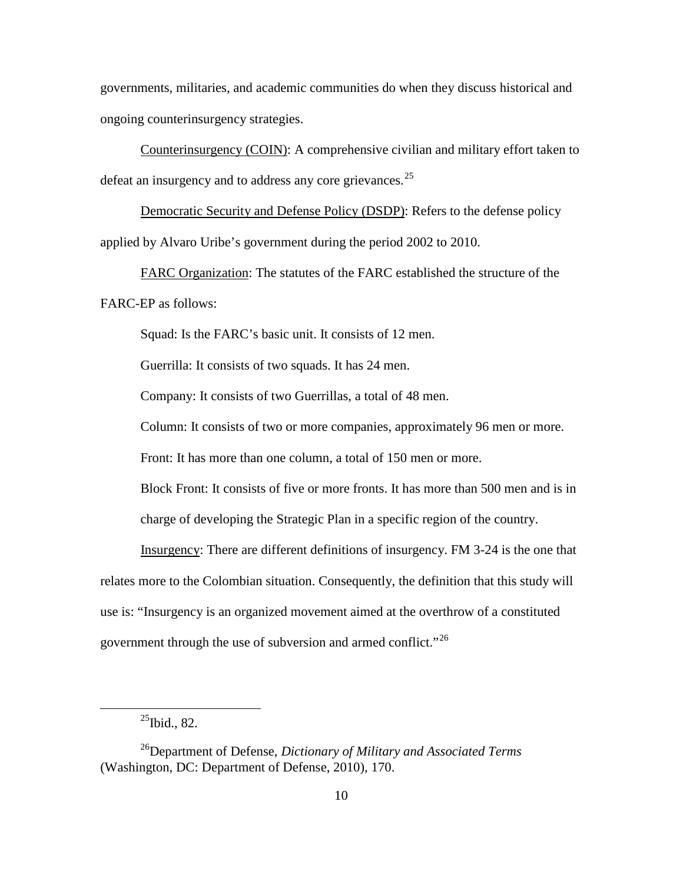governments, militaries, and academic communities do when they discuss historical and ongoing counterinsurgency strategies.

Counterinsurgency (COIN): A comprehensive civilian and military effort taken to defeat an insurgency and to address any core grievances. $25$ 

Democratic Security and Defense Policy (DSDP): Refers to the defense policy applied by Alvaro Uribe's government during the period 2002 to 2010.

FARC Organization: The statutes of the FARC established the structure of the FARC-EP as follows:

Squad: Is the FARC's basic unit. It consists of 12 men.

Guerrilla: It consists of two squads. It has 24 men.

Company: It consists of two Guerrillas, a total of 48 men.

Column: It consists of two or more companies, approximately 96 men or more.

Front: It has more than one column, a total of 150 men or more.

Block Front: It consists of five or more fronts. It has more than 500 men and is in charge of developing the Strategic Plan in a specific region of the country.

Insurgency: There are different definitions of insurgency. FM 3-24 is the one that relates more to the Colombian situation. Consequently, the definition that this study will use is: "Insurgency is an organized movement aimed at the overthrow of a constituted government through the use of subversion and armed conflict."<sup>[26](#page-19-1)</sup>

 $^{25}$ Ibid., 82.

<span id="page-19-1"></span><span id="page-19-0"></span><sup>26</sup>Department of Defense, *Dictionary of Military and Associated Terms* (Washington, DC: Department of Defense, 2010), 170.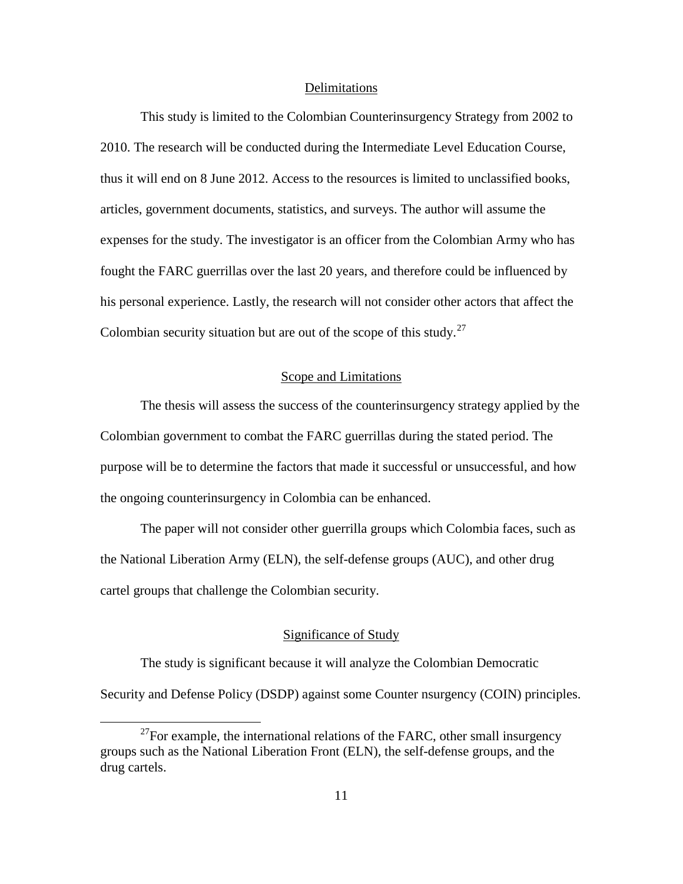#### Delimitations

<span id="page-20-0"></span>This study is limited to the Colombian Counterinsurgency Strategy from 2002 to 2010. The research will be conducted during the Intermediate Level Education Course, thus it will end on 8 June 2012. Access to the resources is limited to unclassified books, articles, government documents, statistics, and surveys. The author will assume the expenses for the study. The investigator is an officer from the Colombian Army who has fought the FARC guerrillas over the last 20 years, and therefore could be influenced by his personal experience. Lastly, the research will not consider other actors that affect the Colombian security situation but are out of the scope of this study. $27$ 

## Scope and Limitations

<span id="page-20-1"></span>The thesis will assess the success of the counterinsurgency strategy applied by the Colombian government to combat the FARC guerrillas during the stated period. The purpose will be to determine the factors that made it successful or unsuccessful, and how the ongoing counterinsurgency in Colombia can be enhanced.

The paper will not consider other guerrilla groups which Colombia faces, such as the National Liberation Army (ELN), the self-defense groups (AUC), and other drug cartel groups that challenge the Colombian security.

## Significance of Study

<span id="page-20-2"></span>The study is significant because it will analyze the Colombian Democratic Security and Defense Policy (DSDP) against some Counter nsurgency (COIN) principles.

<span id="page-20-3"></span> $^{27}$ For example, the international relations of the FARC, other small insurgency groups such as the National Liberation Front (ELN), the self-defense groups, and the drug cartels.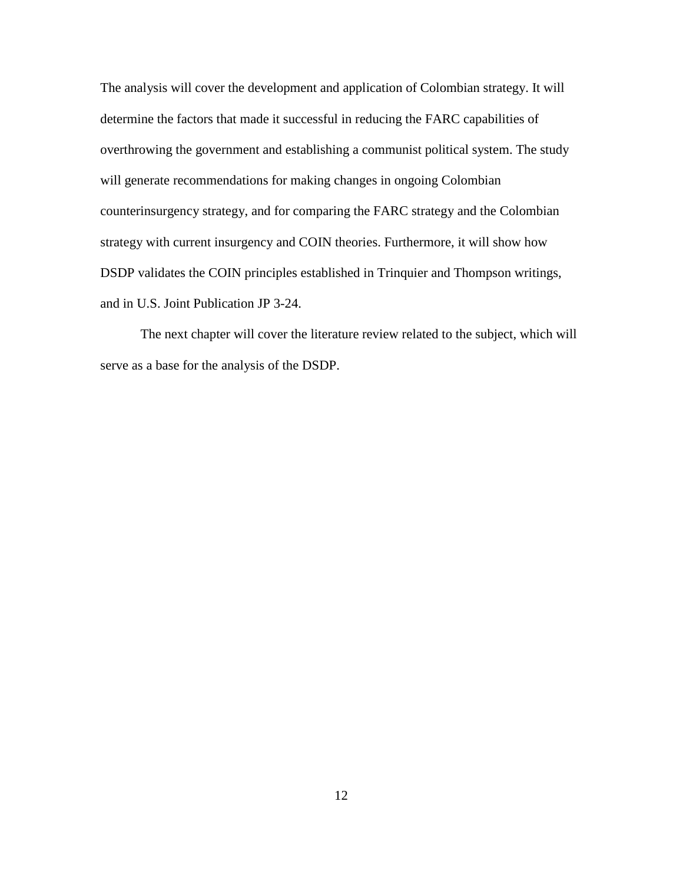The analysis will cover the development and application of Colombian strategy. It will determine the factors that made it successful in reducing the FARC capabilities of overthrowing the government and establishing a communist political system. The study will generate recommendations for making changes in ongoing Colombian counterinsurgency strategy, and for comparing the FARC strategy and the Colombian strategy with current insurgency and COIN theories. Furthermore, it will show how DSDP validates the COIN principles established in Trinquier and Thompson writings, and in U.S. Joint Publication JP 3-24.

The next chapter will cover the literature review related to the subject, which will serve as a base for the analysis of the DSDP.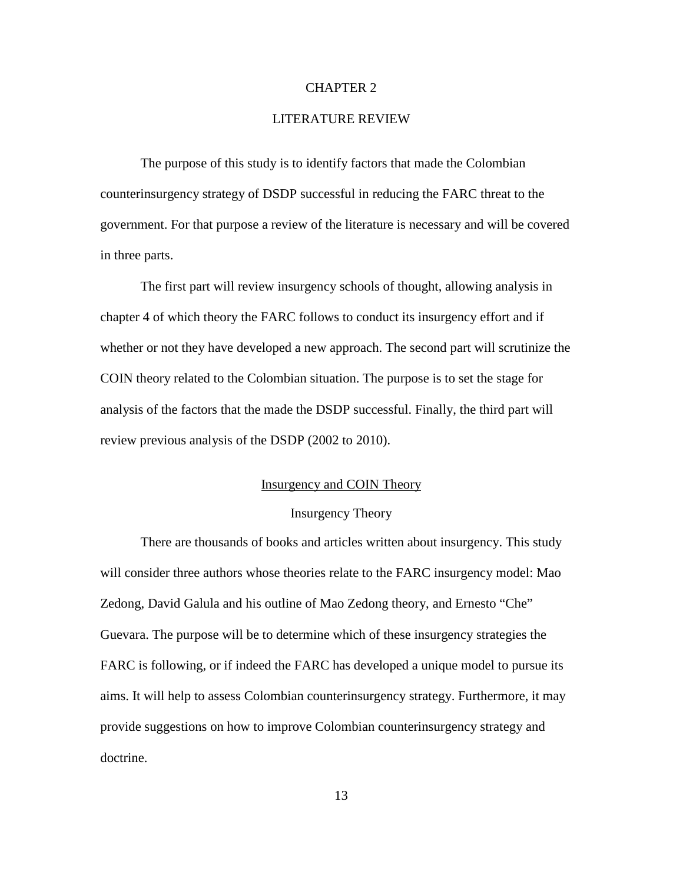## CHAPTER 2

## LITERATURE REVIEW

<span id="page-22-0"></span>The purpose of this study is to identify factors that made the Colombian counterinsurgency strategy of DSDP successful in reducing the FARC threat to the government. For that purpose a review of the literature is necessary and will be covered in three parts.

The first part will review insurgency schools of thought, allowing analysis in chapter 4 of which theory the FARC follows to conduct its insurgency effort and if whether or not they have developed a new approach. The second part will scrutinize the COIN theory related to the Colombian situation. The purpose is to set the stage for analysis of the factors that the made the DSDP successful. Finally, the third part will review previous analysis of the DSDP (2002 to 2010).

## Insurgency and COIN Theory

#### Insurgency Theory

<span id="page-22-2"></span><span id="page-22-1"></span>There are thousands of books and articles written about insurgency. This study will consider three authors whose theories relate to the FARC insurgency model: Mao Zedong, David Galula and his outline of Mao Zedong theory, and Ernesto "Che" Guevara. The purpose will be to determine which of these insurgency strategies the FARC is following, or if indeed the FARC has developed a unique model to pursue its aims. It will help to assess Colombian counterinsurgency strategy. Furthermore, it may provide suggestions on how to improve Colombian counterinsurgency strategy and doctrine.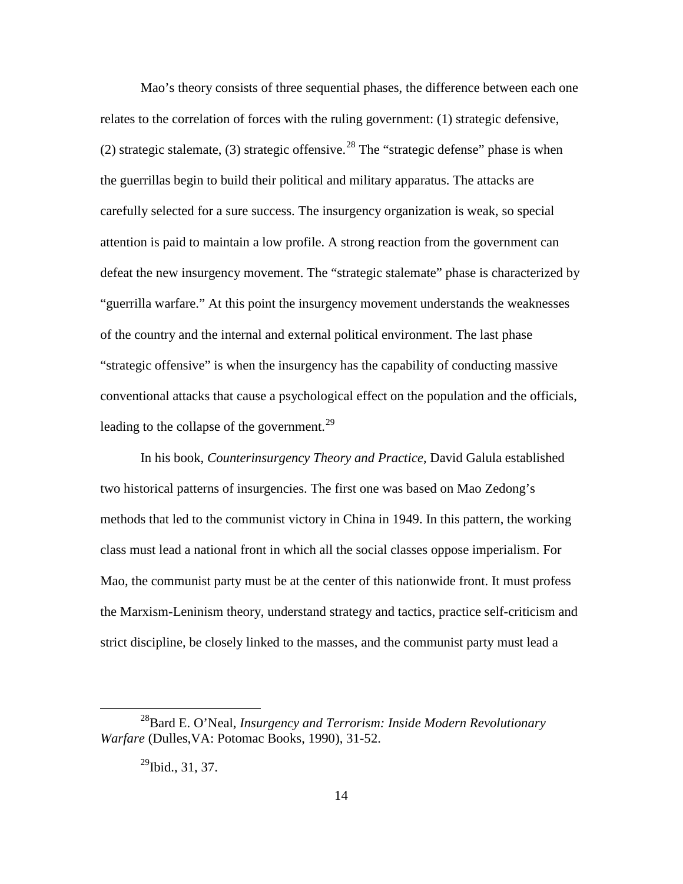Mao's theory consists of three sequential phases, the difference between each one relates to the correlation of forces with the ruling government: (1) strategic defensive, (2) strategic stalemate, (3) strategic offensive.<sup>[28](#page-23-0)</sup> The "strategic defense" phase is when the guerrillas begin to build their political and military apparatus. The attacks are carefully selected for a sure success. The insurgency organization is weak, so special attention is paid to maintain a low profile. A strong reaction from the government can defeat the new insurgency movement. The "strategic stalemate" phase is characterized by "guerrilla warfare." At this point the insurgency movement understands the weaknesses of the country and the internal and external political environment. The last phase "strategic offensive" is when the insurgency has the capability of conducting massive conventional attacks that cause a psychological effect on the population and the officials, leading to the collapse of the government.<sup>[29](#page-23-1)</sup>

In his book, *Counterinsurgency Theory and Practice*, David Galula established two historical patterns of insurgencies. The first one was based on Mao Zedong's methods that led to the communist victory in China in 1949. In this pattern, the working class must lead a national front in which all the social classes oppose imperialism. For Mao, the communist party must be at the center of this nationwide front. It must profess the Marxism-Leninism theory, understand strategy and tactics, practice self-criticism and strict discipline, be closely linked to the masses, and the communist party must lead a

<span id="page-23-1"></span><span id="page-23-0"></span> <sup>28</sup>Bard E. O'Neal, *Insurgency and Terrorism: Inside Modern Revolutionary Warfare* (Dulles,VA: Potomac Books, 1990), 31-52.

<sup>&</sup>lt;sup>29</sup>Ibid., 31, 37.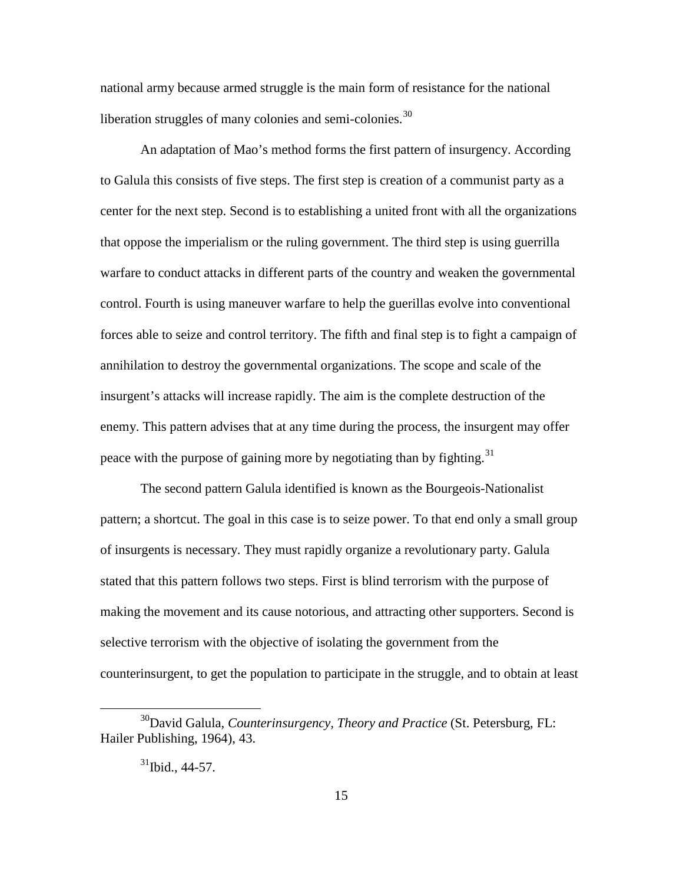national army because armed struggle is the main form of resistance for the national liberation struggles of many colonies and semi-colonies.<sup>[30](#page-24-0)</sup>

An adaptation of Mao's method forms the first pattern of insurgency. According to Galula this consists of five steps. The first step is creation of a communist party as a center for the next step. Second is to establishing a united front with all the organizations that oppose the imperialism or the ruling government. The third step is using guerrilla warfare to conduct attacks in different parts of the country and weaken the governmental control. Fourth is using maneuver warfare to help the guerillas evolve into conventional forces able to seize and control territory. The fifth and final step is to fight a campaign of annihilation to destroy the governmental organizations. The scope and scale of the insurgent's attacks will increase rapidly. The aim is the complete destruction of the enemy. This pattern advises that at any time during the process, the insurgent may offer peace with the purpose of gaining more by negotiating than by fighting.<sup>[31](#page-24-1)</sup>

The second pattern Galula identified is known as the Bourgeois-Nationalist pattern; a shortcut. The goal in this case is to seize power. To that end only a small group of insurgents is necessary. They must rapidly organize a revolutionary party. Galula stated that this pattern follows two steps. First is blind terrorism with the purpose of making the movement and its cause notorious, and attracting other supporters. Second is selective terrorism with the objective of isolating the government from the counterinsurgent, to get the population to participate in the struggle, and to obtain at least

<span id="page-24-1"></span><span id="page-24-0"></span> <sup>30</sup>David Galula, *Counterinsurgency, Theory and Practice* (St. Petersburg, FL: Hailer Publishing, 1964), 43.

 $31$ Ibid., 44-57.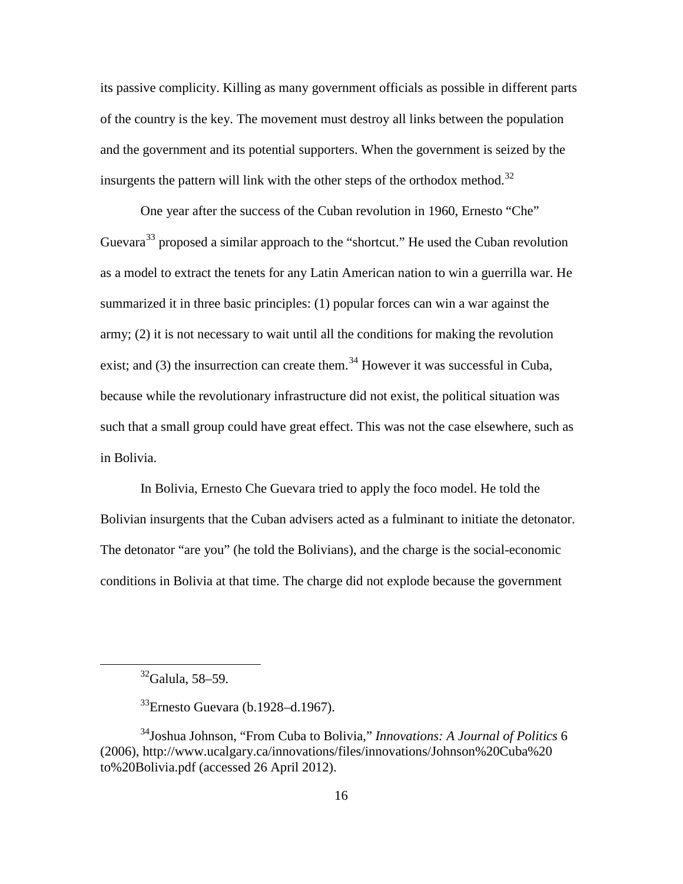its passive complicity. Killing as many government officials as possible in different parts of the country is the key. The movement must destroy all links between the population and the government and its potential supporters. When the government is seized by the insurgents the pattern will link with the other steps of the orthodox method.<sup>[32](#page-25-0)</sup>

One year after the success of the Cuban revolution in 1960, Ernesto "Che" Guevara<sup>[33](#page-25-1)</sup> proposed a similar approach to the "shortcut." He used the Cuban revolution as a model to extract the tenets for any Latin American nation to win a guerrilla war. He summarized it in three basic principles: (1) popular forces can win a war against the army; (2) it is not necessary to wait until all the conditions for making the revolution exist; and  $(3)$  the insurrection can create them.<sup>[34](#page-25-2)</sup> However it was successful in Cuba, because while the revolutionary infrastructure did not exist, the political situation was such that a small group could have great effect. This was not the case elsewhere, such as in Bolivia.

In Bolivia, Ernesto Che Guevara tried to apply the foco model. He told the Bolivian insurgents that the Cuban advisers acted as a fulminant to initiate the detonator. The detonator "are you" (he told the Bolivians), and the charge is the social-economic conditions in Bolivia at that time. The charge did not explode because the government

 $32$ Galula, 58–59.

 $33$ Ernesto Guevara (b.1928–d.1967).

<span id="page-25-2"></span><span id="page-25-1"></span><span id="page-25-0"></span><sup>34</sup>Joshua Johnson, "From Cuba to Bolivia," *Innovations: A Journal of Politics* 6 (2006), http://www.ucalgary.ca/innovations/files/innovations/Johnson%20Cuba%20 to%20Bolivia.pdf (accessed 26 April 2012).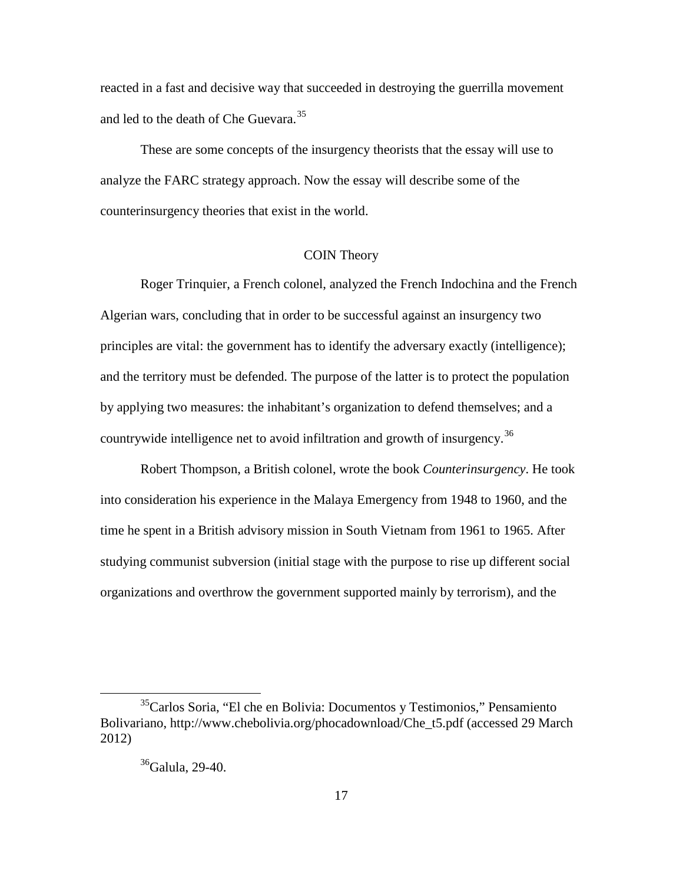reacted in a fast and decisive way that succeeded in destroying the guerrilla movement and led to the death of Che Guevara.<sup>[35](#page-26-1)</sup>

These are some concepts of the insurgency theorists that the essay will use to analyze the FARC strategy approach. Now the essay will describe some of the counterinsurgency theories that exist in the world.

## COIN Theory

<span id="page-26-0"></span>Roger Trinquier, a French colonel, analyzed the French Indochina and the French Algerian wars, concluding that in order to be successful against an insurgency two principles are vital: the government has to identify the adversary exactly (intelligence); and the territory must be defended. The purpose of the latter is to protect the population by applying two measures: the inhabitant's organization to defend themselves; and a countrywide intelligence net to avoid infiltration and growth of insurgency.<sup>[36](#page-26-2)</sup>

Robert Thompson, a British colonel, wrote the book *Counterinsurgency*. He took into consideration his experience in the Malaya Emergency from 1948 to 1960, and the time he spent in a British advisory mission in South Vietnam from 1961 to 1965. After studying communist subversion (initial stage with the purpose to rise up different social organizations and overthrow the government supported mainly by terrorism), and the

<span id="page-26-2"></span><span id="page-26-1"></span> <sup>35</sup>Carlos Soria, "El che en Bolivia: Documentos y Testimonios," Pensamiento Bolivariano, http://www.chebolivia.org/phocadownload/Che\_t5.pdf (accessed 29 March 2012)

<sup>&</sup>lt;sup>36</sup>Galula, 29-40.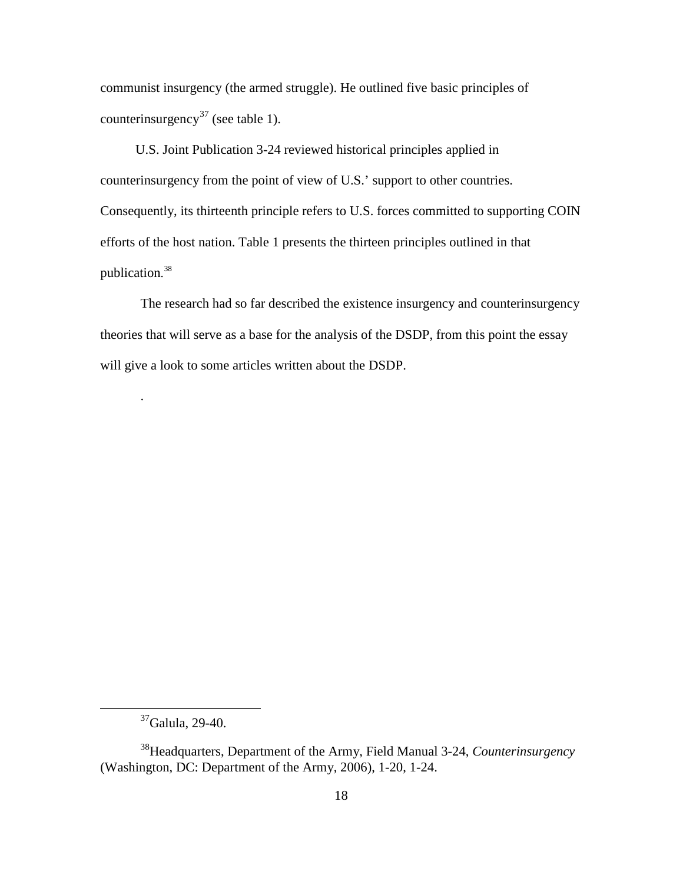communist insurgency (the armed struggle). He outlined five basic principles of counterinsurgency<sup>[37](#page-27-0)</sup> (see table 1).

U.S. Joint Publication 3-24 reviewed historical principles applied in counterinsurgency from the point of view of U.S.' support to other countries. Consequently, its thirteenth principle refers to U.S. forces committed to supporting COIN efforts of the host nation. Table 1 presents the thirteen principles outlined in that publication. [38](#page-27-1)

The research had so far described the existence insurgency and counterinsurgency theories that will serve as a base for the analysis of the DSDP, from this point the essay will give a look to some articles written about the DSDP.

.

 <sup>37</sup>Galula, 29-40.

<span id="page-27-1"></span><span id="page-27-0"></span><sup>38</sup>Headquarters, Department of the Army, Field Manual 3-24, *Counterinsurgency* (Washington, DC: Department of the Army, 2006), 1-20, 1-24.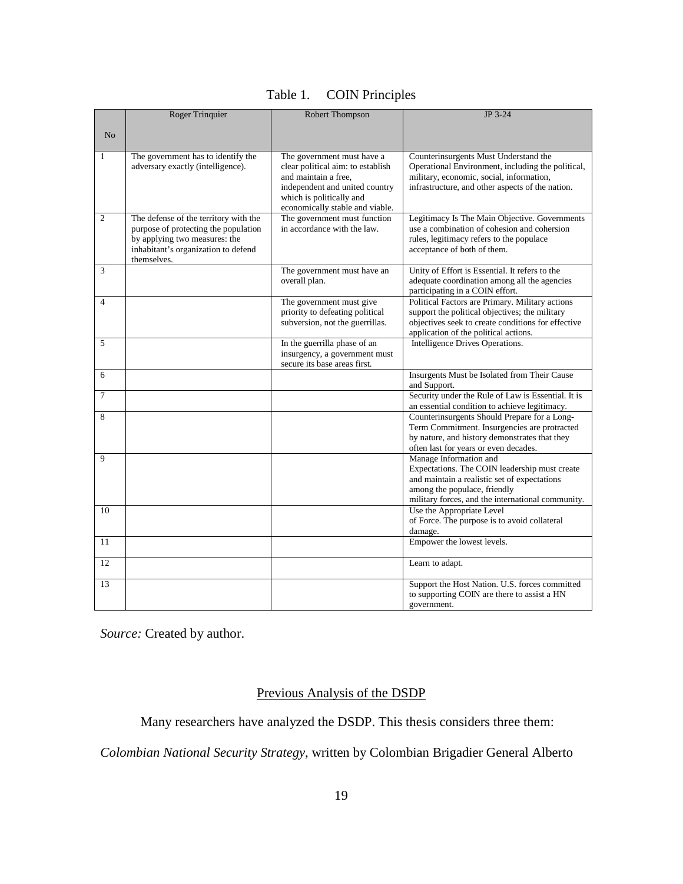|                | Roger Trinquier                       | Robert Thompson                                             | JP 3-24                                                                                     |
|----------------|---------------------------------------|-------------------------------------------------------------|---------------------------------------------------------------------------------------------|
|                |                                       |                                                             |                                                                                             |
| N <sub>o</sub> |                                       |                                                             |                                                                                             |
|                |                                       |                                                             |                                                                                             |
| $\mathbf{1}$   | The government has to identify the    | The government must have a                                  | Counterinsurgents Must Understand the                                                       |
|                | adversary exactly (intelligence).     | clear political aim: to establish                           | Operational Environment, including the political,                                           |
|                |                                       | and maintain a free.                                        | military, economic, social, information,                                                    |
|                |                                       | independent and united country                              | infrastructure, and other aspects of the nation.                                            |
|                |                                       | which is politically and<br>economically stable and viable. |                                                                                             |
| $\overline{2}$ | The defense of the territory with the | The government must function                                | Legitimacy Is The Main Objective. Governments                                               |
|                | purpose of protecting the population  | in accordance with the law.                                 | use a combination of cohesion and cohersion                                                 |
|                | by applying two measures: the         |                                                             | rules, legitimacy refers to the populace                                                    |
|                | inhabitant's organization to defend   |                                                             | acceptance of both of them.                                                                 |
|                | themselves.                           |                                                             |                                                                                             |
| 3              |                                       | The government must have an                                 | Unity of Effort is Essential. It refers to the                                              |
|                |                                       | overall plan.                                               | adequate coordination among all the agencies                                                |
|                |                                       |                                                             | participating in a COIN effort.                                                             |
| $\overline{4}$ |                                       | The government must give                                    | Political Factors are Primary. Military actions                                             |
|                |                                       | priority to defeating political                             | support the political objectives; the military                                              |
|                |                                       | subversion, not the guerrillas.                             | objectives seek to create conditions for effective<br>application of the political actions. |
| 5              |                                       | In the guerrilla phase of an                                | Intelligence Drives Operations.                                                             |
|                |                                       | insurgency, a government must                               |                                                                                             |
|                |                                       | secure its base areas first.                                |                                                                                             |
| 6              |                                       |                                                             | Insurgents Must be Isolated from Their Cause                                                |
|                |                                       |                                                             | and Support.                                                                                |
| $\overline{7}$ |                                       |                                                             | Security under the Rule of Law is Essential. It is                                          |
|                |                                       |                                                             | an essential condition to achieve legitimacy.                                               |
| 8              |                                       |                                                             | Counterinsurgents Should Prepare for a Long-                                                |
|                |                                       |                                                             | Term Commitment. Insurgencies are protracted                                                |
|                |                                       |                                                             | by nature, and history demonstrates that they<br>often last for years or even decades.      |
| 9              |                                       |                                                             | Manage Information and                                                                      |
|                |                                       |                                                             | Expectations. The COIN leadership must create                                               |
|                |                                       |                                                             | and maintain a realistic set of expectations                                                |
|                |                                       |                                                             | among the populace, friendly                                                                |
|                |                                       |                                                             | military forces, and the international community.                                           |
| 10             |                                       |                                                             | Use the Appropriate Level                                                                   |
|                |                                       |                                                             | of Force. The purpose is to avoid collateral                                                |
|                |                                       |                                                             | damage.                                                                                     |
| 11             |                                       |                                                             | Empower the lowest levels.                                                                  |
| 12             |                                       |                                                             | Learn to adapt.                                                                             |
|                |                                       |                                                             |                                                                                             |
| 13             |                                       |                                                             | Support the Host Nation. U.S. forces committed                                              |
|                |                                       |                                                             | to supporting COIN are there to assist a HN                                                 |
|                |                                       |                                                             | government.                                                                                 |

<span id="page-28-0"></span>*Source:* Created by author.

## Previous Analysis of the DSDP

Many researchers have analyzed the DSDP. This thesis considers three them:

*Colombian National Security Strategy*, written by Colombian Brigadier General Alberto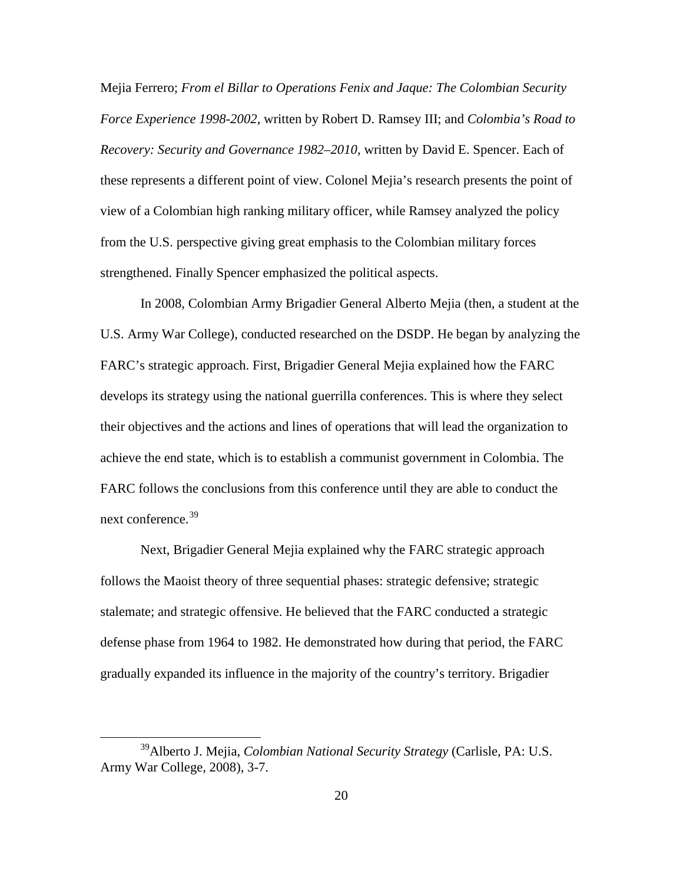Mejia Ferrero; *From el Billar to Operations Fenix and Jaque: The Colombian Security Force Experience 1998-2002*, written by Robert D. Ramsey III; and *Colombia's Road to Recovery: Security and Governance 1982–2010*, written by David E. Spencer. Each of these represents a different point of view. Colonel Mejia's research presents the point of view of a Colombian high ranking military officer, while Ramsey analyzed the policy from the U.S. perspective giving great emphasis to the Colombian military forces strengthened. Finally Spencer emphasized the political aspects.

In 2008, Colombian Army Brigadier General Alberto Mejia (then, a student at the U.S. Army War College), conducted researched on the DSDP. He began by analyzing the FARC's strategic approach. First, Brigadier General Mejia explained how the FARC develops its strategy using the national guerrilla conferences. This is where they select their objectives and the actions and lines of operations that will lead the organization to achieve the end state, which is to establish a communist government in Colombia. The FARC follows the conclusions from this conference until they are able to conduct the next conference. [39](#page-29-0)

Next, Brigadier General Mejia explained why the FARC strategic approach follows the Maoist theory of three sequential phases: strategic defensive; strategic stalemate; and strategic offensive. He believed that the FARC conducted a strategic defense phase from 1964 to 1982. He demonstrated how during that period, the FARC gradually expanded its influence in the majority of the country's territory. Brigadier

<span id="page-29-0"></span> <sup>39</sup>Alberto J. Mejia, *Colombian National Security Strategy* (Carlisle, PA: U.S. Army War College, 2008), 3-7.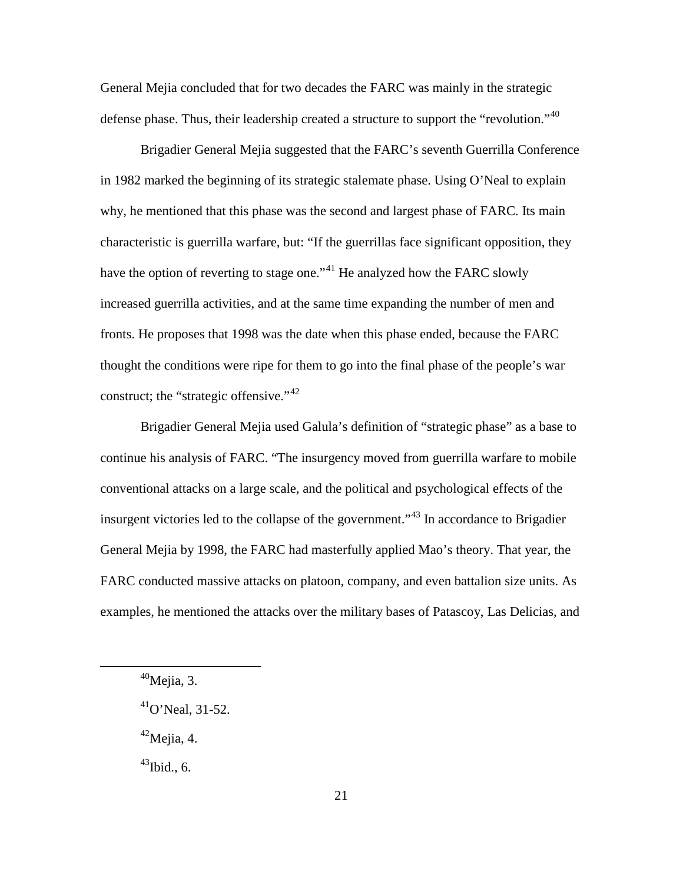General Mejia concluded that for two decades the FARC was mainly in the strategic defense phase. Thus, their leadership created a structure to support the "revolution."<sup>[40](#page-30-0)</sup>

Brigadier General Mejia suggested that the FARC's seventh Guerrilla Conference in 1982 marked the beginning of its strategic stalemate phase. Using O'Neal to explain why, he mentioned that this phase was the second and largest phase of FARC. Its main characteristic is guerrilla warfare, but: "If the guerrillas face significant opposition, they have the option of reverting to stage one."<sup>[41](#page-30-1)</sup> He analyzed how the FARC slowly increased guerrilla activities, and at the same time expanding the number of men and fronts. He proposes that 1998 was the date when this phase ended, because the FARC thought the conditions were ripe for them to go into the final phase of the people's war construct; the "strategic offensive."<sup>[42](#page-30-2)</sup>

Brigadier General Mejia used Galula's definition of "strategic phase" as a base to continue his analysis of FARC. "The insurgency moved from guerrilla warfare to mobile conventional attacks on a large scale, and the political and psychological effects of the insurgent victories led to the collapse of the government."[43](#page-30-3) In accordance to Brigadier General Mejia by 1998, the FARC had masterfully applied Mao's theory. That year, the FARC conducted massive attacks on platoon, company, and even battalion size units. As examples, he mentioned the attacks over the military bases of Patascoy, Las Delicias, and

<span id="page-30-3"></span> $43$ Ibid., 6.

<span id="page-30-0"></span> $40$ Mejia, 3.

<span id="page-30-1"></span> $^{41}$ O'Neal, 31-52.

<span id="page-30-2"></span> $42$ Mejia, 4.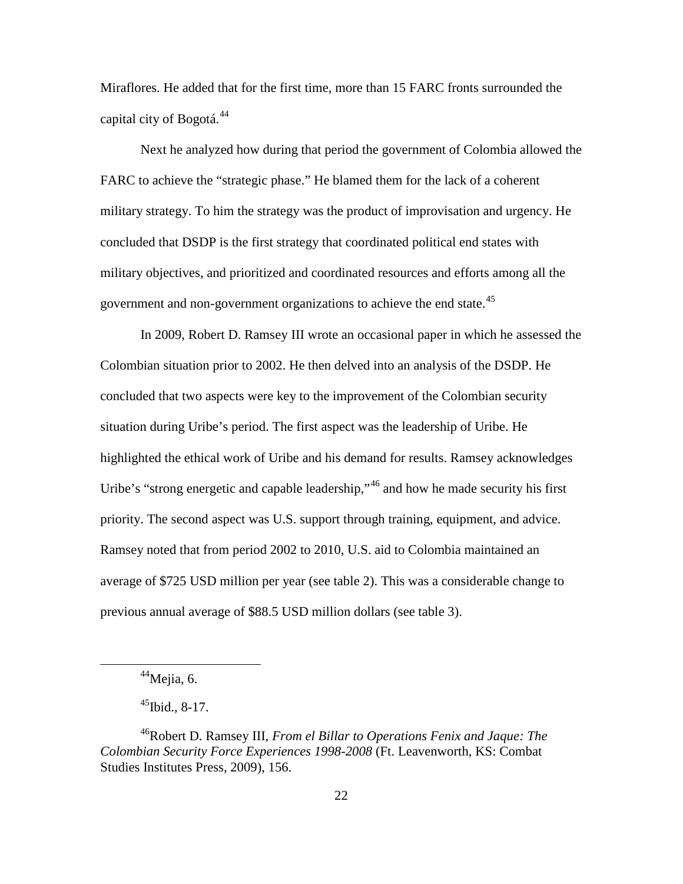Miraflores. He added that for the first time, more than 15 FARC fronts surrounded the capital city of Bogotá.<sup>[44](#page-31-0)</sup>

Next he analyzed how during that period the government of Colombia allowed the FARC to achieve the "strategic phase." He blamed them for the lack of a coherent military strategy. To him the strategy was the product of improvisation and urgency. He concluded that DSDP is the first strategy that coordinated political end states with military objectives, and prioritized and coordinated resources and efforts among all the government and non-government organizations to achieve the end state.<sup>[45](#page-31-1)</sup>

In 2009, Robert D. Ramsey III wrote an occasional paper in which he assessed the Colombian situation prior to 2002. He then delved into an analysis of the DSDP. He concluded that two aspects were key to the improvement of the Colombian security situation during Uribe's period. The first aspect was the leadership of Uribe. He highlighted the ethical work of Uribe and his demand for results. Ramsey acknowledges Uribe's "strong energetic and capable leadership,"<sup>[46](#page-31-2)</sup> and how he made security his first priority. The second aspect was U.S. support through training, equipment, and advice. Ramsey noted that from period 2002 to 2010, U.S. aid to Colombia maintained an average of \$725 USD million per year (see table 2). This was a considerable change to previous annual average of \$88.5 USD million dollars (see table 3).

 $44$ Mejia, 6.

 $^{45}$ Ibid., 8-17.

<span id="page-31-2"></span><span id="page-31-1"></span><span id="page-31-0"></span><sup>46</sup>Robert D. Ramsey III, *From el Billar to Operations Fenix and Jaque: The Colombian Security Force Experiences 1998-2008* (Ft. Leavenworth, KS: Combat Studies Institutes Press, 2009), 156.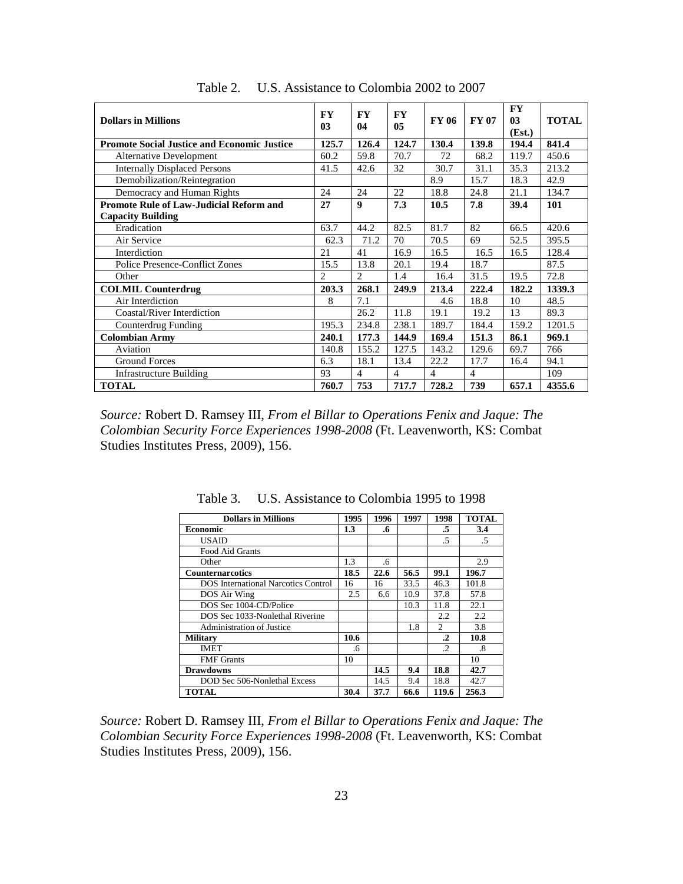| <b>Dollars in Millions</b>                         |                | <b>FY</b><br>04 | <b>FY</b><br>05 | <b>FY 06</b> | <b>FY 07</b>   | <b>FY</b><br>03<br>(Est.) | <b>TOTAL</b> |
|----------------------------------------------------|----------------|-----------------|-----------------|--------------|----------------|---------------------------|--------------|
| <b>Promote Social Justice and Economic Justice</b> |                | 126.4           | 124.7           | 130.4        | 139.8          | 194.4                     | 841.4        |
| <b>Alternative Development</b>                     | 60.2           | 59.8            | 70.7            | 72           | 68.2           | 119.7                     | 450.6        |
| <b>Internally Displaced Persons</b>                | 41.5           | 42.6            | 32              | 30.7         | 31.1           | 35.3                      | 213.2        |
| Demobilization/Reintegration                       |                |                 |                 | 8.9          | 15.7           | 18.3                      | 42.9         |
| Democracy and Human Rights                         | 24             | 24              | 22              | 18.8         | 24.8           | 21.1                      | 134.7        |
| Promote Rule of Law-Judicial Reform and            | 27             | 9               | 7.3             | 10.5         | 7.8            | 39.4                      | 101          |
| <b>Capacity Building</b>                           |                |                 |                 |              |                |                           |              |
| Eradication                                        | 63.7           | 44.2            | 82.5            | 81.7         | 82             | 66.5                      | 420.6        |
| Air Service                                        | 62.3           | 71.2            | 70              | 70.5         | 69             | 52.5                      | 395.5        |
| Interdiction                                       | 21             | 41              | 16.9            | 16.5         | 16.5           | 16.5                      | 128.4        |
| <b>Police Presence-Conflict Zones</b>              | 15.5           | 13.8            | 20.1            | 19.4         | 18.7           |                           | 87.5         |
| Other                                              | $\mathfrak{D}$ | $\overline{c}$  | 1.4             | 16.4         | 31.5           | 19.5                      | 72.8         |
| <b>COLMIL Counterdrug</b>                          | 203.3          | 268.1           | 249.9           | 213.4        | 222.4          | 182.2                     | 1339.3       |
| Air Interdiction                                   | 8              | 7.1             |                 | 4.6          | 18.8           | 10                        | 48.5         |
| Coastal/River Interdiction                         |                | 26.2            | 11.8            | 19.1         | 19.2           | 13                        | 89.3         |
| Counterdrug Funding                                | 195.3          | 234.8           | 238.1           | 189.7        | 184.4          | 159.2                     | 1201.5       |
| <b>Colombian Army</b>                              |                | 177.3           | 144.9           | 169.4        | 151.3          | 86.1                      | 969.1        |
| Aviation                                           | 140.8          | 155.2           | 127.5           | 143.2        | 129.6          | 69.7                      | 766          |
| <b>Ground Forces</b>                               | 6.3            | 18.1            | 13.4            | 22.2         | 17.7           | 16.4                      | 94.1         |
| <b>Infrastructure Building</b>                     | 93             | $\overline{4}$  | $\overline{4}$  | 4            | $\overline{4}$ |                           | 109          |
| <b>TOTAL</b>                                       | 760.7          | 753             | 717.7           | 728.2        | 739            | 657.1                     | 4355.6       |

Table 2. U.S. Assistance to Colombia 2002 to 2007

*Source:* Robert D. Ramsey III, *From el Billar to Operations Fenix and Jaque: The Colombian Security Force Experiences 1998-2008* (Ft. Leavenworth, KS: Combat Studies Institutes Press, 2009), 156.

| <b>Dollars in Millions</b>                 | 1995 | 1996 | 1997 | 1998           | <b>TOTAL</b> |
|--------------------------------------------|------|------|------|----------------|--------------|
| <b>Economic</b>                            | 1.3  | .6   |      | .5             | 3.4          |
| <b>USAID</b>                               |      |      |      | .5             | .5           |
| Food Aid Grants                            |      |      |      |                |              |
| Other                                      | 1.3  | .6   |      |                | 2.9          |
| <b>Counternarcotics</b>                    | 18.5 | 22.6 | 56.5 | 99.1           | 196.7        |
| <b>DOS</b> International Narcotics Control | 16   | 16   | 33.5 | 46.3           | 101.8        |
| DOS Air Wing                               | 2.5  | 6.6  | 10.9 | 37.8           | 57.8         |
| DOS Sec 1004-CD/Police                     |      |      | 10.3 | 11.8           | 22.1         |
| DOS Sec 1033-Nonlethal Riverine            |      |      |      | 2.2            | 2.2          |
| Administration of Justice                  |      |      | 1.8  | $\mathfrak{D}$ | 3.8          |
| <b>Military</b>                            | 10.6 |      |      | $\cdot$        | 10.8         |
| <b>IMET</b>                                | .6   |      |      | .2             | .8           |
| <b>FMF</b> Grants                          | 10   |      |      |                | 10           |
| <b>Drawdowns</b>                           |      | 14.5 | 9.4  | 18.8           | 42.7         |
| DOD Sec 506-Nonlethal Excess               |      | 14.5 | 9.4  | 18.8           | 42.7         |
| <b>TOTAL</b>                               | 30.4 | 37.7 | 66.6 | 119.6          | 256.3        |

Table 3. U.S. Assistance to Colombia 1995 to 1998

*Source:* Robert D. Ramsey III, *From el Billar to Operations Fenix and Jaque: The Colombian Security Force Experiences 1998-2008* (Ft. Leavenworth, KS: Combat Studies Institutes Press, 2009), 156.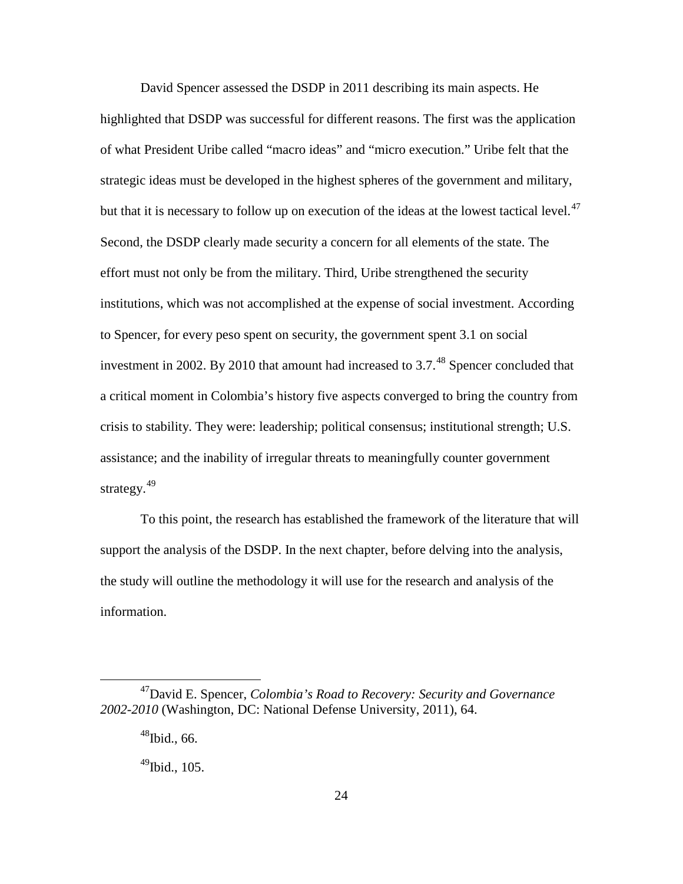David Spencer assessed the DSDP in 2011 describing its main aspects. He highlighted that DSDP was successful for different reasons. The first was the application of what President Uribe called "macro ideas" and "micro execution." Uribe felt that the strategic ideas must be developed in the highest spheres of the government and military, but that it is necessary to follow up on execution of the ideas at the lowest tactical level.<sup>[47](#page-33-0)</sup> Second, the DSDP clearly made security a concern for all elements of the state. The effort must not only be from the military. Third, Uribe strengthened the security institutions, which was not accomplished at the expense of social investment. According to Spencer, for every peso spent on security, the government spent 3.1 on social investment in 2002. By 2010 that amount had increased to  $3.7<sup>48</sup>$  $3.7<sup>48</sup>$  $3.7<sup>48</sup>$  Spencer concluded that a critical moment in Colombia's history five aspects converged to bring the country from crisis to stability. They were: leadership; political consensus; institutional strength; U.S. assistance; and the inability of irregular threats to meaningfully counter government strategy.<sup>[49](#page-33-2)</sup>

To this point, the research has established the framework of the literature that will support the analysis of the DSDP. In the next chapter, before delving into the analysis, the study will outline the methodology it will use for the research and analysis of the information.

<span id="page-33-2"></span><span id="page-33-1"></span><span id="page-33-0"></span> <sup>47</sup>David E. Spencer, *Colombia's Road to Recovery: Security and Governance 2002-2010* (Washington, DC: National Defense University, 2011), 64.

 $48$ Ibid., 66.

 $49$ Ibid., 105.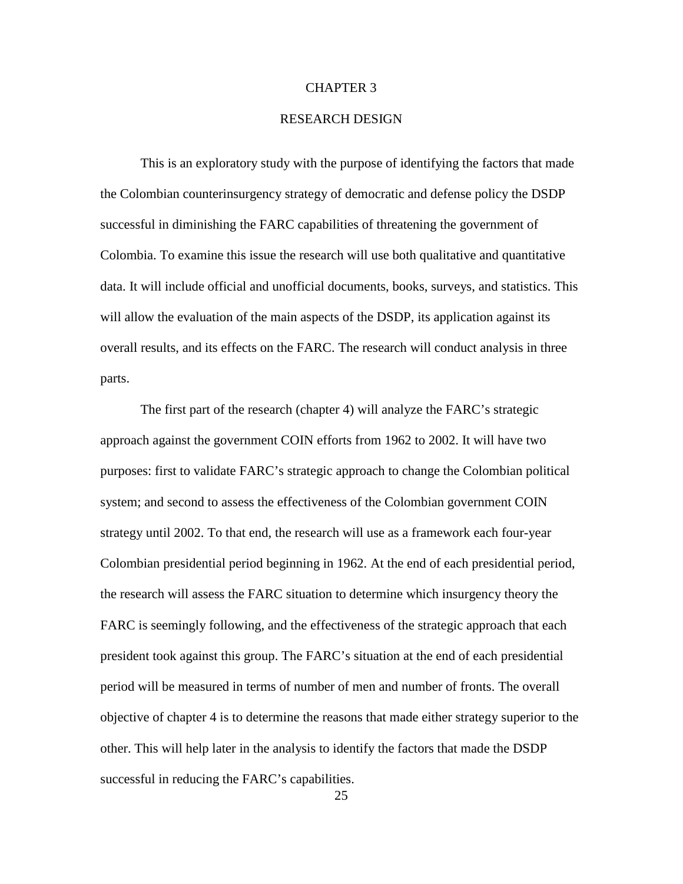#### CHAPTER 3

## RESEARCH DESIGN

<span id="page-34-0"></span>This is an exploratory study with the purpose of identifying the factors that made the Colombian counterinsurgency strategy of democratic and defense policy the DSDP successful in diminishing the FARC capabilities of threatening the government of Colombia. To examine this issue the research will use both qualitative and quantitative data. It will include official and unofficial documents, books, surveys, and statistics. This will allow the evaluation of the main aspects of the DSDP, its application against its overall results, and its effects on the FARC. The research will conduct analysis in three parts.

The first part of the research (chapter 4) will analyze the FARC's strategic approach against the government COIN efforts from 1962 to 2002. It will have two purposes: first to validate FARC's strategic approach to change the Colombian political system; and second to assess the effectiveness of the Colombian government COIN strategy until 2002. To that end, the research will use as a framework each four-year Colombian presidential period beginning in 1962. At the end of each presidential period, the research will assess the FARC situation to determine which insurgency theory the FARC is seemingly following, and the effectiveness of the strategic approach that each president took against this group. The FARC's situation at the end of each presidential period will be measured in terms of number of men and number of fronts. The overall objective of chapter 4 is to determine the reasons that made either strategy superior to the other. This will help later in the analysis to identify the factors that made the DSDP successful in reducing the FARC's capabilities.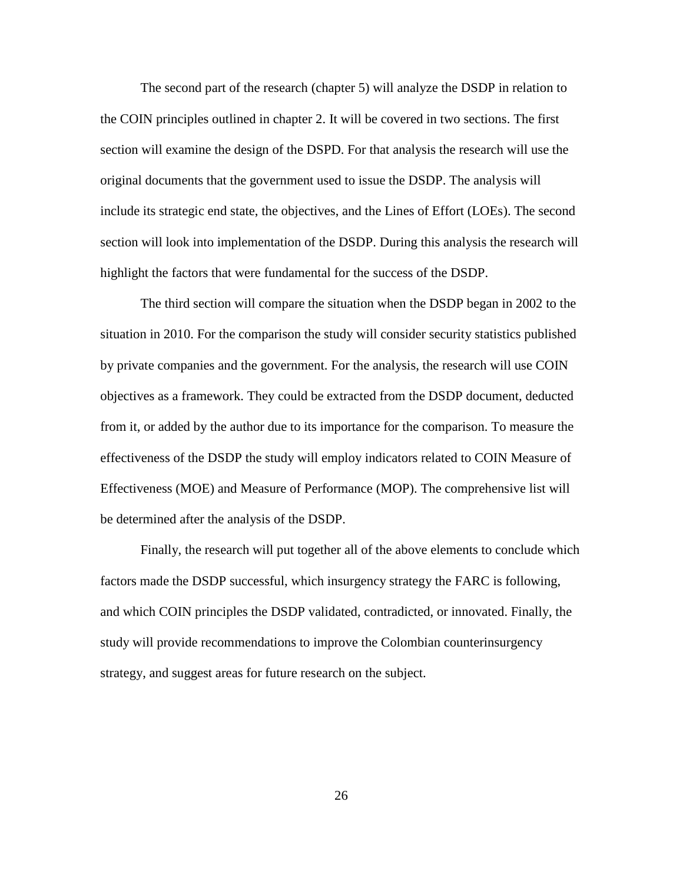The second part of the research (chapter 5) will analyze the DSDP in relation to the COIN principles outlined in chapter 2. It will be covered in two sections. The first section will examine the design of the DSPD. For that analysis the research will use the original documents that the government used to issue the DSDP. The analysis will include its strategic end state, the objectives, and the Lines of Effort (LOEs). The second section will look into implementation of the DSDP. During this analysis the research will highlight the factors that were fundamental for the success of the DSDP.

The third section will compare the situation when the DSDP began in 2002 to the situation in 2010. For the comparison the study will consider security statistics published by private companies and the government. For the analysis, the research will use COIN objectives as a framework. They could be extracted from the DSDP document, deducted from it, or added by the author due to its importance for the comparison. To measure the effectiveness of the DSDP the study will employ indicators related to COIN Measure of Effectiveness (MOE) and Measure of Performance (MOP). The comprehensive list will be determined after the analysis of the DSDP.

Finally, the research will put together all of the above elements to conclude which factors made the DSDP successful, which insurgency strategy the FARC is following, and which COIN principles the DSDP validated, contradicted, or innovated. Finally, the study will provide recommendations to improve the Colombian counterinsurgency strategy, and suggest areas for future research on the subject.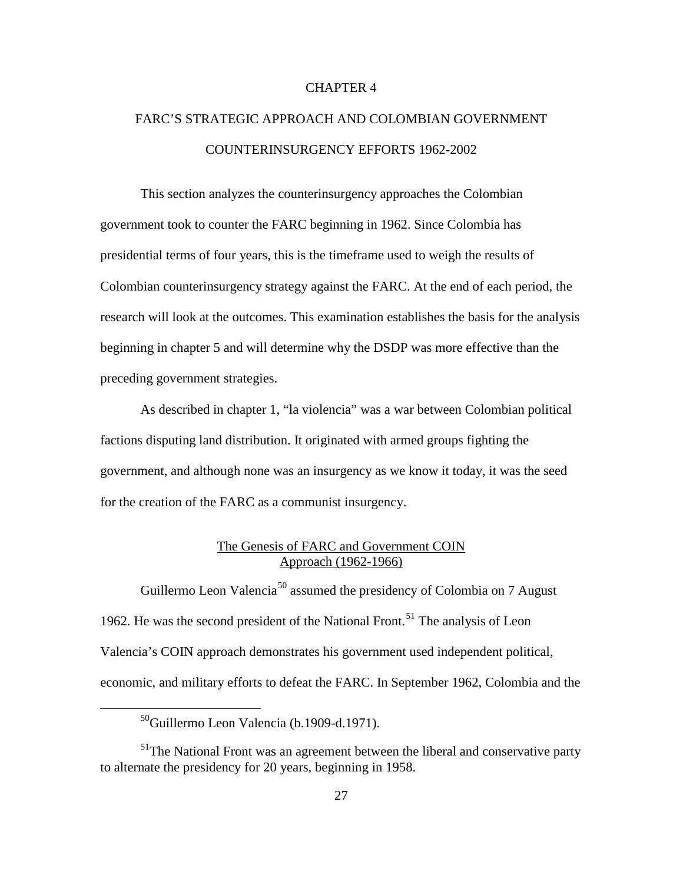#### CHAPTER 4

# FARC'S STRATEGIC APPROACH AND COLOMBIAN GOVERNMENT COUNTERINSURGENCY EFFORTS 1962-2002

This section analyzes the counterinsurgency approaches the Colombian government took to counter the FARC beginning in 1962. Since Colombia has presidential terms of four years, this is the timeframe used to weigh the results of Colombian counterinsurgency strategy against the FARC. At the end of each period, the research will look at the outcomes. This examination establishes the basis for the analysis beginning in chapter 5 and will determine why the DSDP was more effective than the preceding government strategies.

As described in chapter 1, "la violencia" was a war between Colombian political factions disputing land distribution. It originated with armed groups fighting the government, and although none was an insurgency as we know it today, it was the seed for the creation of the FARC as a communist insurgency.

#### The Genesis of FARC and Government COIN Approach (1962-1966)

Guillermo Leon Valencia<sup>[50](#page-36-0)</sup> assumed the presidency of Colombia on 7 August 1962. He was the second president of the National Front.<sup>[51](#page-36-1)</sup> The analysis of Leon Valencia's COIN approach demonstrates his government used independent political, economic, and military efforts to defeat the FARC. In September 1962, Colombia and the

 <sup>50</sup>Guillermo Leon Valencia (b.1909-d.1971).

<span id="page-36-1"></span><span id="page-36-0"></span> $<sup>51</sup>$ The National Front was an agreement between the liberal and conservative party</sup> to alternate the presidency for 20 years, beginning in 1958.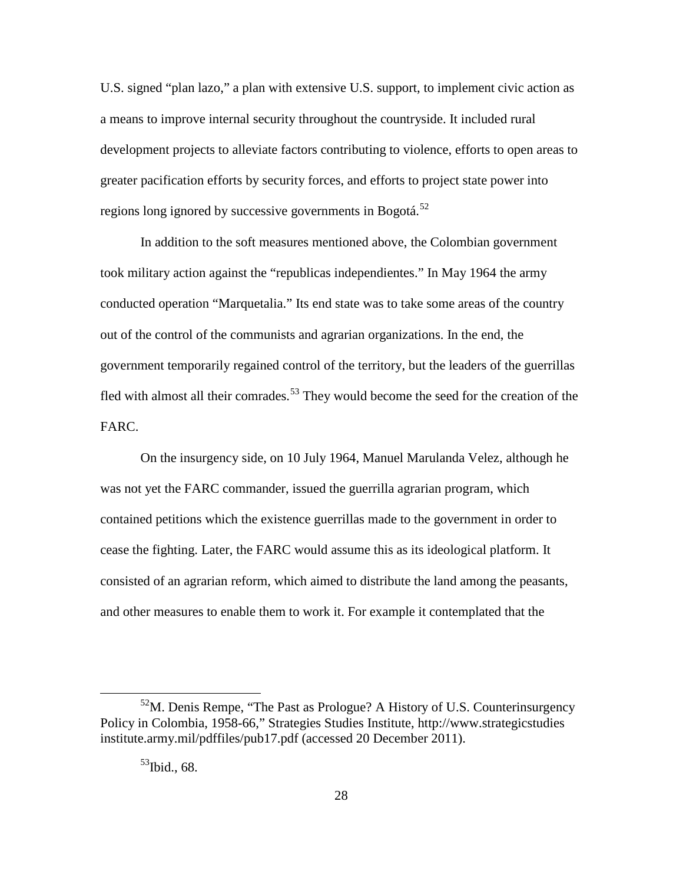U.S. signed "plan lazo," a plan with extensive U.S. support, to implement civic action as a means to improve internal security throughout the countryside. It included rural development projects to alleviate factors contributing to violence, efforts to open areas to greater pacification efforts by security forces, and efforts to project state power into regions long ignored by successive governments in Bogotá.<sup>[52](#page-37-0)</sup>

In addition to the soft measures mentioned above, the Colombian government took military action against the "republicas independientes." In May 1964 the army conducted operation "Marquetalia." Its end state was to take some areas of the country out of the control of the communists and agrarian organizations. In the end, the government temporarily regained control of the territory, but the leaders of the guerrillas fled with almost all their comrades.<sup>[53](#page-37-1)</sup> They would become the seed for the creation of the FARC.

On the insurgency side, on 10 July 1964, Manuel Marulanda Velez, although he was not yet the FARC commander, issued the guerrilla agrarian program, which contained petitions which the existence guerrillas made to the government in order to cease the fighting. Later, the FARC would assume this as its ideological platform. It consisted of an agrarian reform, which aimed to distribute the land among the peasants, and other measures to enable them to work it. For example it contemplated that the

<span id="page-37-1"></span><span id="page-37-0"></span> $52$ M. Denis Rempe, "The Past as Prologue? A History of U.S. Counterinsurgency Policy in Colombia, 1958-66," Strategies Studies Institute, http://www.strategicstudies institute.army.mil/pdffiles/pub17.pdf (accessed 20 December 2011).

 $53$ Ibid., 68.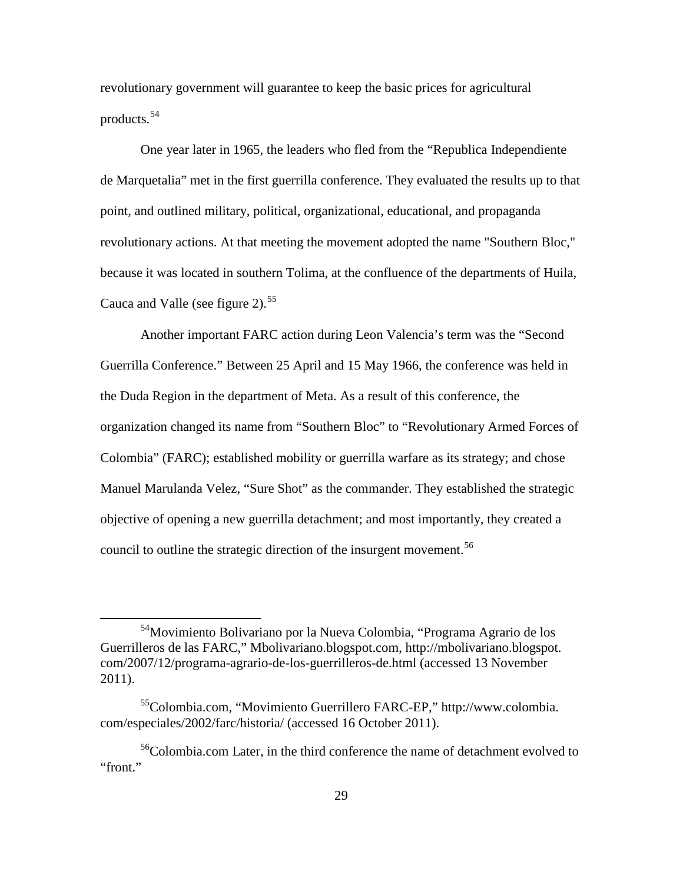revolutionary government will guarantee to keep the basic prices for agricultural products. [54](#page-38-0)

One year later in 1965, the leaders who fled from the "Republica Independiente de Marquetalia" met in the first guerrilla conference. They evaluated the results up to that point, and outlined military, political, organizational, educational, and propaganda revolutionary actions. At that meeting the movement adopted the name "Southern Bloc," because it was located in southern Tolima, at the confluence of the departments of Huila, Cauca and Valle (see figure 2).<sup>[55](#page-38-1)</sup>

Another important FARC action during Leon Valencia's term was the "Second Guerrilla Conference." Between 25 April and 15 May 1966, the conference was held in the Duda Region in the department of Meta. As a result of this conference, the organization changed its name from "Southern Bloc" to "Revolutionary Armed Forces of Colombia" (FARC); established mobility or guerrilla warfare as its strategy; and chose Manuel Marulanda Velez, "Sure Shot" as the commander. They established the strategic objective of opening a new guerrilla detachment; and most importantly, they created a council to outline the strategic direction of the insurgent movement.<sup>[56](#page-38-2)</sup>

<span id="page-38-0"></span> <sup>54</sup>Movimiento Bolivariano por la Nueva Colombia, "Programa Agrario de los Guerrilleros de las FARC," Mbolivariano.blogspot.com, http://mbolivariano.blogspot. com/2007/12/programa-agrario-de-los-guerrilleros-de.html (accessed 13 November 2011).

<span id="page-38-1"></span><sup>55</sup>Colombia.com, "Movimiento Guerrillero FARC-EP," http://www.colombia. com/especiales/2002/farc/historia/ (accessed 16 October 2011).

<span id="page-38-2"></span><sup>56</sup>Colombia.com Later, in the third conference the name of detachment evolved to "front."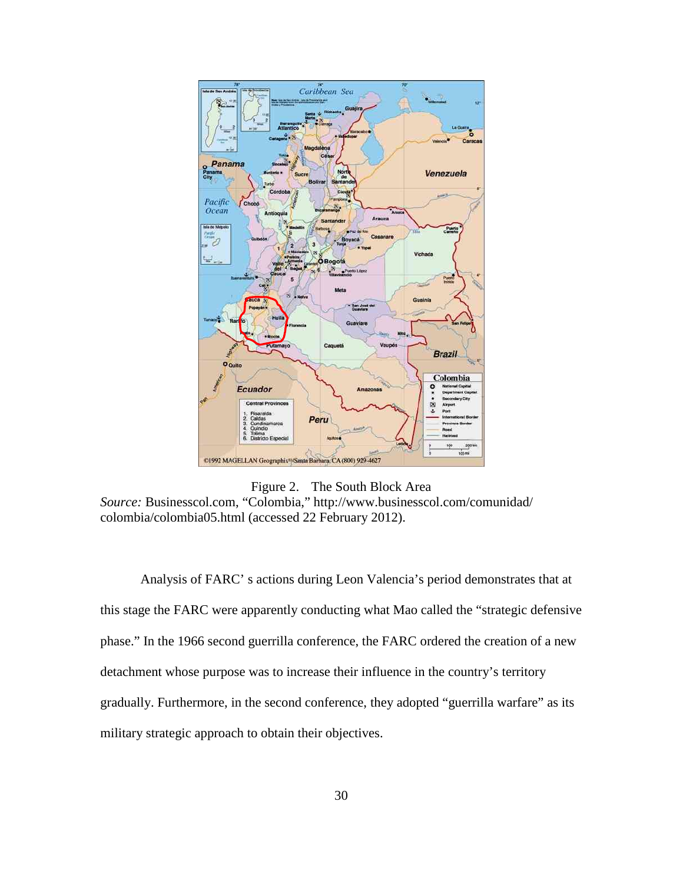

Figure 2. The South Block Area *Source:* Businesscol.com, "Colombia," http://www.businesscol.com/comunidad/ colombia/colombia05.html (accessed 22 February 2012).

Analysis of FARC' s actions during Leon Valencia's period demonstrates that at this stage the FARC were apparently conducting what Mao called the "strategic defensive phase." In the 1966 second guerrilla conference, the FARC ordered the creation of a new detachment whose purpose was to increase their influence in the country's territory gradually. Furthermore, in the second conference, they adopted "guerrilla warfare" as its military strategic approach to obtain their objectives.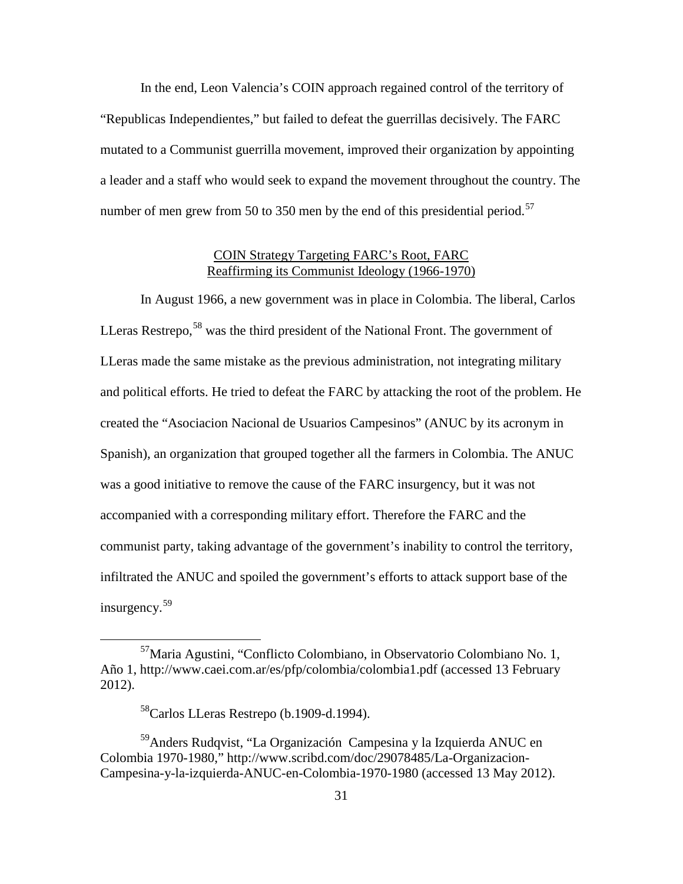In the end, Leon Valencia's COIN approach regained control of the territory of "Republicas Independientes," but failed to defeat the guerrillas decisively. The FARC mutated to a Communist guerrilla movement, improved their organization by appointing a leader and a staff who would seek to expand the movement throughout the country. The number of men grew from 50 to 350 men by the end of this presidential period.<sup>[57](#page-40-0)</sup>

#### COIN Strategy Targeting FARC's Root, FARC Reaffirming its Communist Ideology (1966-1970)

In August 1966, a new government was in place in Colombia. The liberal, Carlos LLeras Restrepo,  $58$  was the third president of the National Front. The government of LLeras made the same mistake as the previous administration, not integrating military and political efforts. He tried to defeat the FARC by attacking the root of the problem. He created the "Asociacion Nacional de Usuarios Campesinos" (ANUC by its acronym in Spanish), an organization that grouped together all the farmers in Colombia. The ANUC was a good initiative to remove the cause of the FARC insurgency, but it was not accompanied with a corresponding military effort. Therefore the FARC and the communist party, taking advantage of the government's inability to control the territory, infiltrated the ANUC and spoiled the government's efforts to attack support base of the insurgency. [59](#page-40-2)

<span id="page-40-0"></span> <sup>57</sup>Maria Agustini, "Conflicto Colombiano, in Observatorio Colombiano No. 1, Año 1, http://www.caei.com.ar/es/pfp/colombia/colombia1.pdf (accessed 13 February 2012).

<sup>58</sup>Carlos LLeras Restrepo (b.1909-d.1994).

<span id="page-40-2"></span><span id="page-40-1"></span><sup>&</sup>lt;sup>59</sup>Anders Rudqvist, "La Organización Campesina y la Izquierda ANUC en Colombia 1970-1980," http://www.scribd.com/doc/29078485/La-Organizacion-Campesina-y-la-izquierda-ANUC-en-Colombia-1970-1980 (accessed 13 May 2012).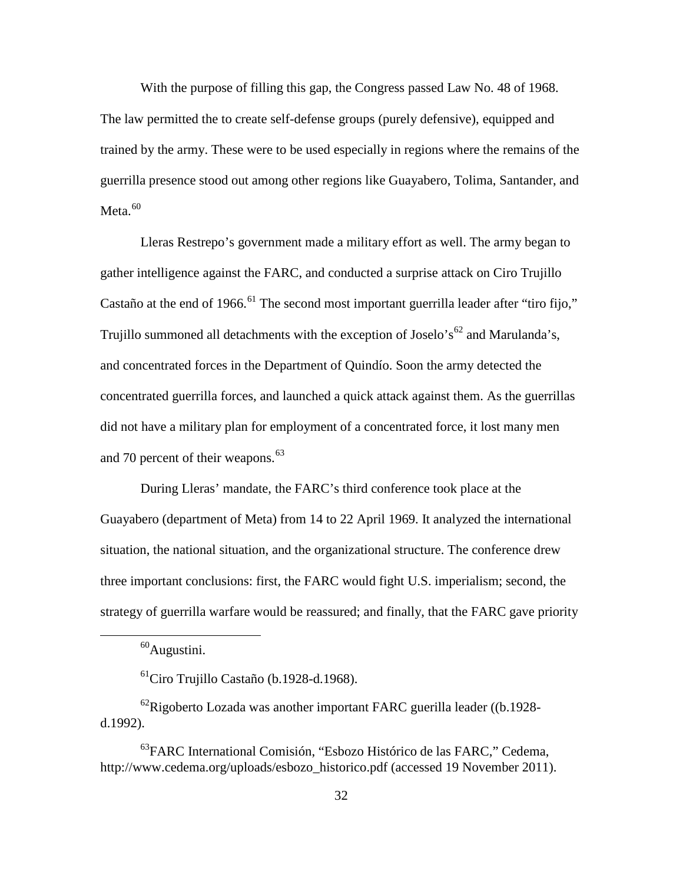With the purpose of filling this gap, the Congress passed Law No. 48 of 1968. The law permitted the to create self-defense groups (purely defensive), equipped and trained by the army. These were to be used especially in regions where the remains of the guerrilla presence stood out among other regions like Guayabero, Tolima, Santander, and Meta.<sup>[60](#page-41-0)</sup>

Lleras Restrepo's government made a military effort as well. The army began to gather intelligence against the FARC, and conducted a surprise attack on Ciro Trujillo Castaño at the end of 1966.<sup>[61](#page-41-1)</sup> The second most important guerrilla leader after "tiro fijo," Trujillo summoned all detachments with the exception of Joselo's<sup>[62](#page-41-2)</sup> and Marulanda's, and concentrated forces in the Department of Quindío. Soon the army detected the concentrated guerrilla forces, and launched a quick attack against them. As the guerrillas did not have a military plan for employment of a concentrated force, it lost many men and 70 percent of their weapons.<sup>[63](#page-41-3)</sup>

During Lleras' mandate, the FARC's third conference took place at the Guayabero (department of Meta) from 14 to 22 April 1969. It analyzed the international situation, the national situation, and the organizational structure. The conference drew three important conclusions: first, the FARC would fight U.S. imperialism; second, the strategy of guerrilla warfare would be reassured; and finally, that the FARC gave priority

 $60$ Augustini.

 $^{61}$ Ciro Trujillo Castaño (b.1928-d.1968).

<span id="page-41-2"></span><span id="page-41-1"></span><span id="page-41-0"></span> $^{62}$ Rigoberto Lozada was another important FARC guerilla leader ((b.1928d.1992).

<span id="page-41-3"></span><sup>63</sup>FARC International Comisión, "Esbozo Histórico de las FARC," Cedema, http://www.cedema.org/uploads/esbozo\_historico.pdf (accessed 19 November 2011).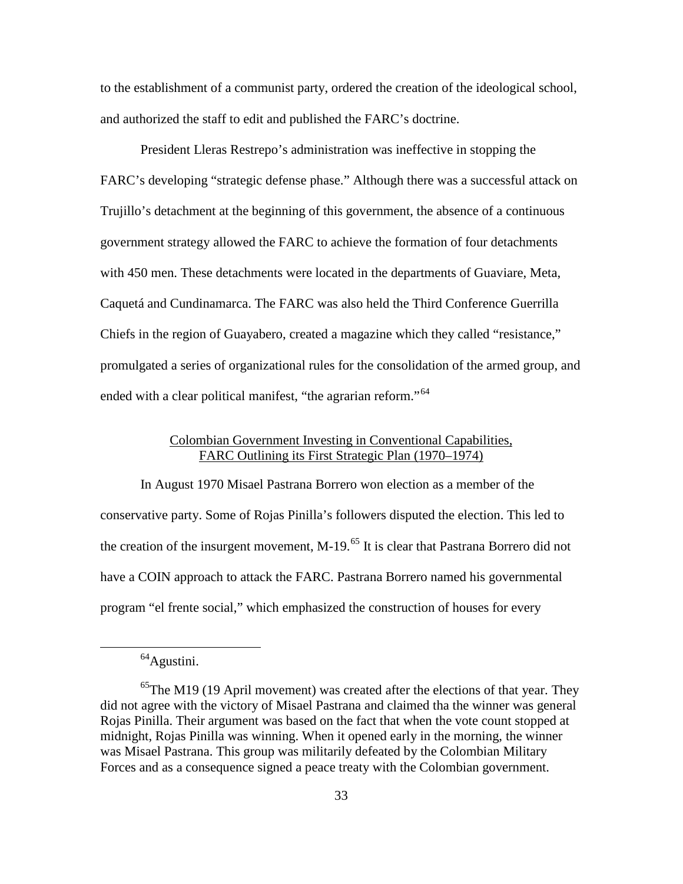to the establishment of a communist party, ordered the creation of the ideological school, and authorized the staff to edit and published the FARC's doctrine.

President Lleras Restrepo's administration was ineffective in stopping the FARC's developing "strategic defense phase." Although there was a successful attack on Trujillo's detachment at the beginning of this government, the absence of a continuous government strategy allowed the FARC to achieve the formation of four detachments with 450 men. These detachments were located in the departments of Guaviare, Meta, Caquetá and Cundinamarca. The FARC was also held the Third Conference Guerrilla Chiefs in the region of Guayabero, created a magazine which they called "resistance," promulgated a series of organizational rules for the consolidation of the armed group, and ended with a clear political manifest, "the agrarian reform."<sup>[64](#page-42-0)</sup>

### Colombian Government Investing in Conventional Capabilities, FARC Outlining its First Strategic Plan (1970–1974)

In August 1970 Misael Pastrana Borrero won election as a member of the conservative party. Some of Rojas Pinilla's followers disputed the election. This led to the creation of the insurgent movement, M-19.<sup>[65](#page-42-1)</sup> It is clear that Pastrana Borrero did not have a COIN approach to attack the FARC. Pastrana Borrero named his governmental program "el frente social," which emphasized the construction of houses for every

<sup>&</sup>lt;sup>64</sup>Agustini.

<span id="page-42-1"></span><span id="page-42-0"></span> $65$ The M19 (19 April movement) was created after the elections of that year. They did not agree with the victory of Misael Pastrana and claimed tha the winner was general Rojas Pinilla. Their argument was based on the fact that when the vote count stopped at midnight, Rojas Pinilla was winning. When it opened early in the morning, the winner was Misael Pastrana. This group was militarily defeated by the Colombian Military Forces and as a consequence signed a peace treaty with the Colombian government.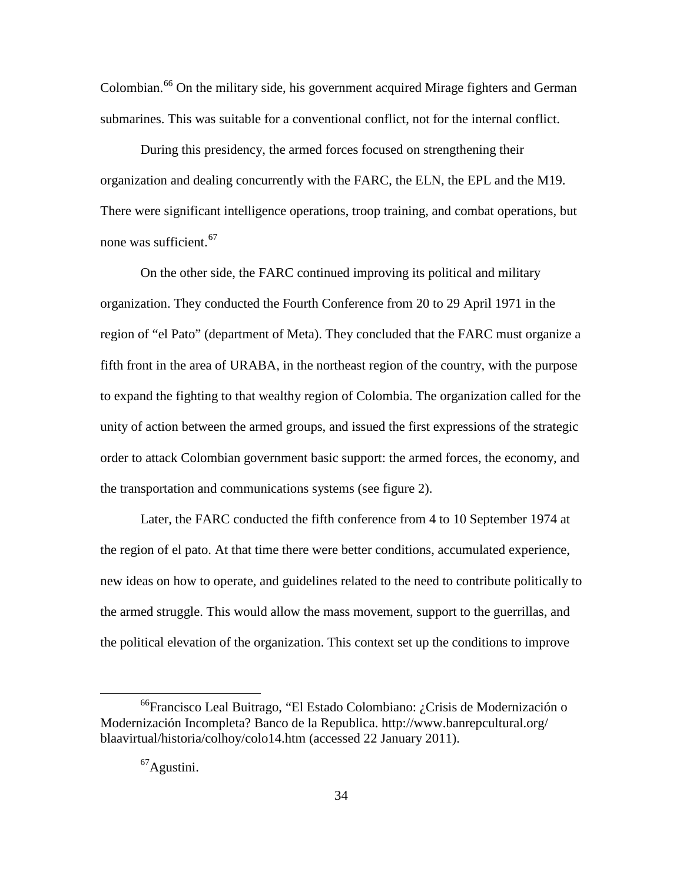Colombian.<sup>[66](#page-43-0)</sup> On the military side, his government acquired Mirage fighters and German submarines. This was suitable for a conventional conflict, not for the internal conflict.

During this presidency, the armed forces focused on strengthening their organization and dealing concurrently with the FARC, the ELN, the EPL and the M19. There were significant intelligence operations, troop training, and combat operations, but none was sufficient.  $67$ 

On the other side, the FARC continued improving its political and military organization. They conducted the Fourth Conference from 20 to 29 April 1971 in the region of "el Pato" (department of Meta). They concluded that the FARC must organize a fifth front in the area of URABA, in the northeast region of the country, with the purpose to expand the fighting to that wealthy region of Colombia. The organization called for the unity of action between the armed groups, and issued the first expressions of the strategic order to attack Colombian government basic support: the armed forces, the economy, and the transportation and communications systems (see figure 2).

Later, the FARC conducted the fifth conference from 4 to 10 September 1974 at the region of el pato. At that time there were better conditions, accumulated experience, new ideas on how to operate, and guidelines related to the need to contribute politically to the armed struggle. This would allow the mass movement, support to the guerrillas, and the political elevation of the organization. This context set up the conditions to improve

<span id="page-43-1"></span><span id="page-43-0"></span> <sup>66</sup>Francisco Leal Buitrago, "El Estado Colombiano: ¿Crisis de Modernización o Modernización Incompleta? Banco de la Republica. http://www.banrepcultural.org/ blaavirtual/historia/colhoy/colo14.htm (accessed 22 January 2011).

<sup>67</sup>Agustini.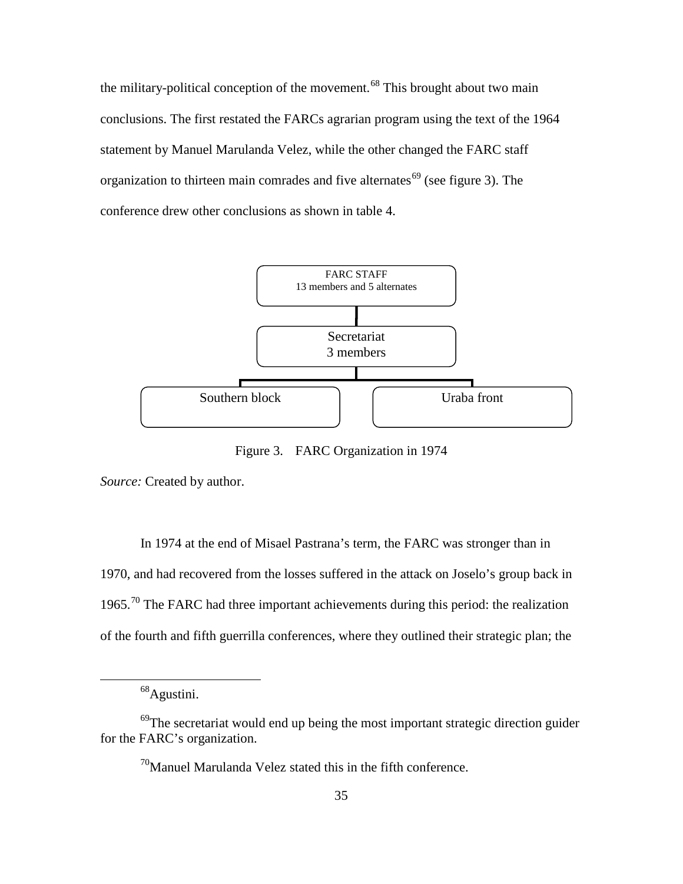the military-political conception of the movement.<sup>[68](#page-44-0)</sup> This brought about two main conclusions. The first restated the FARCs agrarian program using the text of the 1964 statement by Manuel Marulanda Velez, while the other changed the FARC staff organization to thirteen main comrades and five alternates<sup> $69$ </sup> (see figure 3). The conference drew other conclusions as shown in table 4.



Figure 3. FARC Organization in 1974

*Source:* Created by author.

In 1974 at the end of Misael Pastrana's term, the FARC was stronger than in 1970, and had recovered from the losses suffered in the attack on Joselo's group back in 1965.<sup>[70](#page-44-2)</sup> The FARC had three important achievements during this period: the realization of the fourth and fifth guerrilla conferences, where they outlined their strategic plan; the

<sup>68</sup>Agustini.

<span id="page-44-2"></span><span id="page-44-1"></span><span id="page-44-0"></span><sup>&</sup>lt;sup>69</sup>The secretariat would end up being the most important strategic direction guider for the FARC's organization.

 $70$ Manuel Marulanda Velez stated this in the fifth conference.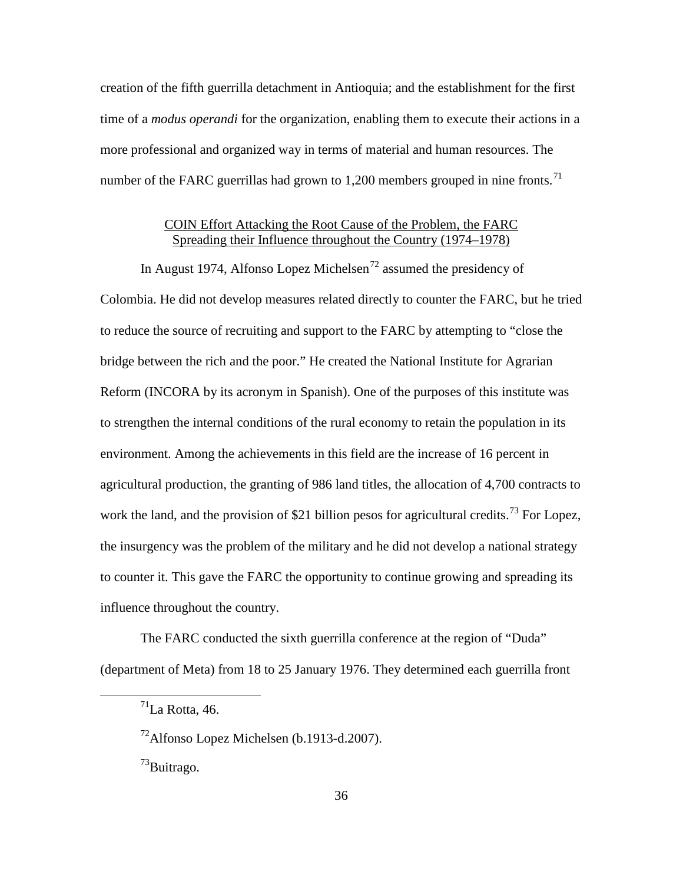creation of the fifth guerrilla detachment in Antioquia; and the establishment for the first time of a *modus operandi* for the organization, enabling them to execute their actions in a more professional and organized way in terms of material and human resources. The number of the FARC guerrillas had grown to 1,200 members grouped in nine fronts.<sup>[71](#page-45-0)</sup>

# COIN Effort Attacking the Root Cause of the Problem, the FARC Spreading their Influence throughout the Country (1974–1978)

In August 1974, Alfonso Lopez Michelsen<sup>[72](#page-45-1)</sup> assumed the presidency of Colombia. He did not develop measures related directly to counter the FARC, but he tried to reduce the source of recruiting and support to the FARC by attempting to "close the bridge between the rich and the poor." He created the National Institute for Agrarian Reform (INCORA by its acronym in Spanish). One of the purposes of this institute was to strengthen the internal conditions of the rural economy to retain the population in its environment. Among the achievements in this field are the increase of 16 percent in agricultural production, the granting of 986 land titles, the allocation of 4,700 contracts to work the land, and the provision of \$21 billion pesos for agricultural credits.<sup>[73](#page-45-2)</sup> For Lopez, the insurgency was the problem of the military and he did not develop a national strategy to counter it. This gave the FARC the opportunity to continue growing and spreading its influence throughout the country.

<span id="page-45-1"></span><span id="page-45-0"></span>The FARC conducted the sixth guerrilla conference at the region of "Duda" (department of Meta) from 18 to 25 January 1976. They determined each guerrilla front

<span id="page-45-2"></span><sup>73</sup>Buitrago.

 $<sup>71</sup>$ La Rotta, 46.</sup>

 $72$ Alfonso Lopez Michelsen (b.1913-d.2007).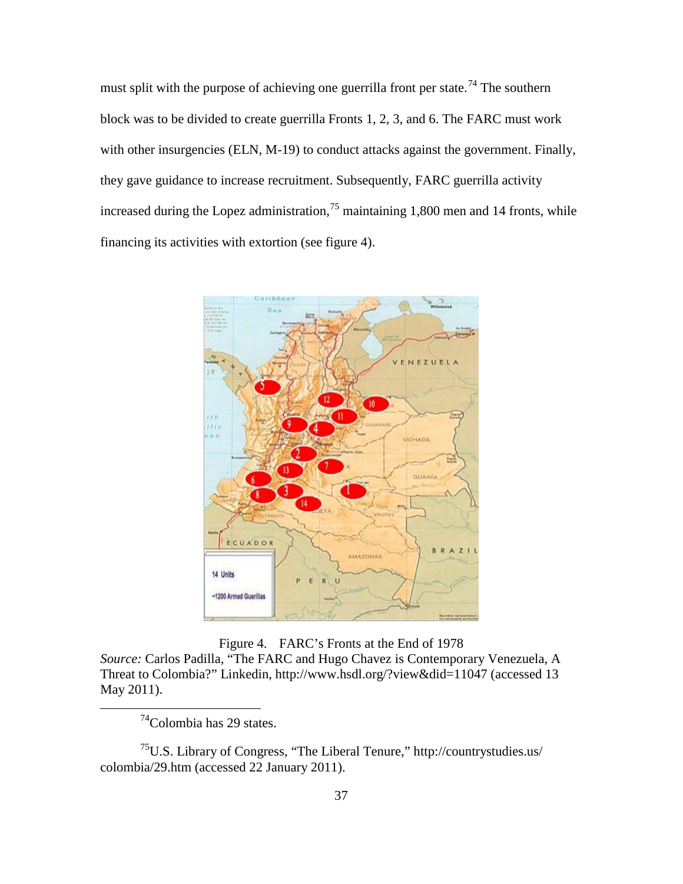must split with the purpose of achieving one guerrilla front per state.<sup>[74](#page-46-0)</sup> The southern block was to be divided to create guerrilla Fronts 1, 2, 3, and 6. The FARC must work with other insurgencies (ELN, M-19) to conduct attacks against the government. Finally, they gave guidance to increase recruitment. Subsequently, FARC guerrilla activity increased during the Lopez administration,  $^{75}$  $^{75}$  $^{75}$  maintaining 1,800 men and 14 fronts, while financing its activities with extortion (see figure 4).



Figure 4. FARC's Fronts at the End of 1978

*Source:* Carlos Padilla*,* "The FARC and Hugo Chavez is Contemporary Venezuela, A Threat to Colombia?" Linkedin, http://www.hsdl.org/?view&did=11047 (accessed 13 May 2011).

 $74$ Colombia has 29 states.

<span id="page-46-1"></span><span id="page-46-0"></span><sup>75</sup>U.S. Library of Congress, "The Liberal Tenure," http://countrystudies.us/ colombia/29.htm (accessed 22 January 2011).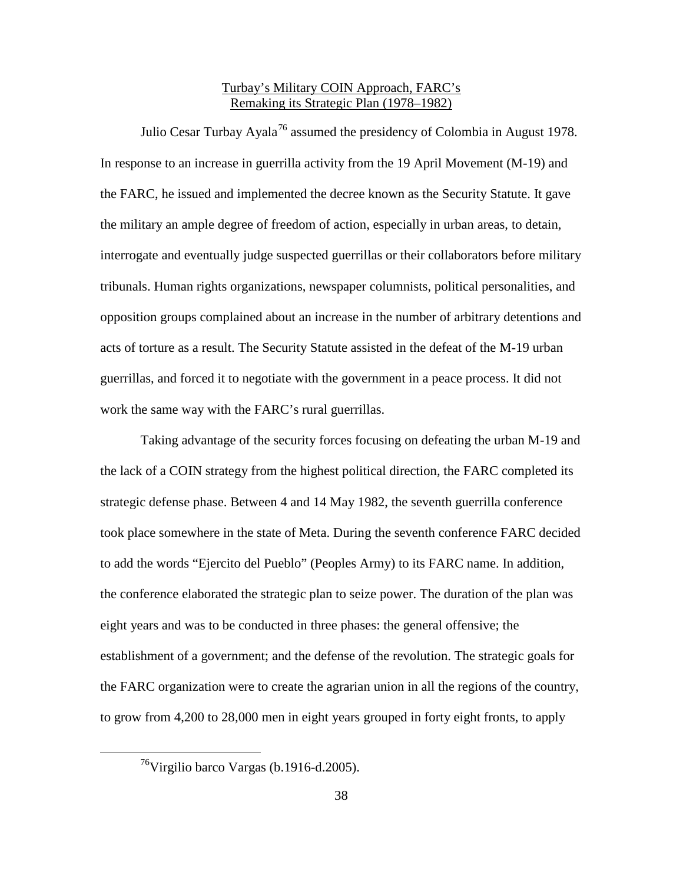# Turbay's Military COIN Approach, FARC's Remaking its Strategic Plan (1978–1982)

Julio Cesar Turbay Ayala<sup>[76](#page-47-0)</sup> assumed the presidency of Colombia in August 1978. In response to an increase in guerrilla activity from the 19 April Movement (M-19) and the FARC, he issued and implemented the decree known as the Security Statute. It gave the military an ample degree of freedom of action, especially in urban areas, to detain, interrogate and eventually judge suspected guerrillas or their collaborators before military tribunals. Human rights organizations, newspaper columnists, political personalities, and opposition groups complained about an increase in the number of arbitrary detentions and acts of torture as a result. The Security Statute assisted in the defeat of the M-19 urban guerrillas, and forced it to negotiate with the government in a peace process. It did not work the same way with the FARC's rural guerrillas.

Taking advantage of the security forces focusing on defeating the urban M-19 and the lack of a COIN strategy from the highest political direction, the FARC completed its strategic defense phase. Between 4 and 14 May 1982, the seventh guerrilla conference took place somewhere in the state of Meta. During the seventh conference FARC decided to add the words "Ejercito del Pueblo" (Peoples Army) to its FARC name. In addition, the conference elaborated the strategic plan to seize power. The duration of the plan was eight years and was to be conducted in three phases: the general offensive; the establishment of a government; and the defense of the revolution. The strategic goals for the FARC organization were to create the agrarian union in all the regions of the country, to grow from 4,200 to 28,000 men in eight years grouped in forty eight fronts, to apply

<span id="page-47-0"></span> <sup>76</sup>Virgilio barco Vargas (b.1916-d.2005).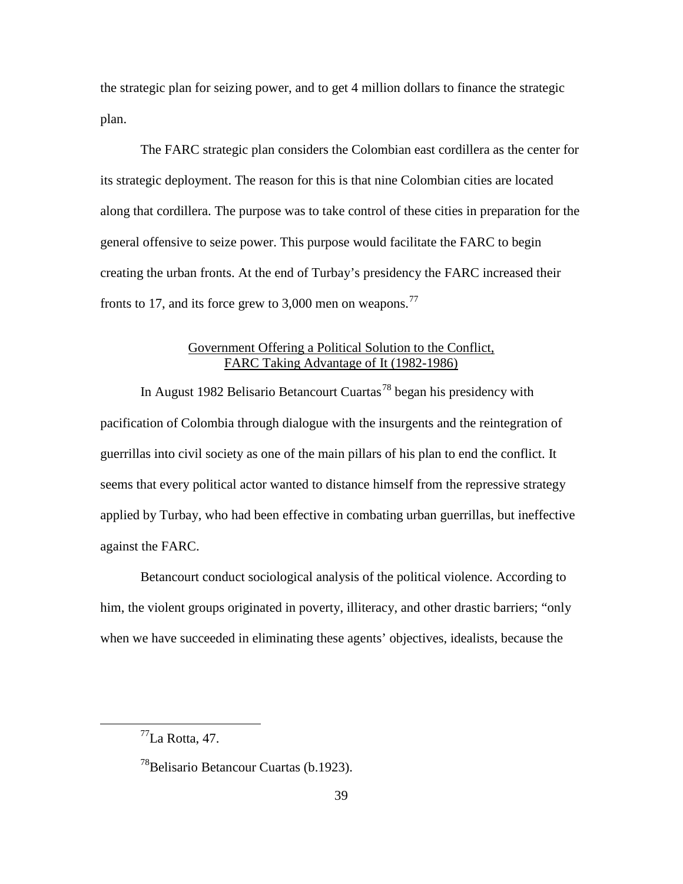the strategic plan for seizing power, and to get 4 million dollars to finance the strategic plan.

The FARC strategic plan considers the Colombian east cordillera as the center for its strategic deployment. The reason for this is that nine Colombian cities are located along that cordillera. The purpose was to take control of these cities in preparation for the general offensive to seize power. This purpose would facilitate the FARC to begin creating the urban fronts. At the end of Turbay's presidency the FARC increased their fronts to 17, and its force grew to 3,000 men on weapons.<sup>[77](#page-48-0)</sup>

# Government Offering a Political Solution to the Conflict, FARC Taking Advantage of It (1982-1986)

In August 1982 Belisario Betancourt Cuartas<sup>[78](#page-48-1)</sup> began his presidency with pacification of Colombia through dialogue with the insurgents and the reintegration of guerrillas into civil society as one of the main pillars of his plan to end the conflict. It seems that every political actor wanted to distance himself from the repressive strategy applied by Turbay, who had been effective in combating urban guerrillas, but ineffective against the FARC.

Betancourt conduct sociological analysis of the political violence. According to him, the violent groups originated in poverty, illiteracy, and other drastic barriers; "only when we have succeeded in eliminating these agents' objectives, idealists, because the

<span id="page-48-0"></span> $<sup>77</sup>$ La Rotta, 47.</sup>

<span id="page-48-1"></span><sup>&</sup>lt;sup>78</sup>Belisario Betancour Cuartas (b.1923).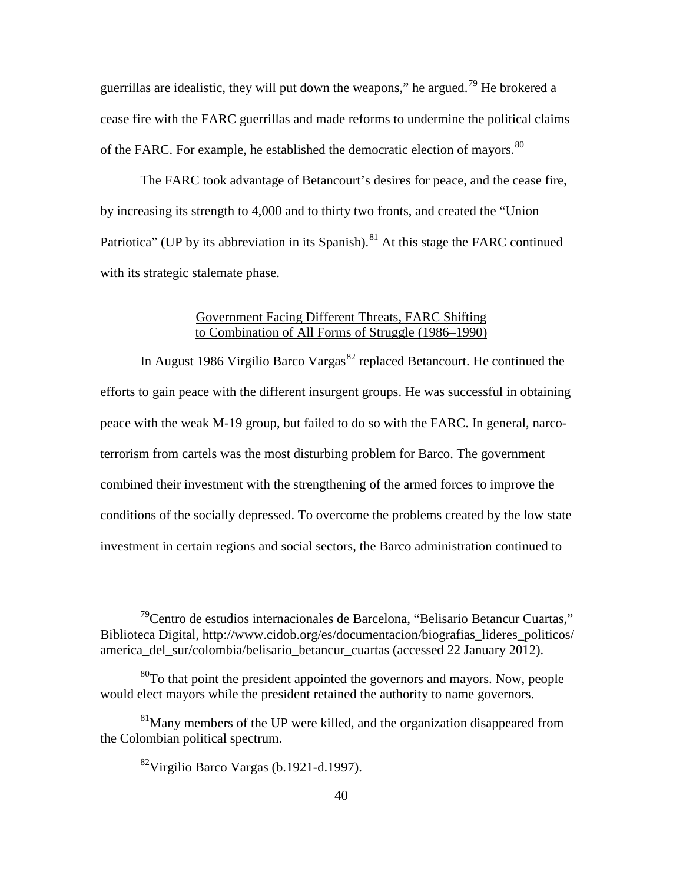guerrillas are idealistic, they will put down the weapons," he argued.<sup>[79](#page-49-0)</sup> He brokered a cease fire with the FARC guerrillas and made reforms to undermine the political claims of the FARC. For example, he established the democratic election of mayors.<sup>[80](#page-49-1)</sup>

The FARC took advantage of Betancourt's desires for peace, and the cease fire, by increasing its strength to 4,000 and to thirty two fronts, and created the "Union Patriotica" (UP by its abbreviation in its Spanish).<sup>[81](#page-49-2)</sup> At this stage the FARC continued with its strategic stalemate phase.

#### Government Facing Different Threats, FARC Shifting to Combination of All Forms of Struggle (1986–1990)

In August 1986 Virgilio Barco Vargas<sup>[82](#page-49-3)</sup> replaced Betancourt. He continued the efforts to gain peace with the different insurgent groups. He was successful in obtaining peace with the weak M-19 group, but failed to do so with the FARC. In general, narcoterrorism from cartels was the most disturbing problem for Barco. The government combined their investment with the strengthening of the armed forces to improve the conditions of the socially depressed. To overcome the problems created by the low state investment in certain regions and social sectors, the Barco administration continued to

<span id="page-49-0"></span> <sup>79</sup>Centro de estudios internacionales de Barcelona, "Belisario Betancur Cuartas," Biblioteca Digital, http://www.cidob.org/es/documentacion/biografias\_lideres\_politicos/ america\_del\_sur/colombia/belisario\_betancur\_cuartas (accessed 22 January 2012).

<span id="page-49-1"></span> $80T<sub>0</sub>$  that point the president appointed the governors and mayors. Now, people would elect mayors while the president retained the authority to name governors.

<span id="page-49-3"></span><span id="page-49-2"></span> $81$ Many members of the UP were killed, and the organization disappeared from the Colombian political spectrum.

<sup>82</sup>Virgilio Barco Vargas (b.1921-d.1997).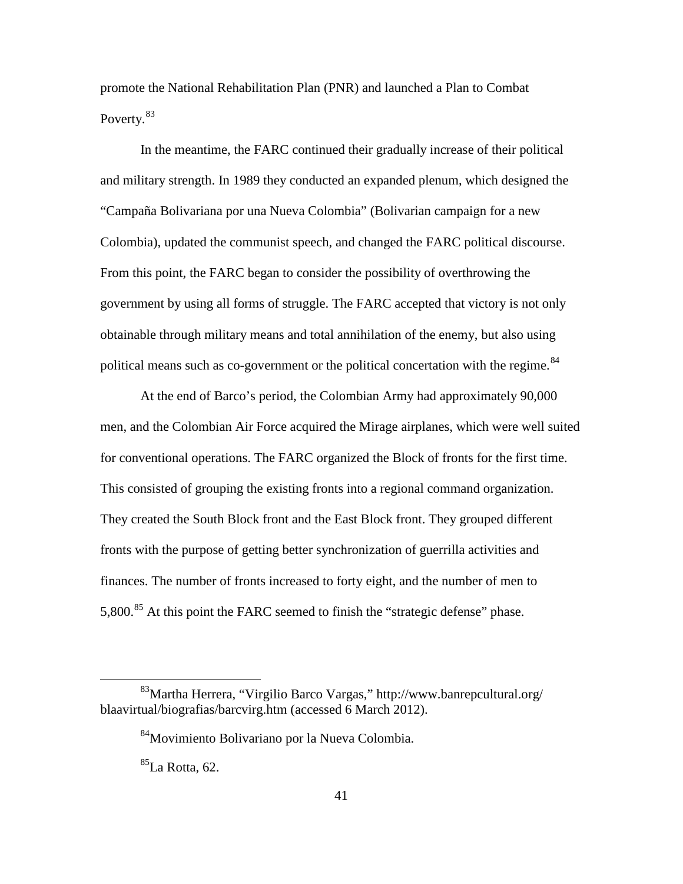promote the National Rehabilitation Plan (PNR) and launched a Plan to Combat Poverty.<sup>[83](#page-50-0)</sup>

In the meantime, the FARC continued their gradually increase of their political and military strength. In 1989 they conducted an expanded plenum, which designed the "Campaña Bolivariana por una Nueva Colombia" (Bolivarian campaign for a new Colombia), updated the communist speech, and changed the FARC political discourse. From this point, the FARC began to consider the possibility of overthrowing the government by using all forms of struggle. The FARC accepted that victory is not only obtainable through military means and total annihilation of the enemy, but also using political means such as co-government or the political concertation with the regime.<sup>[84](#page-50-1)</sup>

At the end of Barco's period, the Colombian Army had approximately 90,000 men, and the Colombian Air Force acquired the Mirage airplanes, which were well suited for conventional operations. The FARC organized the Block of fronts for the first time. This consisted of grouping the existing fronts into a regional command organization. They created the South Block front and the East Block front. They grouped different fronts with the purpose of getting better synchronization of guerrilla activities and finances. The number of fronts increased to forty eight, and the number of men to 5,800.<sup>[85](#page-50-2)</sup> At this point the FARC seemed to finish the "strategic defense" phase.

<span id="page-50-2"></span><span id="page-50-1"></span><span id="page-50-0"></span> <sup>83</sup>Martha Herrera, "Virgilio Barco Vargas," http://www.banrepcultural.org/ blaavirtual/biografias/barcvirg.htm (accessed 6 March 2012).

<sup>84</sup>Movimiento Bolivariano por la Nueva Colombia.

 ${}^{85}$ La Rotta, 62.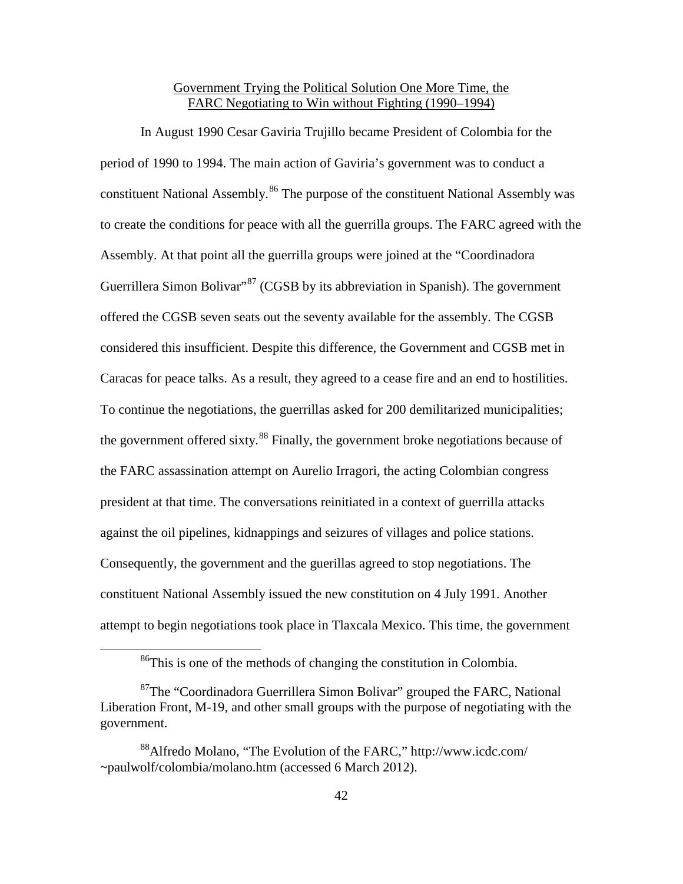# Government Trying the Political Solution One More Time, the FARC Negotiating to Win without Fighting (1990–1994)

In August 1990 Cesar Gaviria Trujillo became President of Colombia for the period of 1990 to 1994. The main action of Gaviria's government was to conduct a constituent National Assembly.<sup>[86](#page-51-0)</sup> The purpose of the constituent National Assembly was to create the conditions for peace with all the guerrilla groups. The FARC agreed with the Assembly. At that point all the guerrilla groups were joined at the "Coordinadora Guerrillera Simon Bolivar"<sup>[87](#page-51-1)</sup> (CGSB by its abbreviation in Spanish). The government offered the CGSB seven seats out the seventy available for the assembly. The CGSB considered this insufficient. Despite this difference, the Government and CGSB met in Caracas for peace talks. As a result, they agreed to a cease fire and an end to hostilities. To continue the negotiations, the guerrillas asked for 200 demilitarized municipalities; the government offered sixty.<sup>[88](#page-51-2)</sup> Finally, the government broke negotiations because of the FARC assassination attempt on Aurelio Irragori, the acting Colombian congress president at that time. The conversations reinitiated in a context of guerrilla attacks against the oil pipelines, kidnappings and seizures of villages and police stations. Consequently, the government and the guerillas agreed to stop negotiations. The constituent National Assembly issued the new constitution on 4 July 1991. Another attempt to begin negotiations took place in Tlaxcala Mexico. This time, the government

<sup>&</sup>lt;sup>86</sup>This is one of the methods of changing the constitution in Colombia.

<span id="page-51-1"></span><span id="page-51-0"></span> $87$ The "Coordinadora Guerrillera Simon Bolivar" grouped the FARC, National Liberation Front, M-19, and other small groups with the purpose of negotiating with the government.

<span id="page-51-2"></span><sup>88</sup>Alfredo Molano, "The Evolution of the FARC," http://www.icdc.com/ ~paulwolf/colombia/molano.htm (accessed 6 March 2012).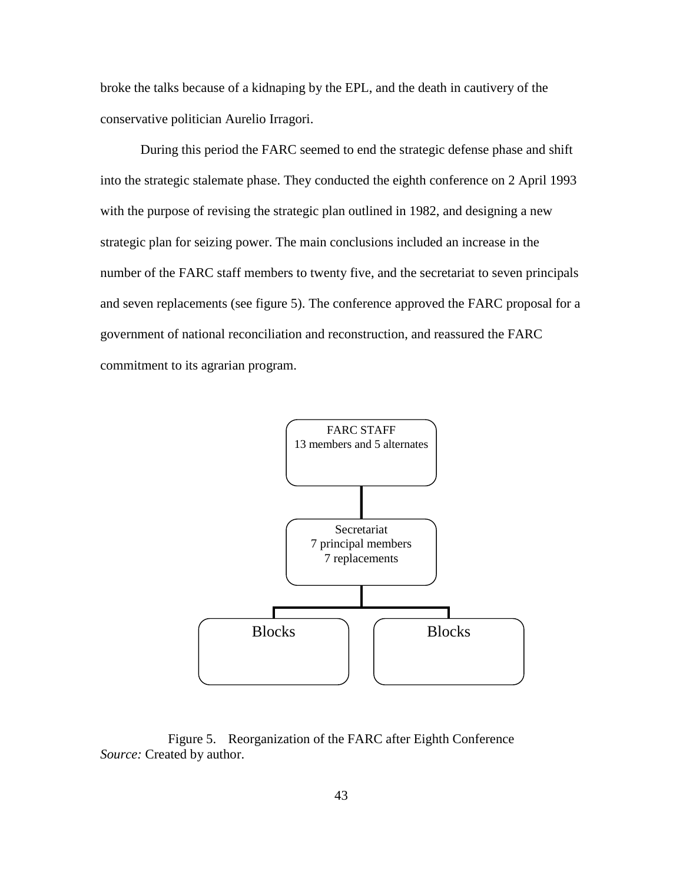broke the talks because of a kidnaping by the EPL, and the death in cautivery of the conservative politician Aurelio Irragori.

During this period the FARC seemed to end the strategic defense phase and shift into the strategic stalemate phase. They conducted the eighth conference on 2 April 1993 with the purpose of revising the strategic plan outlined in 1982, and designing a new strategic plan for seizing power. The main conclusions included an increase in the number of the FARC staff members to twenty five, and the secretariat to seven principals and seven replacements (see figure 5). The conference approved the FARC proposal for a government of national reconciliation and reconstruction, and reassured the FARC commitment to its agrarian program.



Figure 5. Reorganization of the FARC after Eighth Conference *Source:* Created by author.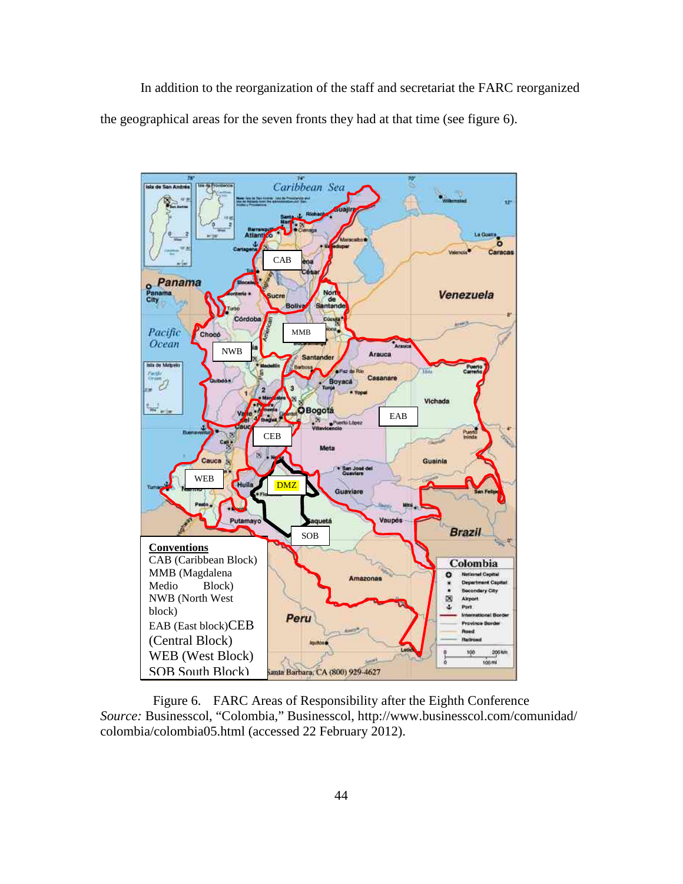In addition to the reorganization of the staff and secretariat the FARC reorganized the geographical areas for the seven fronts they had at that time (see figure 6).



Figure 6. FARC Areas of Responsibility after the Eighth Conference *Source:* Businesscol, "Colombia," Businesscol, http://www.businesscol.com/comunidad/ colombia/colombia05.html (accessed 22 February 2012).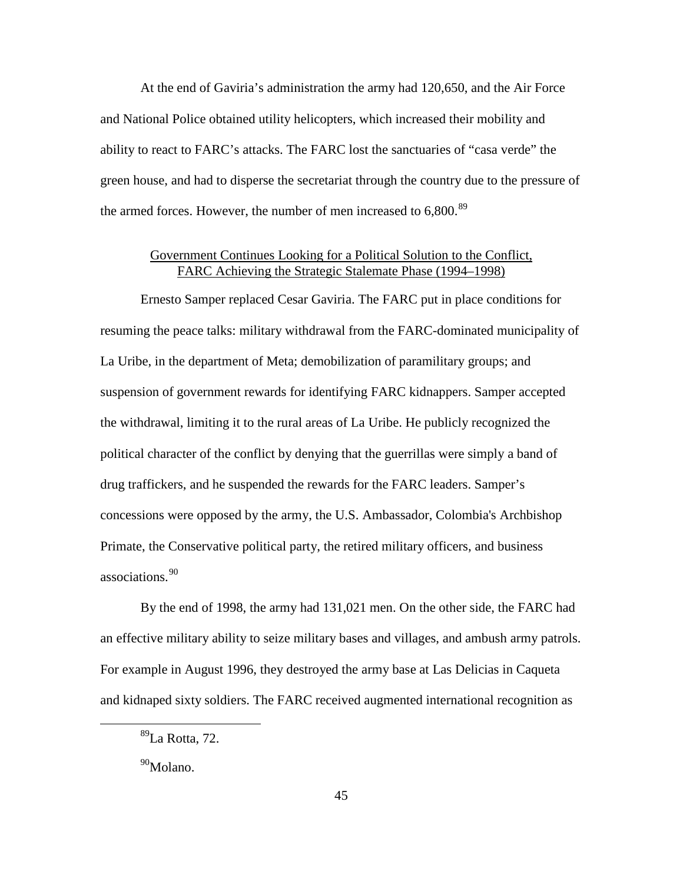At the end of Gaviria's administration the army had 120,650, and the Air Force and National Police obtained utility helicopters, which increased their mobility and ability to react to FARC's attacks. The FARC lost the sanctuaries of "casa verde" the green house, and had to disperse the secretariat through the country due to the pressure of the armed forces. However, the number of men increased to 6,800.<sup>[89](#page-54-0)</sup>

# Government Continues Looking for a Political Solution to the Conflict, FARC Achieving the Strategic Stalemate Phase (1994–1998)

Ernesto Samper replaced Cesar Gaviria. The FARC put in place conditions for resuming the peace talks: military withdrawal from the FARC-dominated municipality of La Uribe, in the department of Meta; demobilization of paramilitary groups; and suspension of government rewards for identifying FARC kidnappers. Samper accepted the withdrawal, limiting it to the rural areas of La Uribe. He publicly recognized the political character of the conflict by denying that the guerrillas were simply a band of drug traffickers, and he suspended the rewards for the FARC leaders. Samper's concessions were opposed by the army, the U.S. Ambassador, Colombia's Archbishop Primate, the Conservative political party, the retired military officers, and business associations.[90](#page-54-1)

By the end of 1998, the army had 131,021 men. On the other side, the FARC had an effective military ability to seize military bases and villages, and ambush army patrols. For example in August 1996, they destroyed the army base at Las Delicias in Caqueta and kidnaped sixty soldiers. The FARC received augmented international recognition as

<span id="page-54-0"></span> <sup>89</sup>La Rotta, 72.

<span id="page-54-1"></span><sup>&</sup>lt;sup>90</sup>Molano.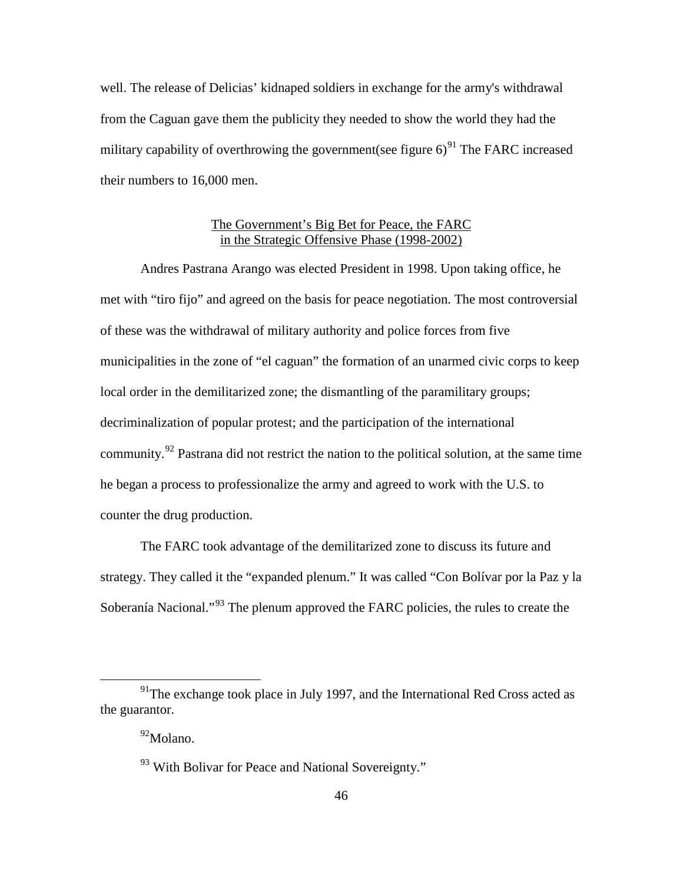well. The release of Delicias' kidnaped soldiers in exchange for the army's withdrawal from the Caguan gave them the publicity they needed to show the world they had the military capability of overthrowing the government(see figure  $6)^{91}$  $6)^{91}$  $6)^{91}$  The FARC increased their numbers to 16,000 men.

# The Government's Big Bet for Peace, the FARC in the Strategic Offensive Phase (1998-2002)

Andres Pastrana Arango was elected President in 1998. Upon taking office, he met with "tiro fijo" and agreed on the basis for peace negotiation. The most controversial of these was the withdrawal of military authority and police forces from five municipalities in the zone of "el caguan" the formation of an unarmed civic corps to keep local order in the demilitarized zone; the dismantling of the paramilitary groups; decriminalization of popular protest; and the participation of the international community.<sup>[92](#page-55-1)</sup> Pastrana did not restrict the nation to the political solution, at the same time he began a process to professionalize the army and agreed to work with the U.S. to counter the drug production.

The FARC took advantage of the demilitarized zone to discuss its future and strategy. They called it the "expanded plenum." It was called "Con Bolívar por la Paz y la Soberanía Nacional."[93](#page-55-2) The plenum approved the FARC policies, the rules to create the

<span id="page-55-2"></span><span id="page-55-1"></span><span id="page-55-0"></span> $91$ <sup>91</sup>The exchange took place in July 1997, and the International Red Cross acted as the guarantor.

<sup>92</sup>Molano.

<sup>&</sup>lt;sup>93</sup> With Bolivar for Peace and National Sovereignty."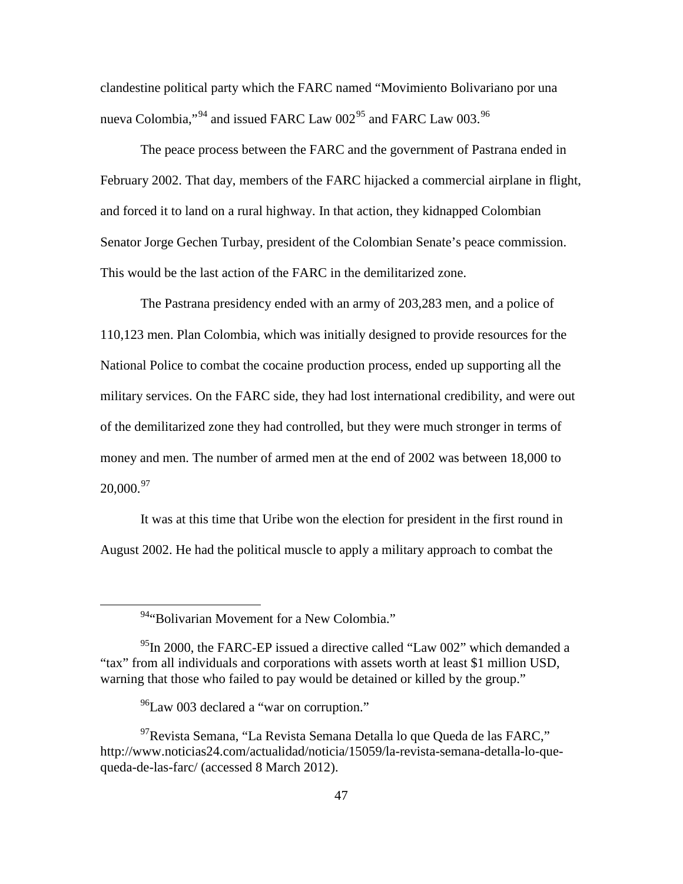clandestine political party which the FARC named "Movimiento Bolivariano por una nueva Colombia,"<sup>[94](#page-56-0)</sup> and issued FARC Law 002<sup>[95](#page-56-1)</sup> and FARC Law 003.<sup>[96](#page-56-2)</sup>

The peace process between the FARC and the government of Pastrana ended in February 2002. That day, members of the FARC hijacked a commercial airplane in flight, and forced it to land on a rural highway. In that action, they kidnapped Colombian Senator Jorge Gechen Turbay, president of the Colombian Senate's peace commission. This would be the last action of the FARC in the demilitarized zone.

The Pastrana presidency ended with an army of 203,283 men, and a police of 110,123 men. Plan Colombia, which was initially designed to provide resources for the National Police to combat the cocaine production process, ended up supporting all the military services. On the FARC side, they had lost international credibility, and were out of the demilitarized zone they had controlled, but they were much stronger in terms of money and men. The number of armed men at the end of 2002 was between 18,000 to  $20,000^{97}$  $20,000^{97}$  $20,000^{97}$ 

It was at this time that Uribe won the election for president in the first round in August 2002. He had the political muscle to apply a military approach to combat the

<sup>&</sup>lt;sup>94</sup>"Bolivarian Movement for a New Colombia."

<span id="page-56-1"></span><span id="page-56-0"></span> $^{95}$ In 2000, the FARC-EP issued a directive called "Law 002" which demanded a "tax" from all individuals and corporations with assets worth at least \$1 million USD, warning that those who failed to pay would be detained or killed by the group."

 $^{96}$ Law 003 declared a "war on corruption."

<span id="page-56-3"></span><span id="page-56-2"></span><sup>97</sup>Revista Semana, "La Revista Semana Detalla lo que Queda de las FARC," http://www.noticias24.com/actualidad/noticia/15059/la-revista-semana-detalla-lo-quequeda-de-las-farc/ (accessed 8 March 2012).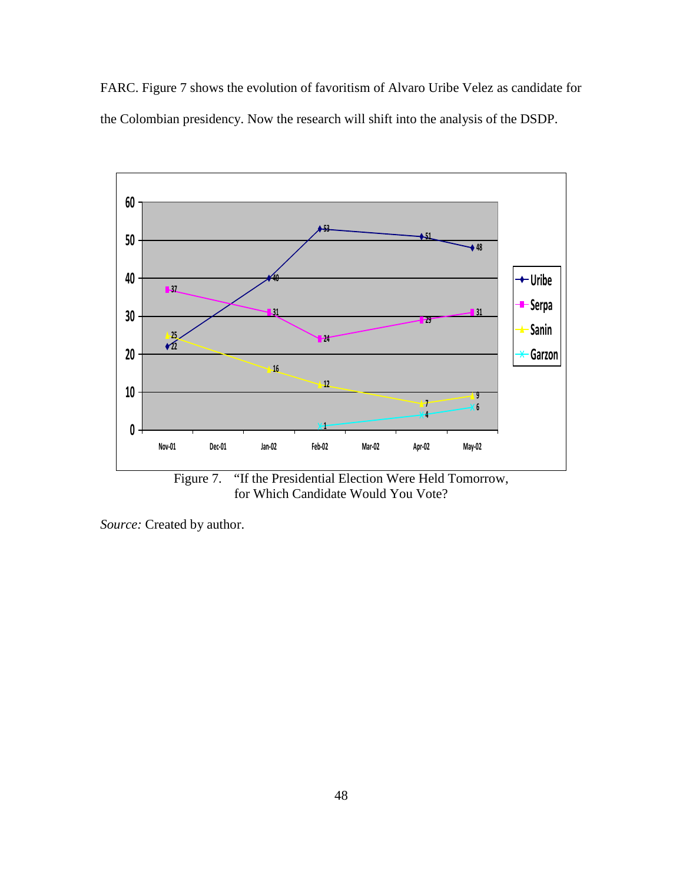FARC. Figure 7 shows the evolution of favoritism of Alvaro Uribe Velez as candidate for the Colombian presidency. Now the research will shift into the analysis of the DSDP.



for Which Candidate Would You Vote?

*Source:* Created by author.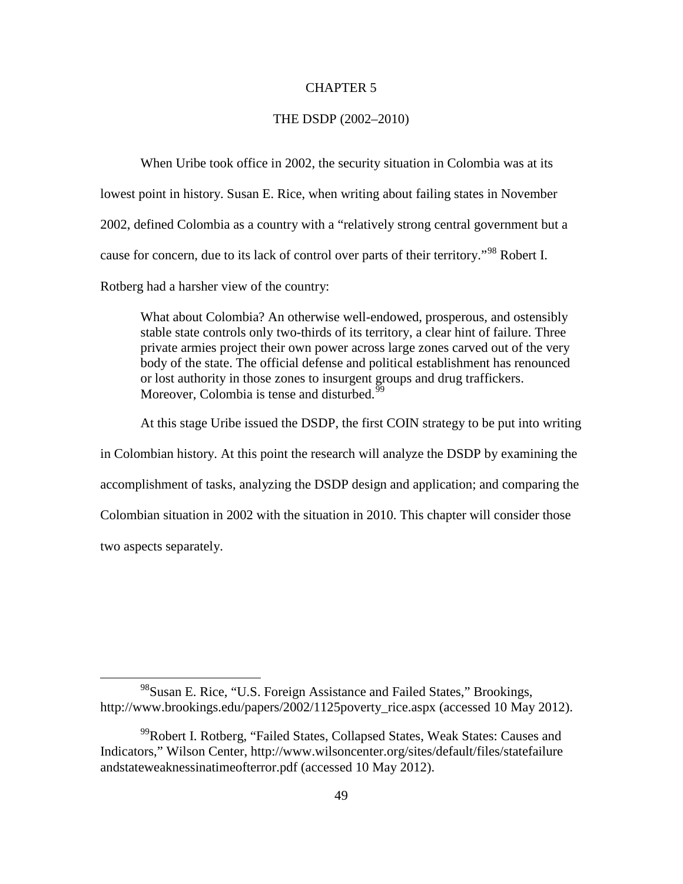#### CHAPTER 5

#### THE DSDP (2002–2010)

When Uribe took office in 2002, the security situation in Colombia was at its lowest point in history. Susan E. Rice, when writing about failing states in November 2002, defined Colombia as a country with a "relatively strong central government but a cause for concern, due to its lack of control over parts of their territory."<sup>[98](#page-58-0)</sup> Robert I. Rotberg had a harsher view of the country:

What about Colombia? An otherwise well-endowed, prosperous, and ostensibly stable state controls only two-thirds of its territory, a clear hint of failure. Three private armies project their own power across large zones carved out of the very body of the state. The official defense and political establishment has renounced or lost authority in those zones to insurgent groups and drug traffickers. Moreover, Colombia is tense and disturbed.<sup>[99](#page-58-1)</sup>

At this stage Uribe issued the DSDP, the first COIN strategy to be put into writing in Colombian history. At this point the research will analyze the DSDP by examining the accomplishment of tasks, analyzing the DSDP design and application; and comparing the Colombian situation in 2002 with the situation in 2010. This chapter will consider those two aspects separately.

<span id="page-58-0"></span><sup>&</sup>lt;sup>98</sup>Susan E. Rice, "U.S. Foreign Assistance and Failed States," Brookings, http://www.brookings.edu/papers/2002/1125poverty\_rice.aspx (accessed 10 May 2012).

<span id="page-58-1"></span><sup>&</sup>lt;sup>99</sup>Robert I. Rotberg, "Failed States, Collapsed States, Weak States: Causes and Indicators," Wilson Center, http://www.wilsoncenter.org/sites/default/files/statefailure andstateweaknessinatimeofterror.pdf (accessed 10 May 2012).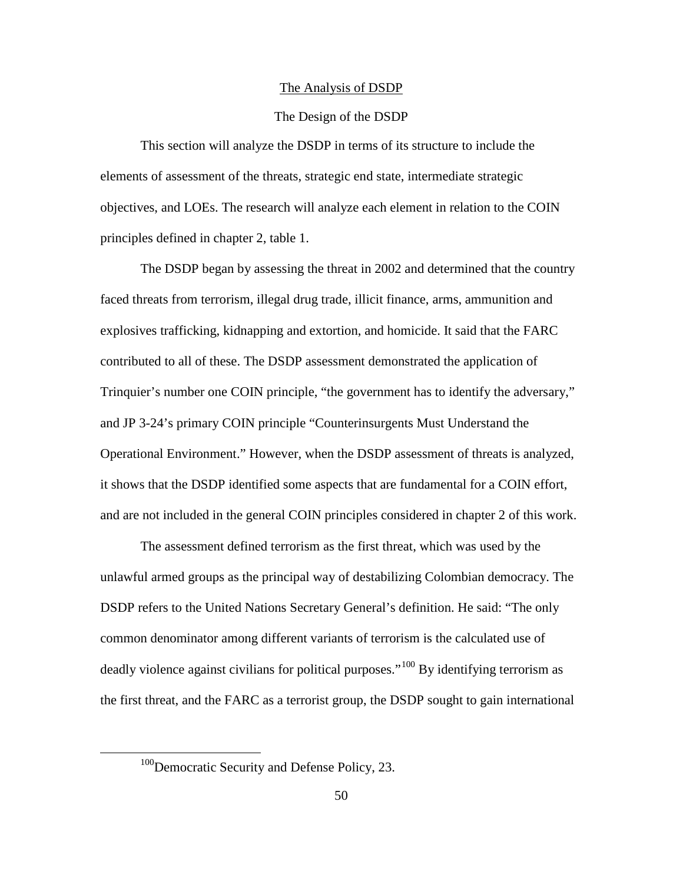#### The Analysis of DSDP

#### The Design of the DSDP

This section will analyze the DSDP in terms of its structure to include the elements of assessment of the threats, strategic end state, intermediate strategic objectives, and LOEs. The research will analyze each element in relation to the COIN principles defined in chapter 2, table 1.

The DSDP began by assessing the threat in 2002 and determined that the country faced threats from terrorism, illegal drug trade, illicit finance, arms, ammunition and explosives trafficking, kidnapping and extortion, and homicide. It said that the FARC contributed to all of these. The DSDP assessment demonstrated the application of Trinquier's number one COIN principle, "the government has to identify the adversary," and JP 3-24's primary COIN principle "Counterinsurgents Must Understand the Operational Environment." However, when the DSDP assessment of threats is analyzed, it shows that the DSDP identified some aspects that are fundamental for a COIN effort, and are not included in the general COIN principles considered in chapter 2 of this work.

The assessment defined terrorism as the first threat, which was used by the unlawful armed groups as the principal way of destabilizing Colombian democracy. The DSDP refers to the United Nations Secretary General's definition. He said: "The only common denominator among different variants of terrorism is the calculated use of deadly violence against civilians for political purposes."<sup>[100](#page-59-0)</sup> By identifying terrorism as the first threat, and the FARC as a terrorist group, the DSDP sought to gain international

<span id="page-59-0"></span><sup>&</sup>lt;sup>100</sup>Democratic Security and Defense Policy, 23.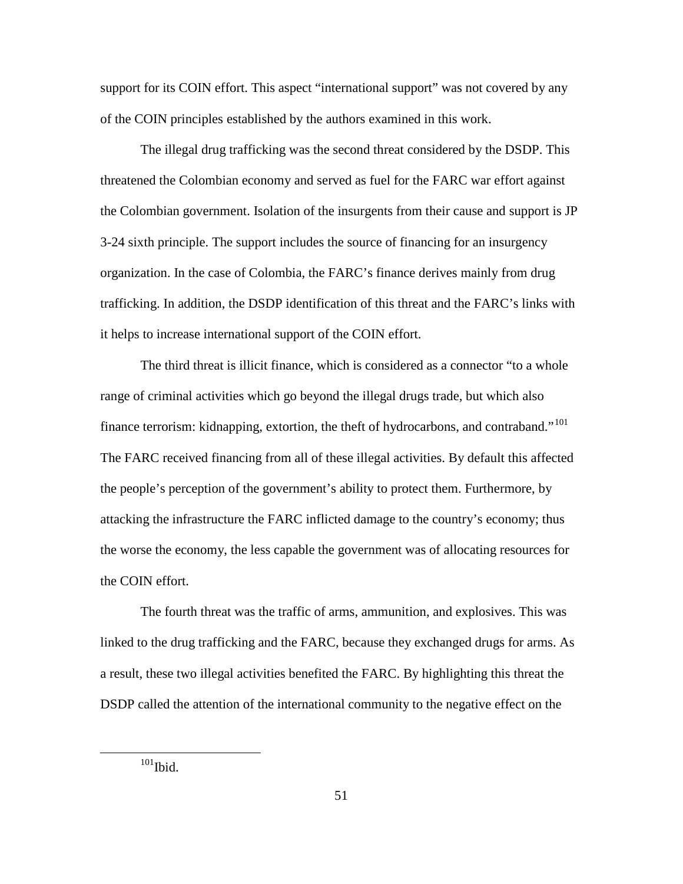support for its COIN effort. This aspect "international support" was not covered by any of the COIN principles established by the authors examined in this work.

The illegal drug trafficking was the second threat considered by the DSDP. This threatened the Colombian economy and served as fuel for the FARC war effort against the Colombian government. Isolation of the insurgents from their cause and support is JP 3-24 sixth principle. The support includes the source of financing for an insurgency organization. In the case of Colombia, the FARC's finance derives mainly from drug trafficking. In addition, the DSDP identification of this threat and the FARC's links with it helps to increase international support of the COIN effort.

The third threat is illicit finance, which is considered as a connector "to a whole range of criminal activities which go beyond the illegal drugs trade, but which also finance terrorism: kidnapping, extortion, the theft of hydrocarbons, and contraband."<sup>[101](#page-60-0)</sup> The FARC received financing from all of these illegal activities. By default this affected the people's perception of the government's ability to protect them. Furthermore, by attacking the infrastructure the FARC inflicted damage to the country's economy; thus the worse the economy, the less capable the government was of allocating resources for the COIN effort.

The fourth threat was the traffic of arms, ammunition, and explosives. This was linked to the drug trafficking and the FARC, because they exchanged drugs for arms. As a result, these two illegal activities benefited the FARC. By highlighting this threat the DSDP called the attention of the international community to the negative effect on the

<span id="page-60-0"></span> $101$ Ibid.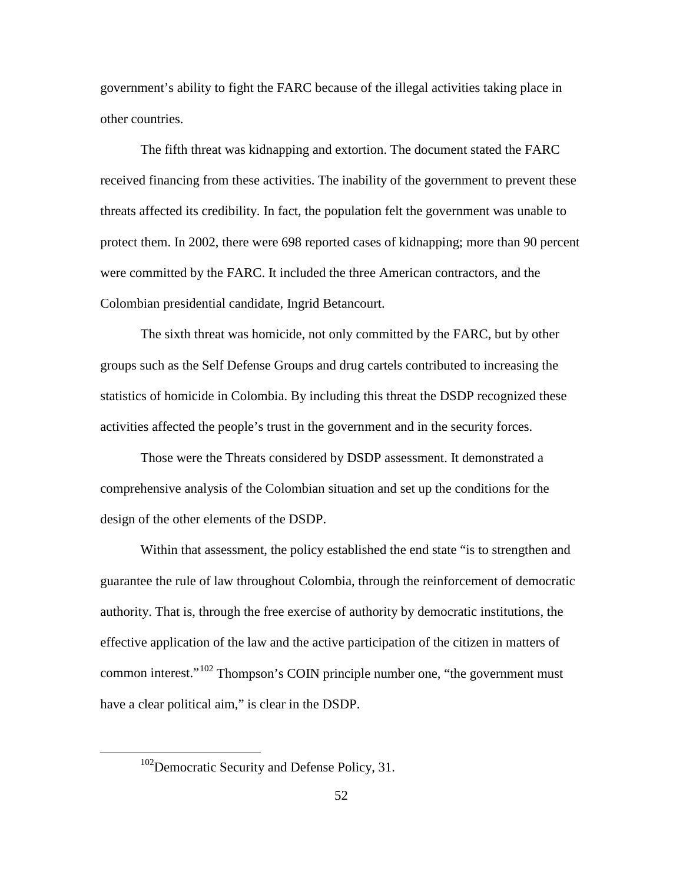government's ability to fight the FARC because of the illegal activities taking place in other countries.

The fifth threat was kidnapping and extortion. The document stated the FARC received financing from these activities. The inability of the government to prevent these threats affected its credibility. In fact, the population felt the government was unable to protect them. In 2002, there were 698 reported cases of kidnapping; more than 90 percent were committed by the FARC. It included the three American contractors, and the Colombian presidential candidate, Ingrid Betancourt.

The sixth threat was homicide, not only committed by the FARC, but by other groups such as the Self Defense Groups and drug cartels contributed to increasing the statistics of homicide in Colombia. By including this threat the DSDP recognized these activities affected the people's trust in the government and in the security forces.

Those were the Threats considered by DSDP assessment. It demonstrated a comprehensive analysis of the Colombian situation and set up the conditions for the design of the other elements of the DSDP.

Within that assessment, the policy established the end state "is to strengthen and guarantee the rule of law throughout Colombia, through the reinforcement of democratic authority. That is, through the free exercise of authority by democratic institutions, the effective application of the law and the active participation of the citizen in matters of common interest."[102](#page-61-0) Thompson's COIN principle number one, "the government must have a clear political aim," is clear in the DSDP.

<span id="page-61-0"></span><sup>&</sup>lt;sup>102</sup>Democratic Security and Defense Policy, 31.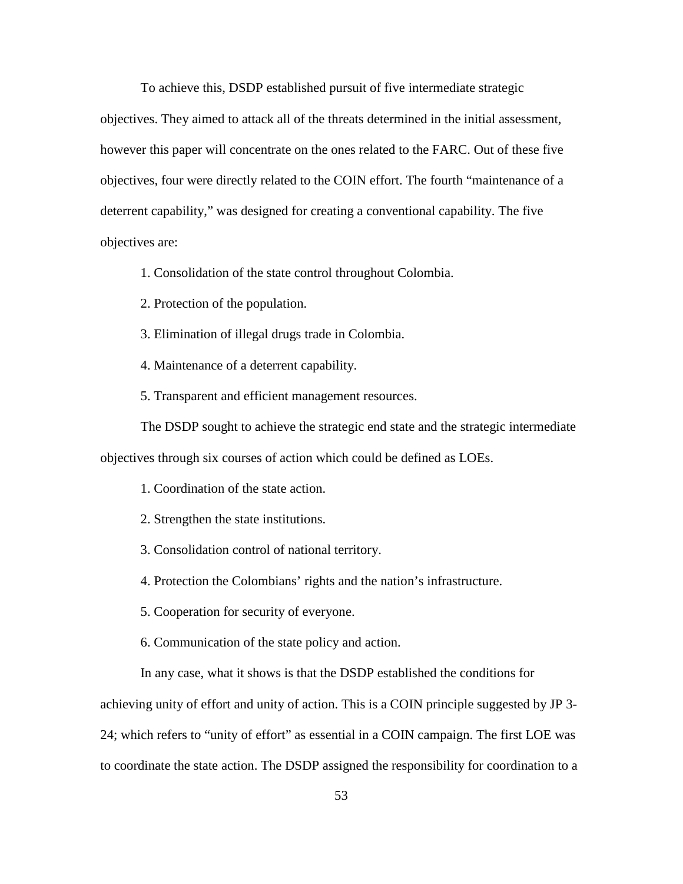To achieve this, DSDP established pursuit of five intermediate strategic

objectives. They aimed to attack all of the threats determined in the initial assessment, however this paper will concentrate on the ones related to the FARC. Out of these five objectives, four were directly related to the COIN effort. The fourth "maintenance of a deterrent capability," was designed for creating a conventional capability. The five objectives are:

1. Consolidation of the state control throughout Colombia.

2. Protection of the population.

3. Elimination of illegal drugs trade in Colombia.

4. Maintenance of a deterrent capability.

5. Transparent and efficient management resources.

The DSDP sought to achieve the strategic end state and the strategic intermediate objectives through six courses of action which could be defined as LOEs.

1. Coordination of the state action.

2. Strengthen the state institutions.

3. Consolidation control of national territory.

4. Protection the Colombians' rights and the nation's infrastructure.

5. Cooperation for security of everyone.

6. Communication of the state policy and action.

In any case, what it shows is that the DSDP established the conditions for achieving unity of effort and unity of action. This is a COIN principle suggested by JP 3- 24; which refers to "unity of effort" as essential in a COIN campaign. The first LOE was to coordinate the state action. The DSDP assigned the responsibility for coordination to a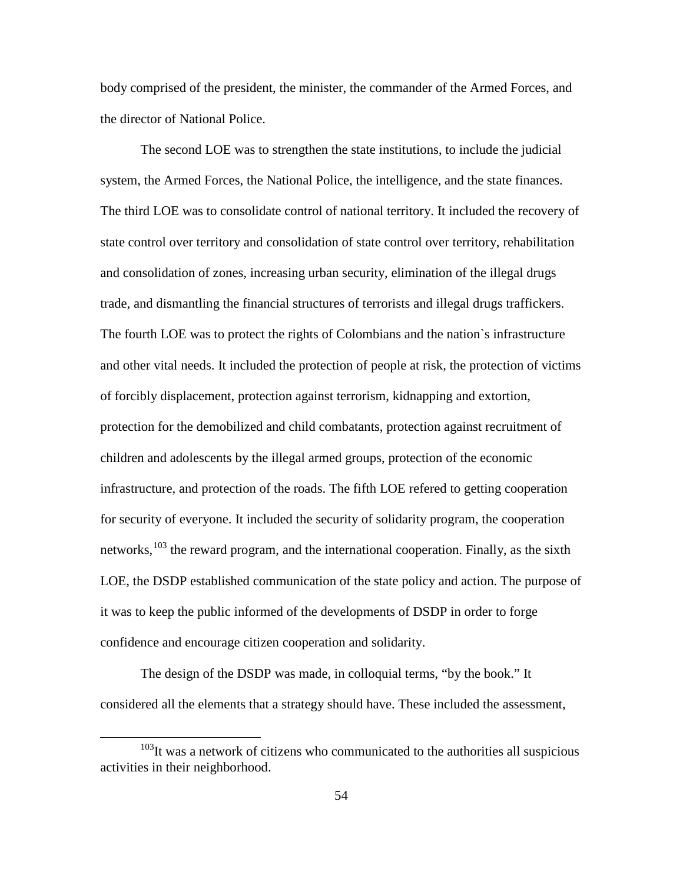body comprised of the president, the minister, the commander of the Armed Forces, and the director of National Police.

The second LOE was to strengthen the state institutions, to include the judicial system, the Armed Forces, the National Police, the intelligence, and the state finances. The third LOE was to consolidate control of national territory. It included the recovery of state control over territory and consolidation of state control over territory, rehabilitation and consolidation of zones, increasing urban security, elimination of the illegal drugs trade, and dismantling the financial structures of terrorists and illegal drugs traffickers. The fourth LOE was to protect the rights of Colombians and the nation`s infrastructure and other vital needs. It included the protection of people at risk, the protection of victims of forcibly displacement, protection against terrorism, kidnapping and extortion, protection for the demobilized and child combatants, protection against recruitment of children and adolescents by the illegal armed groups, protection of the economic infrastructure, and protection of the roads. The fifth LOE refered to getting cooperation for security of everyone. It included the security of solidarity program, the cooperation networks, <sup>[103](#page-63-0)</sup> the reward program, and the international cooperation. Finally, as the sixth LOE, the DSDP established communication of the state policy and action. The purpose of it was to keep the public informed of the developments of DSDP in order to forge confidence and encourage citizen cooperation and solidarity.

The design of the DSDP was made, in colloquial terms, "by the book." It considered all the elements that a strategy should have. These included the assessment,

<span id="page-63-0"></span> $103$ It was a network of citizens who communicated to the authorities all suspicious activities in their neighborhood.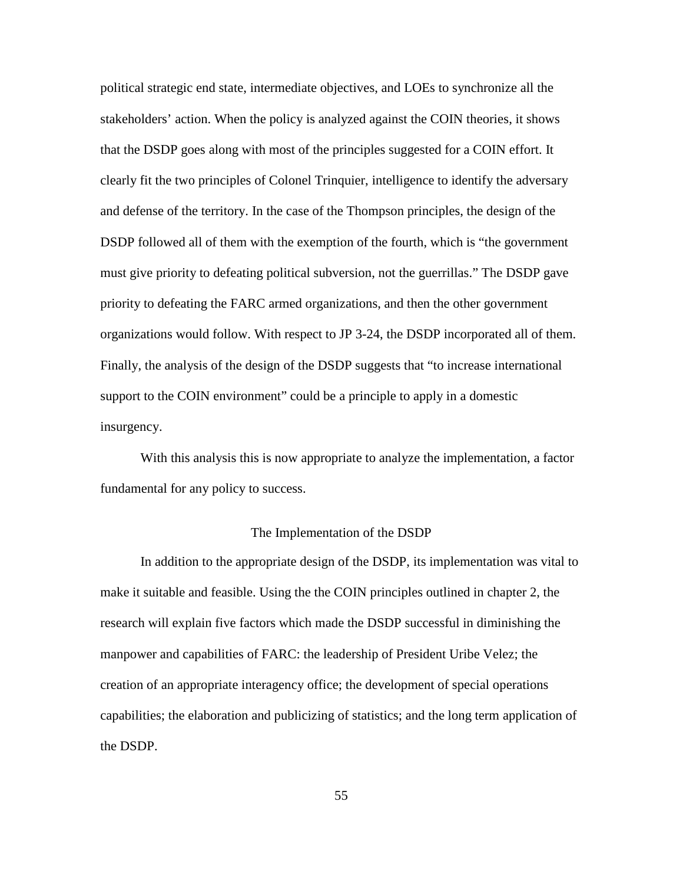political strategic end state, intermediate objectives, and LOEs to synchronize all the stakeholders' action. When the policy is analyzed against the COIN theories, it shows that the DSDP goes along with most of the principles suggested for a COIN effort. It clearly fit the two principles of Colonel Trinquier, intelligence to identify the adversary and defense of the territory. In the case of the Thompson principles, the design of the DSDP followed all of them with the exemption of the fourth, which is "the government must give priority to defeating political subversion, not the guerrillas." The DSDP gave priority to defeating the FARC armed organizations, and then the other government organizations would follow. With respect to JP 3-24, the DSDP incorporated all of them. Finally, the analysis of the design of the DSDP suggests that "to increase international support to the COIN environment" could be a principle to apply in a domestic insurgency.

With this analysis this is now appropriate to analyze the implementation, a factor fundamental for any policy to success.

#### The Implementation of the DSDP

In addition to the appropriate design of the DSDP, its implementation was vital to make it suitable and feasible. Using the the COIN principles outlined in chapter 2, the research will explain five factors which made the DSDP successful in diminishing the manpower and capabilities of FARC: the leadership of President Uribe Velez; the creation of an appropriate interagency office; the development of special operations capabilities; the elaboration and publicizing of statistics; and the long term application of the DSDP.

55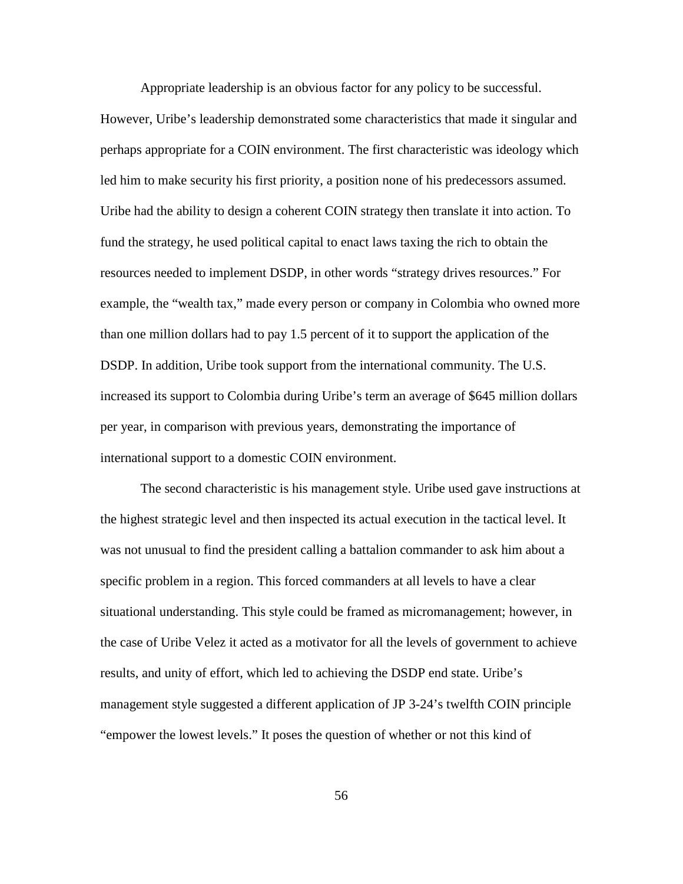Appropriate leadership is an obvious factor for any policy to be successful.

However, Uribe's leadership demonstrated some characteristics that made it singular and perhaps appropriate for a COIN environment. The first characteristic was ideology which led him to make security his first priority, a position none of his predecessors assumed. Uribe had the ability to design a coherent COIN strategy then translate it into action. To fund the strategy, he used political capital to enact laws taxing the rich to obtain the resources needed to implement DSDP, in other words "strategy drives resources." For example, the "wealth tax," made every person or company in Colombia who owned more than one million dollars had to pay 1.5 percent of it to support the application of the DSDP. In addition, Uribe took support from the international community. The U.S. increased its support to Colombia during Uribe's term an average of \$645 million dollars per year, in comparison with previous years, demonstrating the importance of international support to a domestic COIN environment.

The second characteristic is his management style. Uribe used gave instructions at the highest strategic level and then inspected its actual execution in the tactical level. It was not unusual to find the president calling a battalion commander to ask him about a specific problem in a region. This forced commanders at all levels to have a clear situational understanding. This style could be framed as micromanagement; however, in the case of Uribe Velez it acted as a motivator for all the levels of government to achieve results, and unity of effort, which led to achieving the DSDP end state. Uribe's management style suggested a different application of JP 3-24's twelfth COIN principle "empower the lowest levels." It poses the question of whether or not this kind of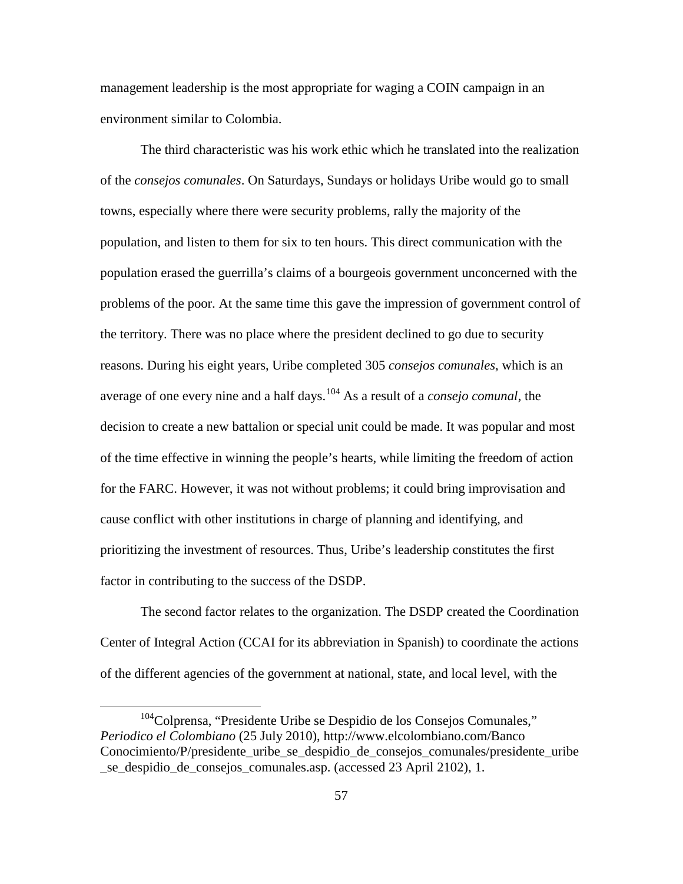management leadership is the most appropriate for waging a COIN campaign in an environment similar to Colombia.

The third characteristic was his work ethic which he translated into the realization of the *consejos comunales*. On Saturdays, Sundays or holidays Uribe would go to small towns, especially where there were security problems, rally the majority of the population, and listen to them for six to ten hours. This direct communication with the population erased the guerrilla's claims of a bourgeois government unconcerned with the problems of the poor. At the same time this gave the impression of government control of the territory. There was no place where the president declined to go due to security reasons. During his eight years, Uribe completed 305 *consejos comunales*, which is an average of one every nine and a half days.[104](#page-66-0) As a result of a *consejo comunal*, the decision to create a new battalion or special unit could be made. It was popular and most of the time effective in winning the people's hearts, while limiting the freedom of action for the FARC. However, it was not without problems; it could bring improvisation and cause conflict with other institutions in charge of planning and identifying, and prioritizing the investment of resources. Thus, Uribe's leadership constitutes the first factor in contributing to the success of the DSDP.

The second factor relates to the organization. The DSDP created the Coordination Center of Integral Action (CCAI for its abbreviation in Spanish) to coordinate the actions of the different agencies of the government at national, state, and local level, with the

<span id="page-66-0"></span><sup>&</sup>lt;sup>104</sup>Colprensa, "Presidente Uribe se Despidio de los Consejos Comunales," *Periodico el Colombiano* (25 July 2010),<http://www.elcolombiano.com/Banco> Conocimiento/P/presidente uribe se despidio de consejos comunales/presidente uribe \_se\_despidio\_de\_consejos\_comunales.asp. (accessed 23 April 2102), 1.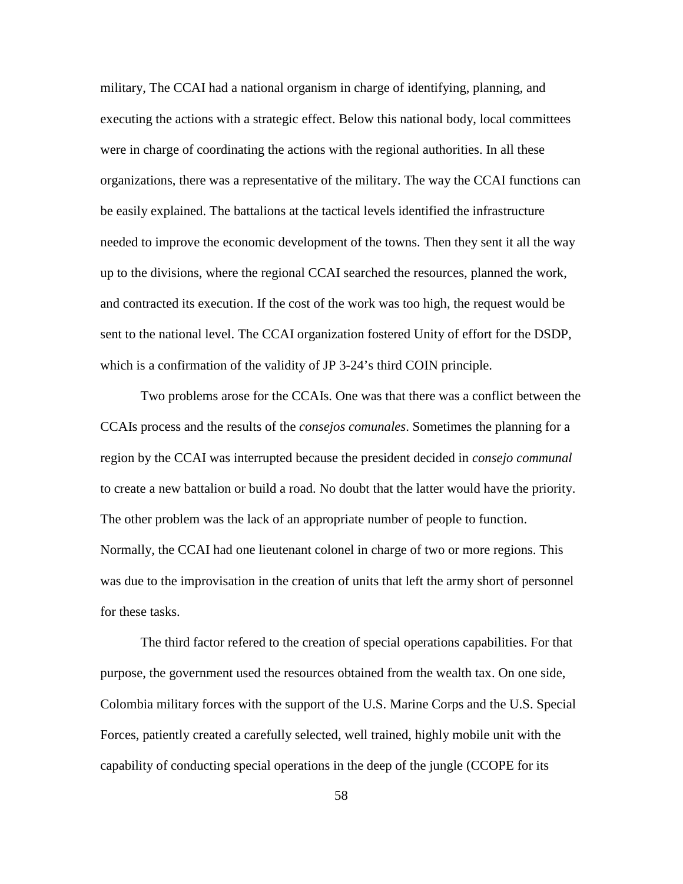military, The CCAI had a national organism in charge of identifying, planning, and executing the actions with a strategic effect. Below this national body, local committees were in charge of coordinating the actions with the regional authorities. In all these organizations, there was a representative of the military. The way the CCAI functions can be easily explained. The battalions at the tactical levels identified the infrastructure needed to improve the economic development of the towns. Then they sent it all the way up to the divisions, where the regional CCAI searched the resources, planned the work, and contracted its execution. If the cost of the work was too high, the request would be sent to the national level. The CCAI organization fostered Unity of effort for the DSDP, which is a confirmation of the validity of JP 3-24's third COIN principle.

Two problems arose for the CCAIs. One was that there was a conflict between the CCAIs process and the results of the *consejos comunales*. Sometimes the planning for a region by the CCAI was interrupted because the president decided in *consejo communal* to create a new battalion or build a road. No doubt that the latter would have the priority. The other problem was the lack of an appropriate number of people to function. Normally, the CCAI had one lieutenant colonel in charge of two or more regions. This was due to the improvisation in the creation of units that left the army short of personnel for these tasks.

The third factor refered to the creation of special operations capabilities. For that purpose, the government used the resources obtained from the wealth tax. On one side, Colombia military forces with the support of the U.S. Marine Corps and the U.S. Special Forces, patiently created a carefully selected, well trained, highly mobile unit with the capability of conducting special operations in the deep of the jungle (CCOPE for its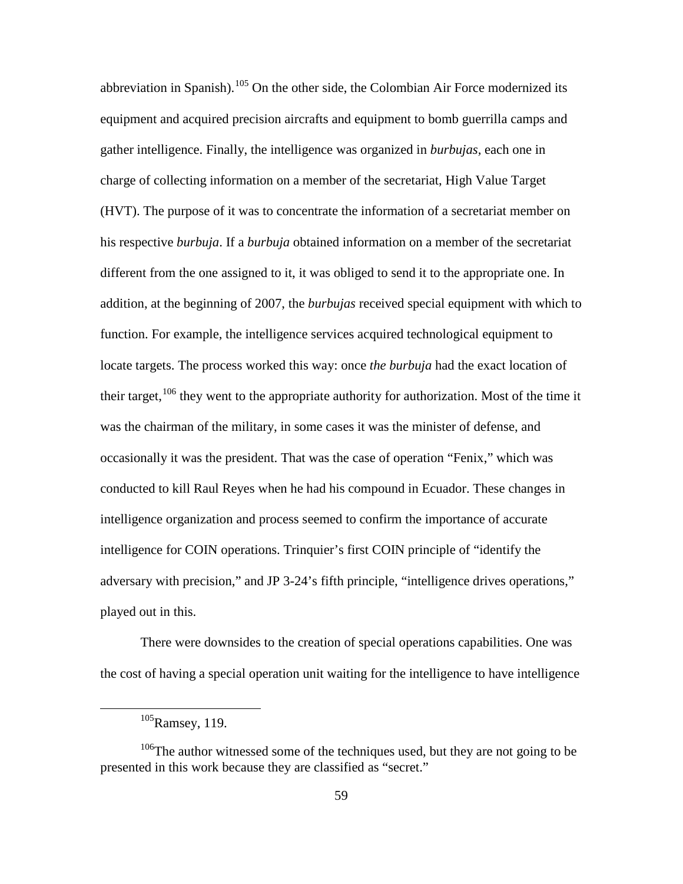abbreviation in Spanish).<sup>[105](#page-68-0)</sup> On the other side, the Colombian Air Force modernized its equipment and acquired precision aircrafts and equipment to bomb guerrilla camps and gather intelligence. Finally, the intelligence was organized in *burbujas,* each one in charge of collecting information on a member of the secretariat, High Value Target (HVT). The purpose of it was to concentrate the information of a secretariat member on his respective *burbuja*. If a *burbuja* obtained information on a member of the secretariat different from the one assigned to it, it was obliged to send it to the appropriate one. In addition, at the beginning of 2007, the *burbujas* received special equipment with which to function. For example, the intelligence services acquired technological equipment to locate targets. The process worked this way: once *the burbuja* had the exact location of their target, <sup>[106](#page-68-1)</sup> they went to the appropriate authority for authorization. Most of the time it was the chairman of the military, in some cases it was the minister of defense, and occasionally it was the president. That was the case of operation "Fenix," which was conducted to kill Raul Reyes when he had his compound in Ecuador. These changes in intelligence organization and process seemed to confirm the importance of accurate intelligence for COIN operations. Trinquier's first COIN principle of "identify the adversary with precision," and JP 3-24's fifth principle, "intelligence drives operations," played out in this.

There were downsides to the creation of special operations capabilities. One was the cost of having a special operation unit waiting for the intelligence to have intelligence

 <sup>105</sup>Ramsey, 119.

<span id="page-68-1"></span><span id="page-68-0"></span><sup>&</sup>lt;sup>106</sup>The author witnessed some of the techniques used, but they are not going to be presented in this work because they are classified as "secret."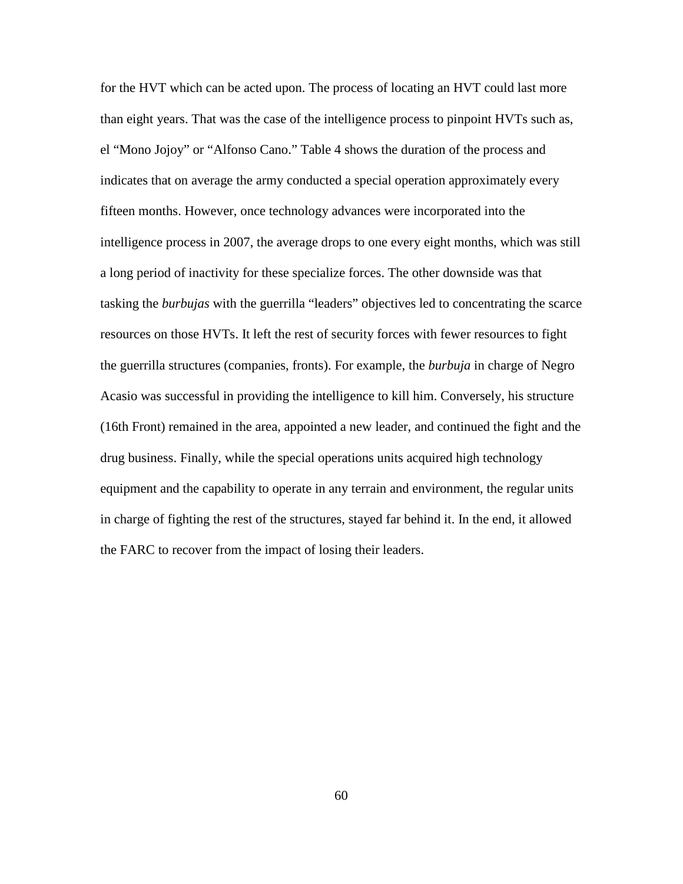for the HVT which can be acted upon. The process of locating an HVT could last more than eight years. That was the case of the intelligence process to pinpoint HVTs such as, el "Mono Jojoy" or "Alfonso Cano." Table 4 shows the duration of the process and indicates that on average the army conducted a special operation approximately every fifteen months. However, once technology advances were incorporated into the intelligence process in 2007, the average drops to one every eight months, which was still a long period of inactivity for these specialize forces. The other downside was that tasking the *burbujas* with the guerrilla "leaders" objectives led to concentrating the scarce resources on those HVTs. It left the rest of security forces with fewer resources to fight the guerrilla structures (companies, fronts). For example, the *burbuja* in charge of Negro Acasio was successful in providing the intelligence to kill him. Conversely, his structure (16th Front) remained in the area, appointed a new leader, and continued the fight and the drug business. Finally, while the special operations units acquired high technology equipment and the capability to operate in any terrain and environment, the regular units in charge of fighting the rest of the structures, stayed far behind it. In the end, it allowed the FARC to recover from the impact of losing their leaders.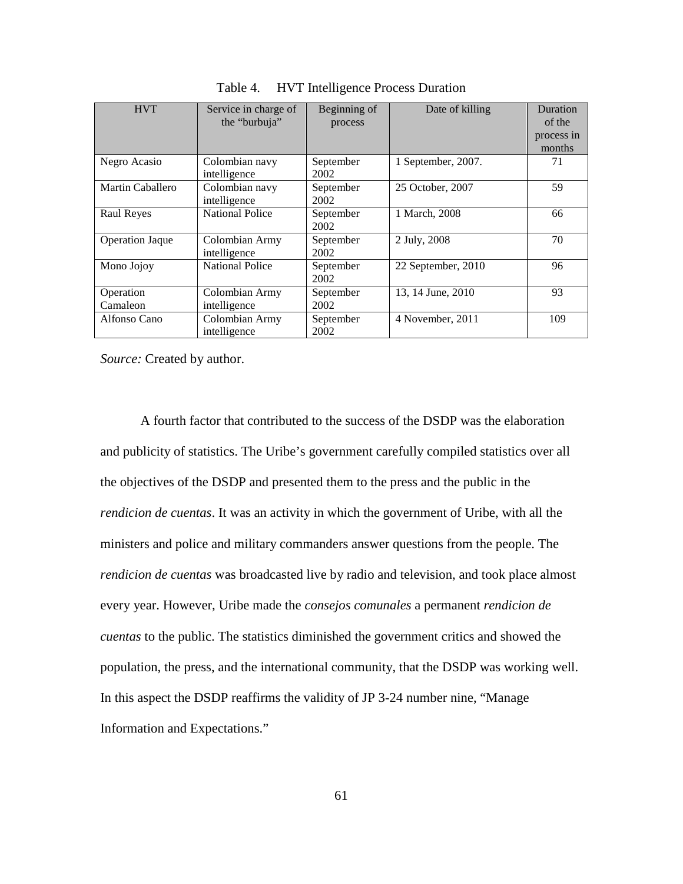| <b>HVT</b>             | Service in charge of<br>the "burbuja" | Beginning of<br>process | Date of killing    | <b>Duration</b><br>of the<br>process in<br>months |
|------------------------|---------------------------------------|-------------------------|--------------------|---------------------------------------------------|
| Negro Acasio           | Colombian navy<br>intelligence        | September<br>2002       | 1 September, 2007. | 71                                                |
| Martin Caballero       | Colombian navy<br>intelligence        | September<br>2002       | 25 October, 2007   | 59                                                |
| <b>Raul Reyes</b>      | <b>National Police</b>                | September<br>2002       | 1 March, 2008      | 66                                                |
| <b>Operation Jaque</b> | Colombian Army<br>intelligence        | September<br>2002       | 2 July, 2008       | 70                                                |
| Mono Jojoy             | <b>National Police</b>                | September<br>2002       | 22 September, 2010 | 96                                                |
| Operation<br>Camaleon  | Colombian Army<br>intelligence        | September<br>2002       | 13, 14 June, 2010  | 93                                                |
| Alfonso Cano           | Colombian Army<br>intelligence        | September<br>2002       | 4 November, 2011   | 109                                               |

Table 4. HVT Intelligence Process Duration

*Source:* Created by author.

A fourth factor that contributed to the success of the DSDP was the elaboration and publicity of statistics. The Uribe's government carefully compiled statistics over all the objectives of the DSDP and presented them to the press and the public in the *rendicion de cuentas*. It was an activity in which the government of Uribe, with all the ministers and police and military commanders answer questions from the people. The *rendicion de cuentas* was broadcasted live by radio and television, and took place almost every year. However, Uribe made the *consejos comunales* a permanent *rendicion de cuentas* to the public. The statistics diminished the government critics and showed the population, the press, and the international community, that the DSDP was working well. In this aspect the DSDP reaffirms the validity of JP 3-24 number nine, "Manage Information and Expectations."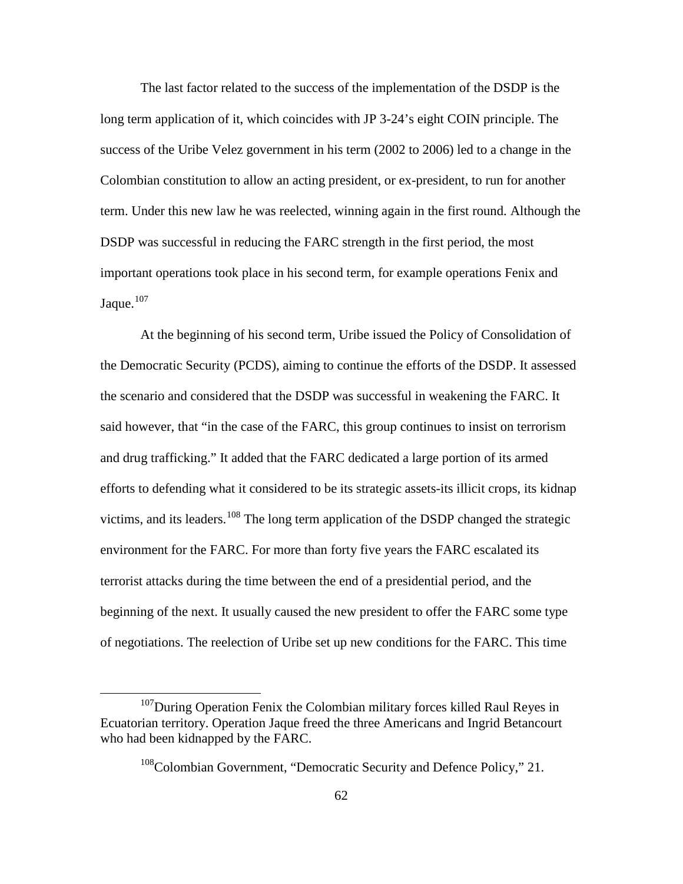The last factor related to the success of the implementation of the DSDP is the long term application of it, which coincides with JP 3-24's eight COIN principle. The success of the Uribe Velez government in his term (2002 to 2006) led to a change in the Colombian constitution to allow an acting president, or ex-president, to run for another term. Under this new law he was reelected, winning again in the first round. Although the DSDP was successful in reducing the FARC strength in the first period, the most important operations took place in his second term, for example operations Fenix and Jaque.<sup>[107](#page-71-0)</sup>

At the beginning of his second term, Uribe issued the Policy of Consolidation of the Democratic Security (PCDS), aiming to continue the efforts of the DSDP. It assessed the scenario and considered that the DSDP was successful in weakening the FARC. It said however, that "in the case of the FARC, this group continues to insist on terrorism and drug trafficking." It added that the FARC dedicated a large portion of its armed efforts to defending what it considered to be its strategic assets-its illicit crops, its kidnap victims, and its leaders.<sup>[108](#page-71-1)</sup> The long term application of the DSDP changed the strategic environment for the FARC. For more than forty five years the FARC escalated its terrorist attacks during the time between the end of a presidential period, and the beginning of the next. It usually caused the new president to offer the FARC some type of negotiations. The reelection of Uribe set up new conditions for the FARC. This time

<span id="page-71-1"></span><span id="page-71-0"></span><sup>&</sup>lt;sup>107</sup>During Operation Fenix the Colombian military forces killed Raul Reyes in Ecuatorian territory. Operation Jaque freed the three Americans and Ingrid Betancourt who had been kidnapped by the FARC.

<sup>&</sup>lt;sup>108</sup>Colombian Government, "Democratic Security and Defence Policy," 21.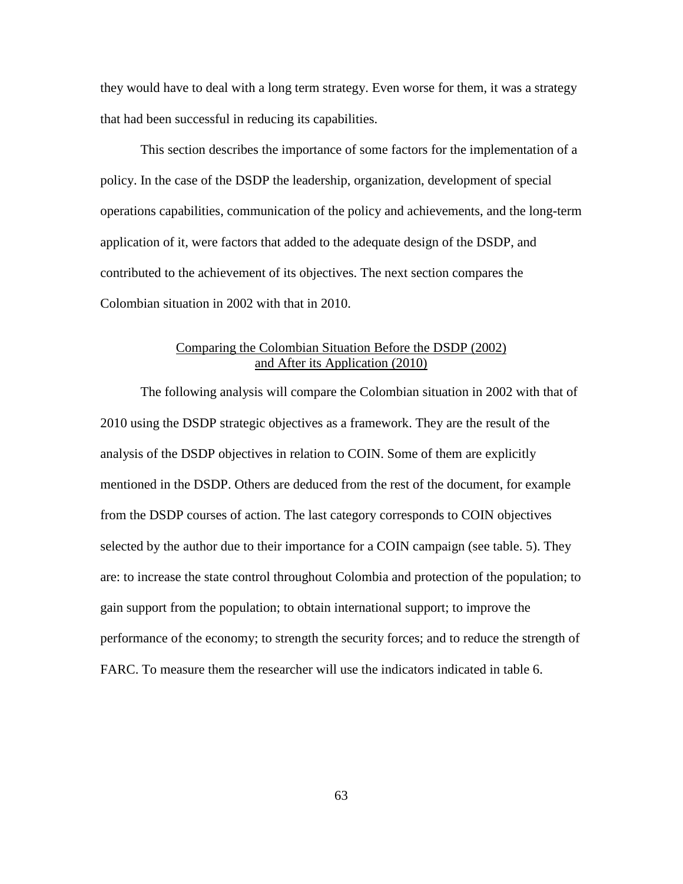they would have to deal with a long term strategy. Even worse for them, it was a strategy that had been successful in reducing its capabilities.

This section describes the importance of some factors for the implementation of a policy. In the case of the DSDP the leadership, organization, development of special operations capabilities, communication of the policy and achievements, and the long-term application of it, were factors that added to the adequate design of the DSDP, and contributed to the achievement of its objectives. The next section compares the Colombian situation in 2002 with that in 2010.

# Comparing the Colombian Situation Before the DSDP (2002) and After its Application (2010)

The following analysis will compare the Colombian situation in 2002 with that of 2010 using the DSDP strategic objectives as a framework. They are the result of the analysis of the DSDP objectives in relation to COIN. Some of them are explicitly mentioned in the DSDP. Others are deduced from the rest of the document, for example from the DSDP courses of action. The last category corresponds to COIN objectives selected by the author due to their importance for a COIN campaign (see table. 5). They are: to increase the state control throughout Colombia and protection of the population; to gain support from the population; to obtain international support; to improve the performance of the economy; to strength the security forces; and to reduce the strength of FARC. To measure them the researcher will use the indicators indicated in table 6.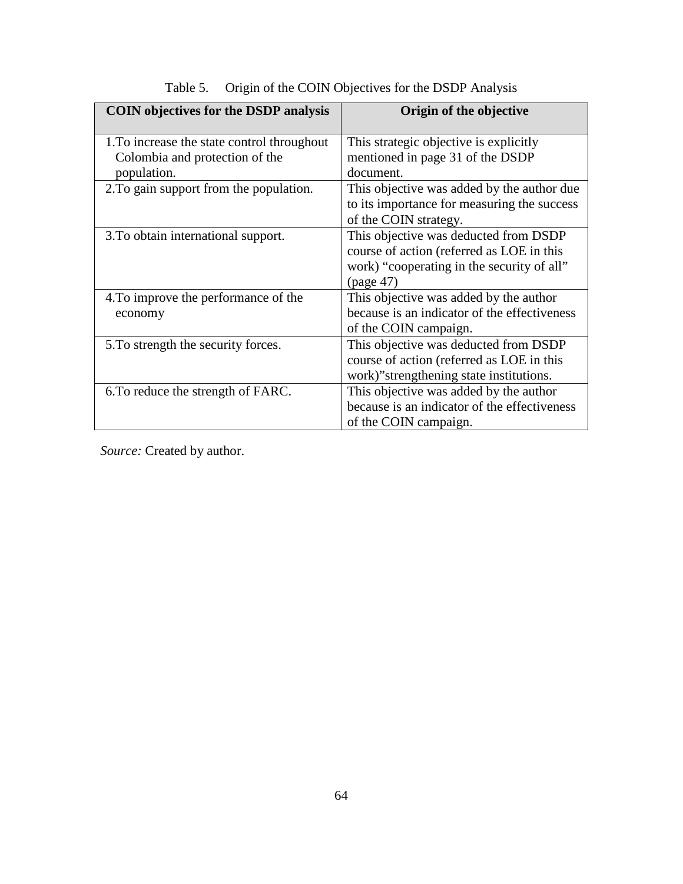| <b>COIN</b> objectives for the DSDP analysis | Origin of the objective                      |
|----------------------------------------------|----------------------------------------------|
| 1. To increase the state control throughout  | This strategic objective is explicitly       |
| Colombia and protection of the               | mentioned in page 31 of the DSDP             |
| population.                                  | document.                                    |
| 2. To gain support from the population.      | This objective was added by the author due   |
|                                              | to its importance for measuring the success  |
|                                              | of the COIN strategy.                        |
| 3. To obtain international support.          | This objective was deducted from DSDP        |
|                                              | course of action (referred as LOE in this    |
|                                              | work) "cooperating in the security of all"   |
|                                              | (page 47)                                    |
| 4. To improve the performance of the         | This objective was added by the author       |
| economy                                      | because is an indicator of the effectiveness |
|                                              | of the COIN campaign.                        |
| 5. To strength the security forces.          | This objective was deducted from DSDP        |
|                                              | course of action (referred as LOE in this    |
|                                              | work)" strengthening state institutions.     |
| 6. To reduce the strength of FARC.           | This objective was added by the author       |
|                                              | because is an indicator of the effectiveness |
|                                              | of the COIN campaign.                        |

# Table 5. Origin of the COIN Objectives for the DSDP Analysis

*Source:* Created by author.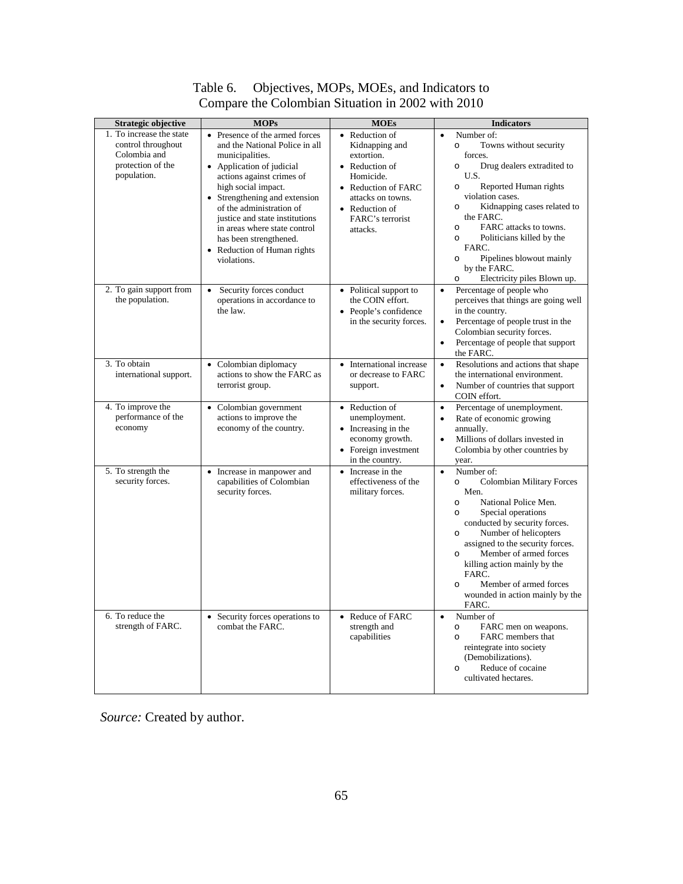| <b>Strategic objective</b>                                                                         | <b>MOPs</b>                                                                                                                                                                                                                                                                                                                                                                                                             | <b>MOEs</b>                                                                                                                                                                                                         | <b>Indicators</b>                                                                                                                                                                                                                                                                                                                                                                                                              |
|----------------------------------------------------------------------------------------------------|-------------------------------------------------------------------------------------------------------------------------------------------------------------------------------------------------------------------------------------------------------------------------------------------------------------------------------------------------------------------------------------------------------------------------|---------------------------------------------------------------------------------------------------------------------------------------------------------------------------------------------------------------------|--------------------------------------------------------------------------------------------------------------------------------------------------------------------------------------------------------------------------------------------------------------------------------------------------------------------------------------------------------------------------------------------------------------------------------|
| 1. To increase the state<br>control throughout<br>Colombia and<br>protection of the<br>population. | Presence of the armed forces<br>$\bullet$<br>and the National Police in all<br>municipalities.<br>Application of judicial<br>$\bullet$<br>actions against crimes of<br>high social impact.<br>Strengthening and extension<br>$\bullet$<br>of the administration of<br>justice and state institutions<br>in areas where state control<br>has been strengthened.<br>Reduction of Human rights<br>$\bullet$<br>violations. | Reduction of<br>$\bullet$<br>Kidnapping and<br>extortion.<br>Reduction of<br>$\bullet$<br>Homicide.<br><b>Reduction of FARC</b><br>$\bullet$<br>attacks on towns.<br>• Reduction of<br>FARC's terrorist<br>attacks. | Number of:<br>$\bullet$<br>Towns without security<br>$\circ$<br>forces.<br>Drug dealers extradited to<br>$\circ$<br>U.S.<br>Reported Human rights<br>$\circ$<br>violation cases.<br>Kidnapping cases related to<br>$\circ$<br>the FARC.<br>FARC attacks to towns.<br>$\circ$<br>Politicians killed by the<br>$\circ$<br>FARC.<br>Pipelines blowout mainly<br>$\circ$<br>by the FARC.<br>Electricity piles Blown up.<br>$\circ$ |
| 2. To gain support from<br>the population.                                                         | Security forces conduct<br>$\bullet$<br>operations in accordance to<br>the law.                                                                                                                                                                                                                                                                                                                                         | Political support to<br>$\bullet$<br>the COIN effort.<br>People's confidence<br>$\bullet$<br>in the security forces.                                                                                                | Percentage of people who<br>$\bullet$<br>perceives that things are going well<br>in the country.<br>Percentage of people trust in the<br>$\bullet$<br>Colombian security forces.<br>Percentage of people that support<br>$\bullet$<br>the FARC.                                                                                                                                                                                |
| 3. To obtain<br>international support.                                                             | Colombian diplomacy<br>$\bullet$<br>actions to show the FARC as<br>terrorist group.                                                                                                                                                                                                                                                                                                                                     | International increase<br>$\bullet$<br>or decrease to FARC<br>support.                                                                                                                                              | Resolutions and actions that shape<br>$\bullet$<br>the international environment.<br>Number of countries that support<br>$\bullet$<br>COIN effort.                                                                                                                                                                                                                                                                             |
| 4. To improve the<br>performance of the<br>economy                                                 | • Colombian government<br>actions to improve the<br>economy of the country.                                                                                                                                                                                                                                                                                                                                             | Reduction of<br>$\bullet$<br>unemployment.<br>Increasing in the<br>$\bullet$<br>economy growth.<br>Foreign investment<br>$\bullet$<br>in the country.                                                               | Percentage of unemployment.<br>$\bullet$<br>Rate of economic growing<br>$\bullet$<br>annually.<br>Millions of dollars invested in<br>$\bullet$<br>Colombia by other countries by<br>year.                                                                                                                                                                                                                                      |
| 5. To strength the<br>security forces.                                                             | Increase in manpower and<br>$\bullet$<br>capabilities of Colombian<br>security forces.                                                                                                                                                                                                                                                                                                                                  | • Increase in the<br>effectiveness of the<br>military forces.                                                                                                                                                       | Number of:<br>$\bullet$<br><b>Colombian Military Forces</b><br>$\circ$<br>Men.<br>National Police Men.<br>$\circ$<br>Special operations<br>$\circ$<br>conducted by security forces.<br>Number of helicopters<br>$\circ$<br>assigned to the security forces.<br>Member of armed forces<br>$\circ$<br>killing action mainly by the<br>FARC.<br>Member of armed forces<br>$\circ$<br>wounded in action mainly by the<br>FARC.     |
| 6. To reduce the<br>strength of FARC.                                                              | Security forces operations to<br>$\bullet$<br>combat the FARC.                                                                                                                                                                                                                                                                                                                                                          | Reduce of FARC<br>$\bullet$<br>strength and<br>capabilities                                                                                                                                                         | Number of<br>$\bullet$<br>FARC men on weapons.<br>$\circ$<br>FARC members that<br>$\circ$<br>reintegrate into society<br>(Demobilizations).<br>Reduce of cocaine<br>$\circ$<br>cultivated hectares.                                                                                                                                                                                                                            |

# Table 6. Objectives, MOPs, MOEs, and Indicators to Compare the Colombian Situation in 2002 with 2010

*Source:* Created by author.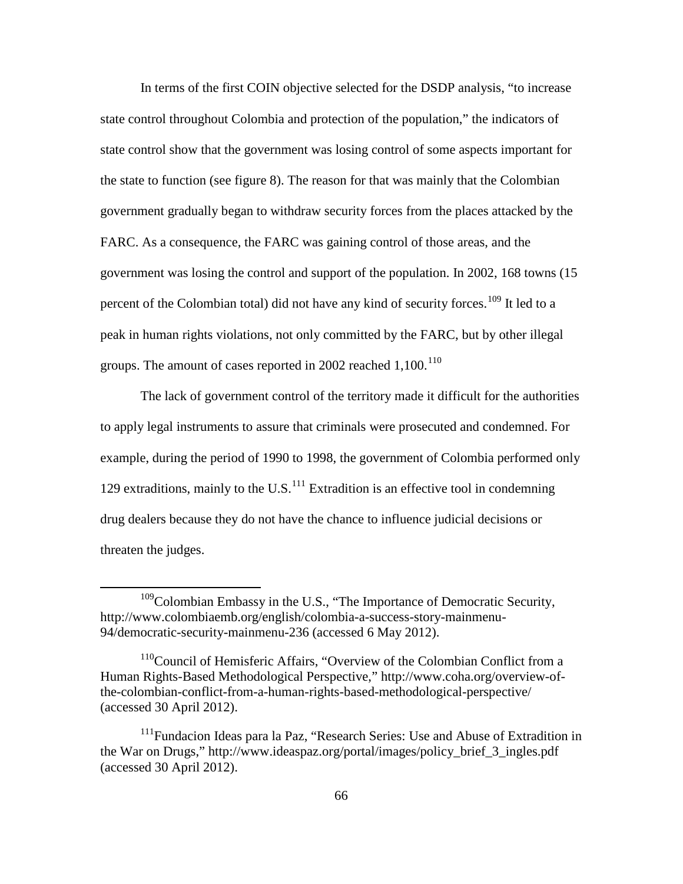In terms of the first COIN objective selected for the DSDP analysis, "to increase state control throughout Colombia and protection of the population," the indicators of state control show that the government was losing control of some aspects important for the state to function (see figure 8). The reason for that was mainly that the Colombian government gradually began to withdraw security forces from the places attacked by the FARC. As a consequence, the FARC was gaining control of those areas, and the government was losing the control and support of the population. In 2002, 168 towns (15 percent of the Colombian total) did not have any kind of security forces.<sup>[109](#page-75-0)</sup> It led to a peak in human rights violations, not only committed by the FARC, but by other illegal groups. The amount of cases reported in 2002 reached  $1,100$ .<sup>[110](#page-75-1)</sup>

The lack of government control of the territory made it difficult for the authorities to apply legal instruments to assure that criminals were prosecuted and condemned. For example, during the period of 1990 to 1998, the government of Colombia performed only 129 extraditions, mainly to the U.S. $<sup>111</sup>$  $<sup>111</sup>$  $<sup>111</sup>$  Extradition is an effective tool in condemning</sup> drug dealers because they do not have the chance to influence judicial decisions or threaten the judges.

<span id="page-75-0"></span> $109$ Colombian Embassy in the U.S., "The Importance of Democratic Security, [http://www.colombiaemb.org/english/colombia-a-success-story-mainmenu-](http://www.colombiaemb.org/english/colombia-a-success-story-mainmenu-94/democratic-security-mainmenu-236)[94/democratic-security-mainmenu-236](http://www.colombiaemb.org/english/colombia-a-success-story-mainmenu-94/democratic-security-mainmenu-236) (accessed 6 May 2012).

<span id="page-75-1"></span><sup>&</sup>lt;sup>110</sup>Council of Hemisferic Affairs, "Overview of the Colombian Conflict from a Human Rights-Based Methodological Perspective," http://www.coha.org/overview-ofthe-colombian-conflict-from-a-human-rights-based-methodological-perspective/ (accessed 30 April 2012).

<span id="page-75-2"></span><sup>&</sup>lt;sup>111</sup>Fundacion Ideas para la Paz, "Research Series: Use and Abuse of Extradition in the War on Drugs," [http://www.ideaspaz.org/portal/images/policy\\_brief\\_3\\_ingles.pdf](http://www.ideaspaz.org/portal/images/policy_brief_3_ingles.pdf) (accessed 30 April 2012).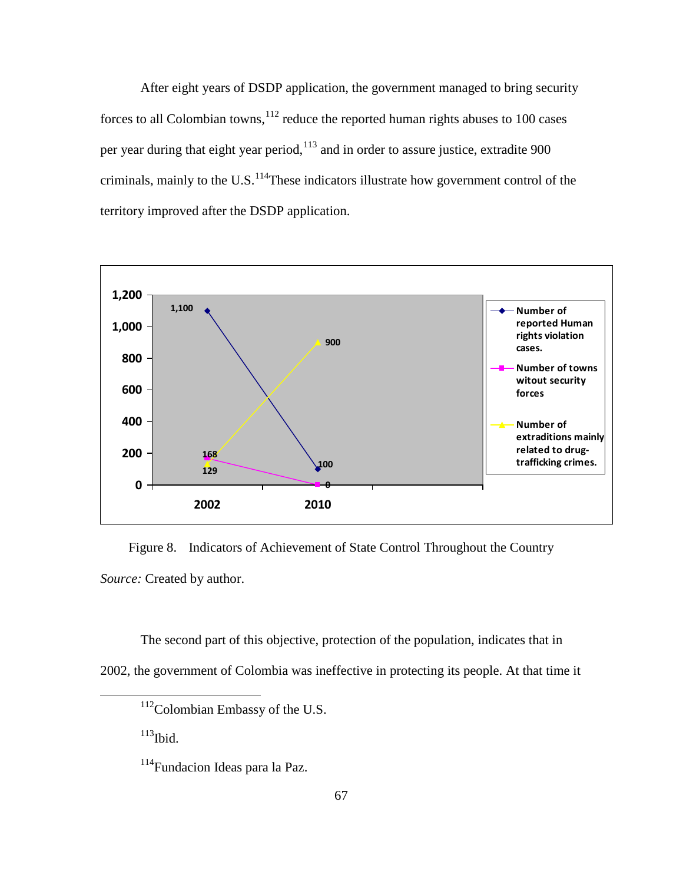After eight years of DSDP application, the government managed to bring security forces to all Colombian towns,  $12$  reduce the reported human rights abuses to 100 cases per year during that eight year period, <sup>[113](#page-76-1)</sup> and in order to assure justice, extradite 900 criminals, mainly to the U.S.<sup>[114](#page-76-2)</sup>These indicators illustrate how government control of the territory improved after the DSDP application.



Figure 8. Indicators of Achievement of State Control Throughout the Country *Source:* Created by author.

<span id="page-76-1"></span><span id="page-76-0"></span>The second part of this objective, protection of the population, indicates that in 2002, the government of Colombia was ineffective in protecting its people. At that time it

 $113$ Ibid.

 <sup>112</sup>Colombian Embassy of the U.S.

<span id="page-76-2"></span><sup>114</sup>Fundacion Ideas para la Paz.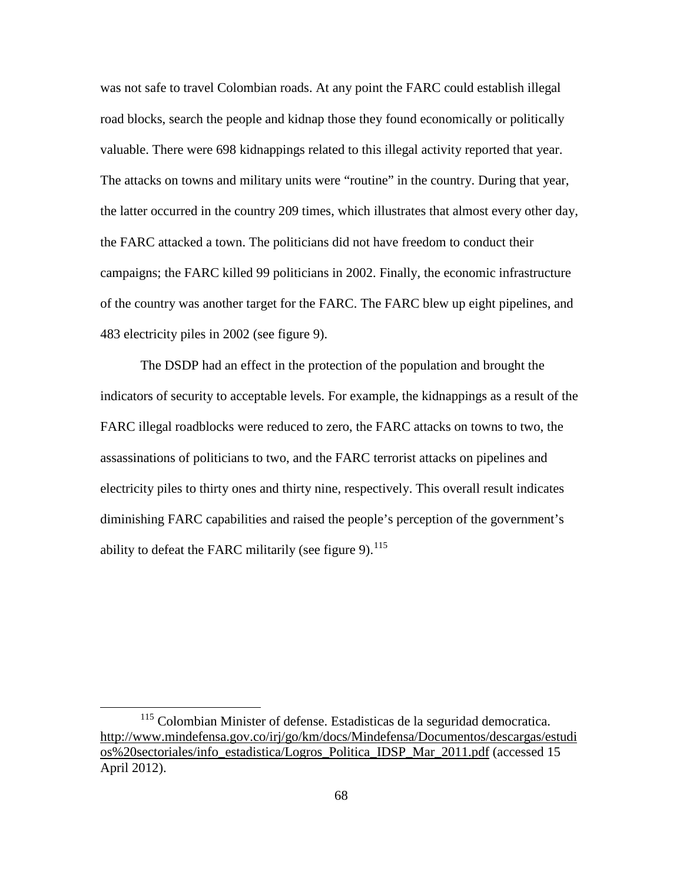was not safe to travel Colombian roads. At any point the FARC could establish illegal road blocks, search the people and kidnap those they found economically or politically valuable. There were 698 kidnappings related to this illegal activity reported that year. The attacks on towns and military units were "routine" in the country. During that year, the latter occurred in the country 209 times, which illustrates that almost every other day, the FARC attacked a town. The politicians did not have freedom to conduct their campaigns; the FARC killed 99 politicians in 2002. Finally, the economic infrastructure of the country was another target for the FARC. The FARC blew up eight pipelines, and 483 electricity piles in 2002 (see figure 9).

The DSDP had an effect in the protection of the population and brought the indicators of security to acceptable levels. For example, the kidnappings as a result of the FARC illegal roadblocks were reduced to zero, the FARC attacks on towns to two, the assassinations of politicians to two, and the FARC terrorist attacks on pipelines and electricity piles to thirty ones and thirty nine, respectively. This overall result indicates diminishing FARC capabilities and raised the people's perception of the government's ability to defeat the FARC militarily (see figure 9).  $^{115}$  $^{115}$  $^{115}$ 

<span id="page-77-0"></span><sup>&</sup>lt;sup>115</sup> Colombian Minister of defense. Estadisticas de la seguridad democratica. [http://www.mindefensa.gov.co/irj/go/km/docs/Mindefensa/Documentos/descargas/estudi](http://www.mindefensa.gov.co/irj/go/km/docs/Mindefensa/Documentos/descargas/estudios%20sectoriales/info_estadistica/Logros_Politica_IDSP_Mar_2011.pdf) [os%20sectoriales/info\\_estadistica/Logros\\_Politica\\_IDSP\\_Mar\\_2011.pdf](http://www.mindefensa.gov.co/irj/go/km/docs/Mindefensa/Documentos/descargas/estudios%20sectoriales/info_estadistica/Logros_Politica_IDSP_Mar_2011.pdf) (accessed 15 April 2012).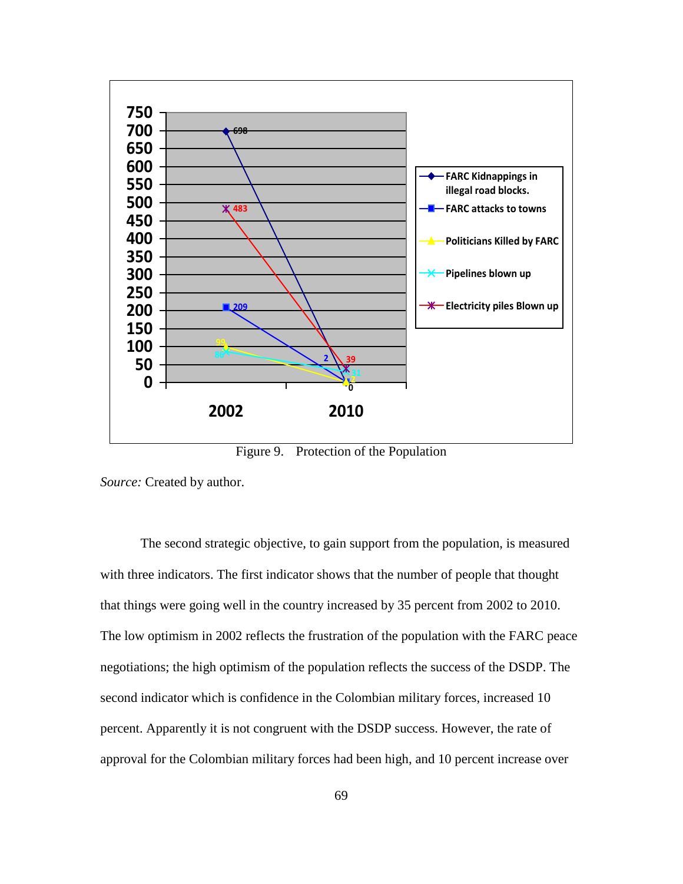

Figure 9. Protection of the Population

*Source:* Created by author.

The second strategic objective, to gain support from the population, is measured with three indicators. The first indicator shows that the number of people that thought that things were going well in the country increased by 35 percent from 2002 to 2010. The low optimism in 2002 reflects the frustration of the population with the FARC peace negotiations; the high optimism of the population reflects the success of the DSDP. The second indicator which is confidence in the Colombian military forces, increased 10 percent. Apparently it is not congruent with the DSDP success. However, the rate of approval for the Colombian military forces had been high, and 10 percent increase over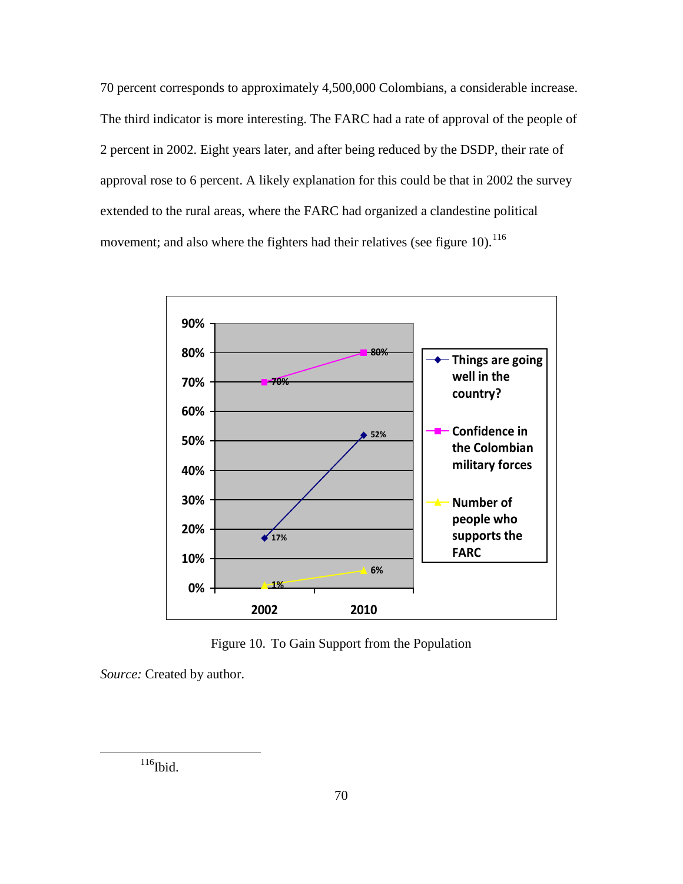70 percent corresponds to approximately 4,500,000 Colombians, a considerable increase. The third indicator is more interesting. The FARC had a rate of approval of the people of 2 percent in 2002. Eight years later, and after being reduced by the DSDP, their rate of approval rose to 6 percent. A likely explanation for this could be that in 2002 the survey extended to the rural areas, where the FARC had organized a clandestine political movement; and also where the fighters had their relatives (see figure 10).  $^{116}$  $^{116}$  $^{116}$ 



Figure 10. To Gain Support from the Population

<span id="page-79-0"></span>*Source:* Created by author.

 $116$ Ibid.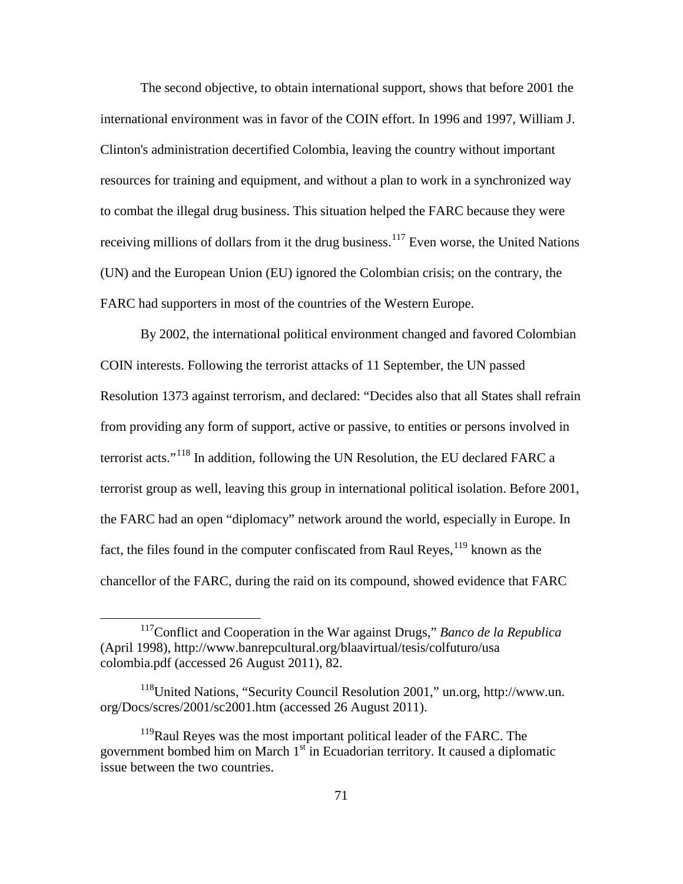The second objective, to obtain international support, shows that before 2001 the international environment was in favor of the COIN effort. In 1996 and 1997, William J. Clinton's administration decertified Colombia, leaving the country without important resources for training and equipment, and without a plan to work in a synchronized way to combat the illegal drug business. This situation helped the FARC because they were receiving millions of dollars from it the drug business.<sup>[117](#page-80-0)</sup> Even worse, the United Nations (UN) and the European Union (EU) ignored the Colombian crisis; on the contrary, the FARC had supporters in most of the countries of the Western Europe.

By 2002, the international political environment changed and favored Colombian COIN interests. Following the terrorist attacks of 11 September, the UN passed Resolution 1373 against terrorism, and declared: "Decides also that all States shall refrain from providing any form of support, active or passive, to entities or persons involved in terrorist acts."[118](#page-80-1) In addition, following the UN Resolution, the EU declared FARC a terrorist group as well, leaving this group in international political isolation. Before 2001, the FARC had an open "diplomacy" network around the world, especially in Europe. In fact, the files found in the computer confiscated from Raul Reyes, <sup>[119](#page-80-2)</sup> known as the chancellor of the FARC, during the raid on its compound, showed evidence that FARC

<span id="page-80-0"></span> <sup>117</sup>Conflict and Cooperation in the War against Drugs," *Banco de la Republica* (April 1998), http://www.banrepcultural.org/blaavirtual/tesis/colfuturo/usa colombia.pdf (accessed 26 August 2011), 82.

<span id="page-80-1"></span><sup>118</sup>United Nations, "Security Council Resolution 2001," un.org, http://www.un. org/Docs/scres/2001/sc2001.htm (accessed 26 August 2011).

<span id="page-80-2"></span><sup>&</sup>lt;sup>119</sup>Raul Reyes was the most important political leader of the FARC. The government bombed him on March  $1<sup>st</sup>$  in Ecuadorian territory. It caused a diplomatic issue between the two countries.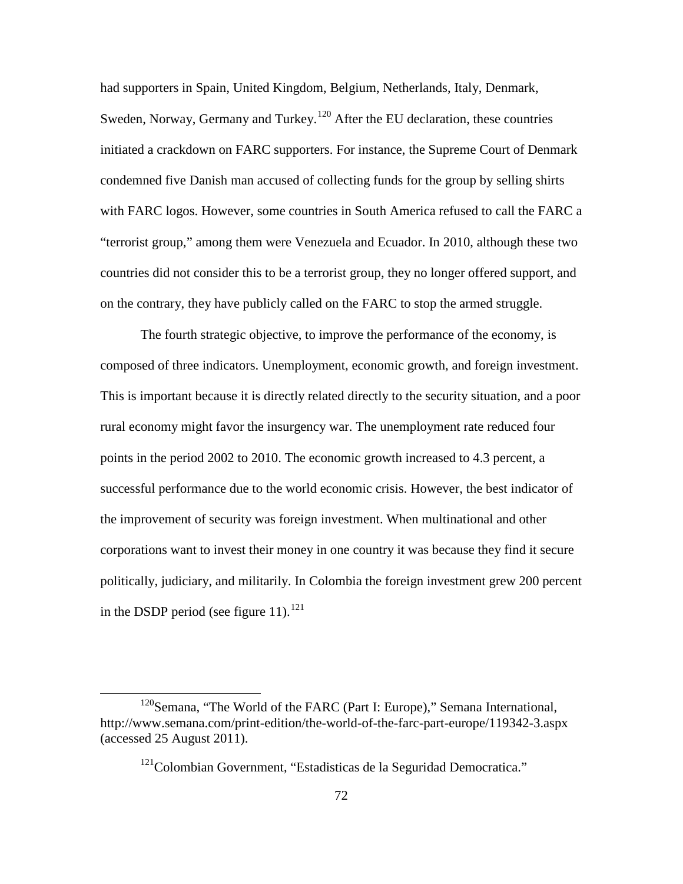had supporters in Spain, United Kingdom, Belgium, Netherlands, Italy, Denmark, Sweden, Norway, Germany and Turkey.<sup>[120](#page-81-0)</sup> After the EU declaration, these countries initiated a crackdown on FARC supporters. For instance, the Supreme Court of Denmark condemned five Danish man accused of collecting funds for the group by selling shirts with FARC logos. However, some countries in South America refused to call the FARC a "terrorist group," among them were Venezuela and Ecuador. In 2010, although these two countries did not consider this to be a terrorist group, they no longer offered support, and on the contrary, they have publicly called on the FARC to stop the armed struggle.

The fourth strategic objective, to improve the performance of the economy, is composed of three indicators. Unemployment, economic growth, and foreign investment. This is important because it is directly related directly to the security situation, and a poor rural economy might favor the insurgency war. The unemployment rate reduced four points in the period 2002 to 2010. The economic growth increased to 4.3 percent, a successful performance due to the world economic crisis. However, the best indicator of the improvement of security was foreign investment. When multinational and other corporations want to invest their money in one country it was because they find it secure politically, judiciary, and militarily. In Colombia the foreign investment grew 200 percent in the DSDP period (see figure 11). $^{121}$  $^{121}$  $^{121}$ 

<span id="page-81-1"></span><span id="page-81-0"></span><sup>&</sup>lt;sup>120</sup>Semana, "The World of the FARC (Part I: Europe)," Semana International, http://www.semana.com/print-edition/the-world-of-the-farc-part-europe/119342-3.aspx (accessed 25 August 2011).

<sup>&</sup>lt;sup>121</sup>Colombian Government, "Estadisticas de la Seguridad Democratica."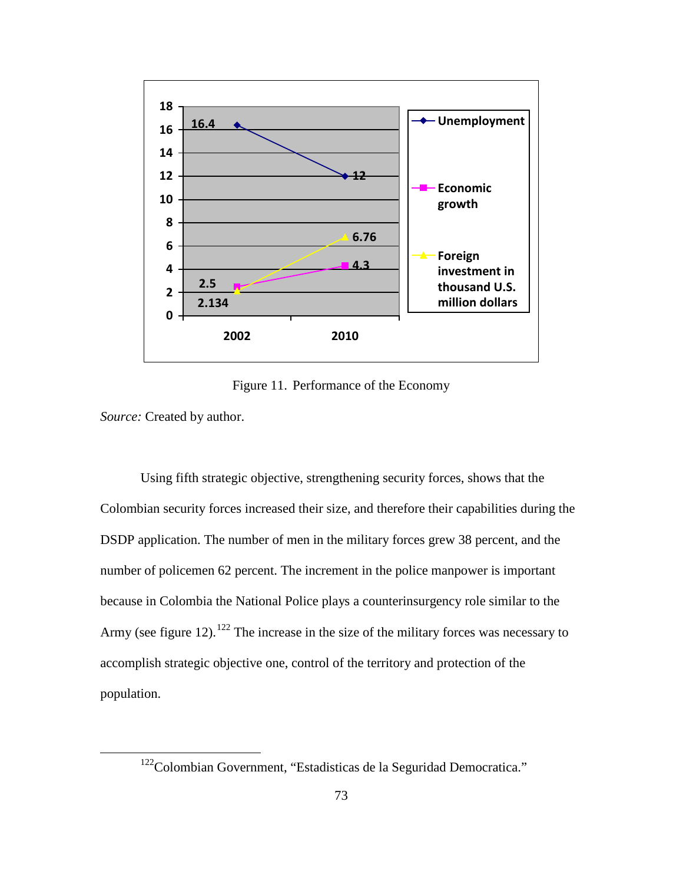

Figure 11. Performance of the Economy

*Source:* Created by author.

Using fifth strategic objective, strengthening security forces, shows that the Colombian security forces increased their size, and therefore their capabilities during the DSDP application. The number of men in the military forces grew 38 percent, and the number of policemen 62 percent. The increment in the police manpower is important because in Colombia the National Police plays a counterinsurgency role similar to the Army (see figure 12).<sup>[122](#page-82-0)</sup> The increase in the size of the military forces was necessary to accomplish strategic objective one, control of the territory and protection of the population.

<span id="page-82-0"></span><sup>&</sup>lt;sup>122</sup>Colombian Government, "Estadisticas de la Seguridad Democratica."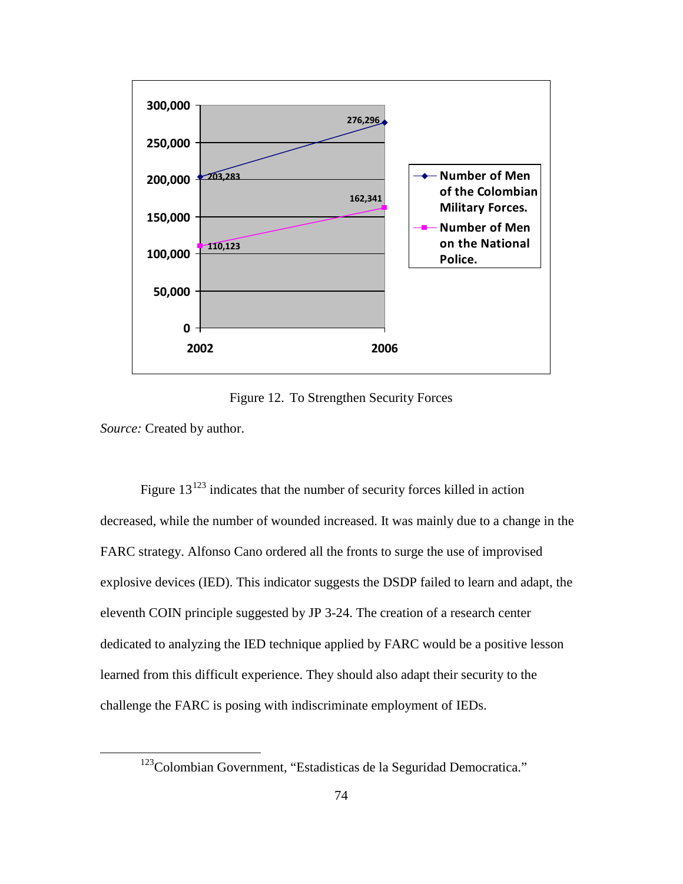

Figure 12. To Strengthen Security Forces

*Source:* Created by author.

Figure  $13^{123}$  $13^{123}$  $13^{123}$  indicates that the number of security forces killed in action decreased, while the number of wounded increased. It was mainly due to a change in the FARC strategy. Alfonso Cano ordered all the fronts to surge the use of improvised explosive devices (IED). This indicator suggests the DSDP failed to learn and adapt, the eleventh COIN principle suggested by JP 3-24. The creation of a research center dedicated to analyzing the IED technique applied by FARC would be a positive lesson learned from this difficult experience. They should also adapt their security to the challenge the FARC is posing with indiscriminate employment of IEDs.

<span id="page-83-0"></span><sup>&</sup>lt;sup>123</sup>Colombian Government, "Estadisticas de la Seguridad Democratica."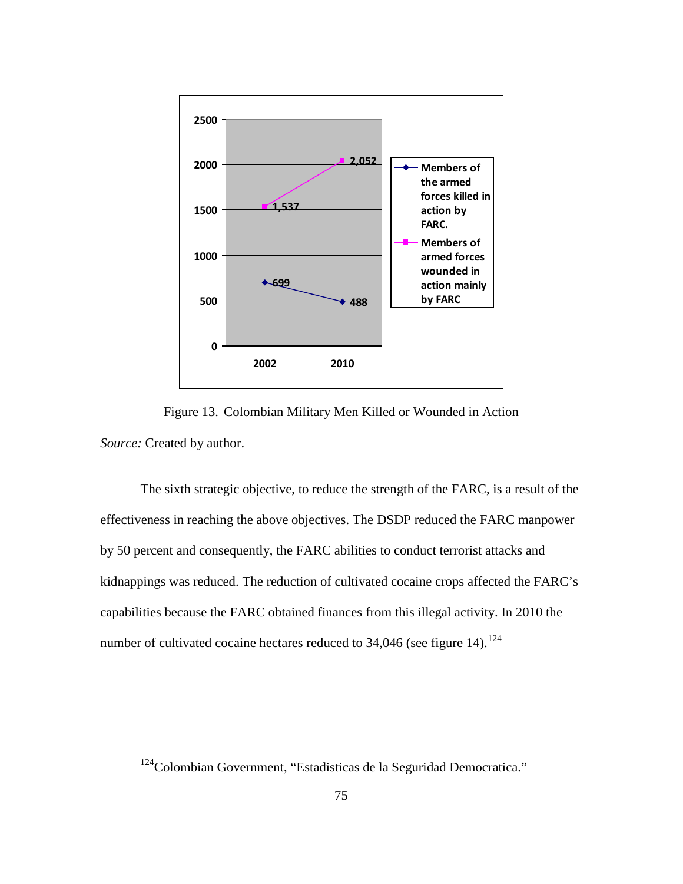

Figure 13. Colombian Military Men Killed or Wounded in Action *Source:* Created by author.

The sixth strategic objective, to reduce the strength of the FARC, is a result of the effectiveness in reaching the above objectives. The DSDP reduced the FARC manpower by 50 percent and consequently, the FARC abilities to conduct terrorist attacks and kidnappings was reduced. The reduction of cultivated cocaine crops affected the FARC's capabilities because the FARC obtained finances from this illegal activity. In 2010 the number of cultivated cocaine hectares reduced to  $34,046$  (see figure 14).<sup>[124](#page-84-0)</sup>

<span id="page-84-0"></span><sup>&</sup>lt;sup>124</sup>Colombian Government, "Estadisticas de la Seguridad Democratica."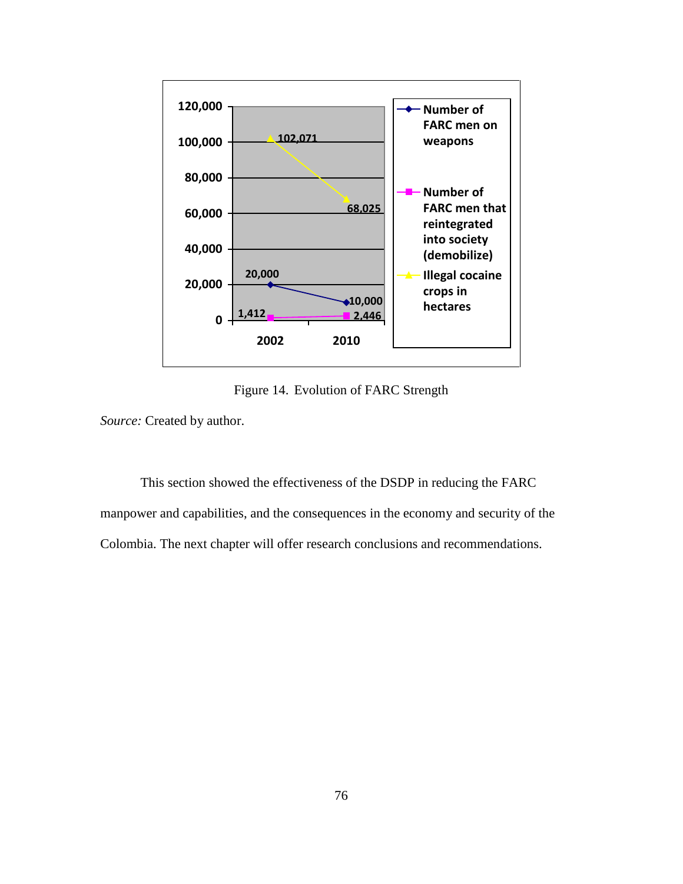

Figure 14. Evolution of FARC Strength

*Source:* Created by author.

This section showed the effectiveness of the DSDP in reducing the FARC manpower and capabilities, and the consequences in the economy and security of the Colombia. The next chapter will offer research conclusions and recommendations.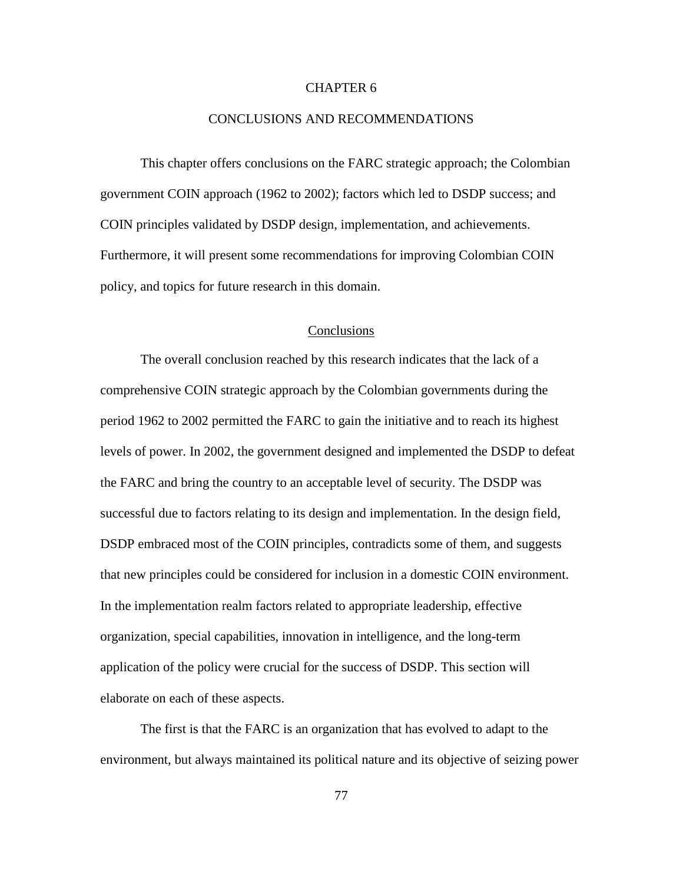### CHAPTER 6

#### CONCLUSIONS AND RECOMMENDATIONS

This chapter offers conclusions on the FARC strategic approach; the Colombian government COIN approach (1962 to 2002); factors which led to DSDP success; and COIN principles validated by DSDP design, implementation, and achievements. Furthermore, it will present some recommendations for improving Colombian COIN policy, and topics for future research in this domain.

#### **Conclusions**

The overall conclusion reached by this research indicates that the lack of a comprehensive COIN strategic approach by the Colombian governments during the period 1962 to 2002 permitted the FARC to gain the initiative and to reach its highest levels of power. In 2002, the government designed and implemented the DSDP to defeat the FARC and bring the country to an acceptable level of security. The DSDP was successful due to factors relating to its design and implementation. In the design field, DSDP embraced most of the COIN principles, contradicts some of them, and suggests that new principles could be considered for inclusion in a domestic COIN environment. In the implementation realm factors related to appropriate leadership, effective organization, special capabilities, innovation in intelligence, and the long-term application of the policy were crucial for the success of DSDP. This section will elaborate on each of these aspects.

The first is that the FARC is an organization that has evolved to adapt to the environment, but always maintained its political nature and its objective of seizing power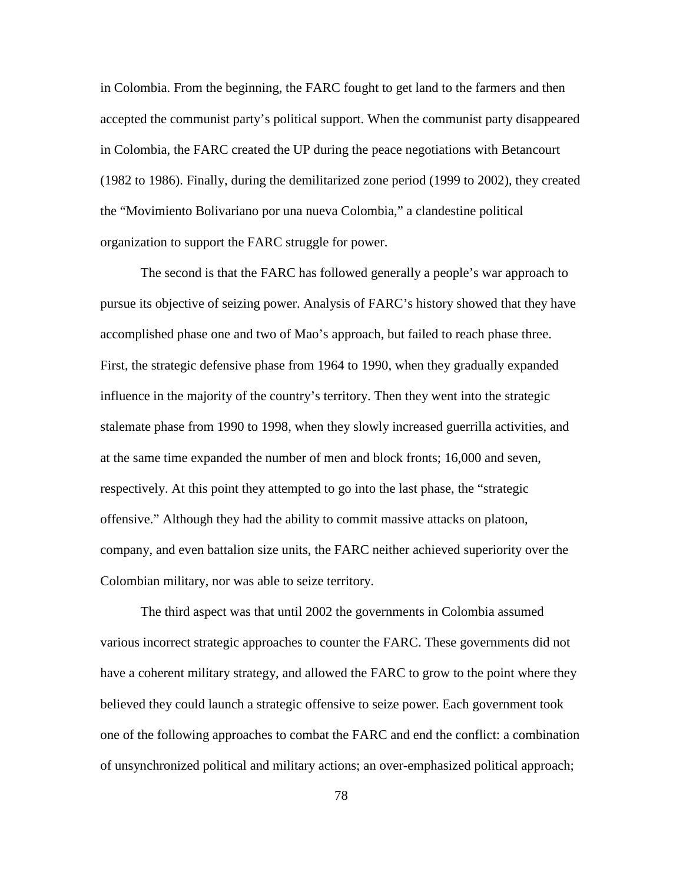in Colombia. From the beginning, the FARC fought to get land to the farmers and then accepted the communist party's political support. When the communist party disappeared in Colombia, the FARC created the UP during the peace negotiations with Betancourt (1982 to 1986). Finally, during the demilitarized zone period (1999 to 2002), they created the "Movimiento Bolivariano por una nueva Colombia," a clandestine political organization to support the FARC struggle for power.

The second is that the FARC has followed generally a people's war approach to pursue its objective of seizing power. Analysis of FARC's history showed that they have accomplished phase one and two of Mao's approach, but failed to reach phase three. First, the strategic defensive phase from 1964 to 1990, when they gradually expanded influence in the majority of the country's territory. Then they went into the strategic stalemate phase from 1990 to 1998, when they slowly increased guerrilla activities, and at the same time expanded the number of men and block fronts; 16,000 and seven, respectively. At this point they attempted to go into the last phase, the "strategic offensive." Although they had the ability to commit massive attacks on platoon, company, and even battalion size units, the FARC neither achieved superiority over the Colombian military, nor was able to seize territory.

The third aspect was that until 2002 the governments in Colombia assumed various incorrect strategic approaches to counter the FARC. These governments did not have a coherent military strategy, and allowed the FARC to grow to the point where they believed they could launch a strategic offensive to seize power. Each government took one of the following approaches to combat the FARC and end the conflict: a combination of unsynchronized political and military actions; an over-emphasized political approach;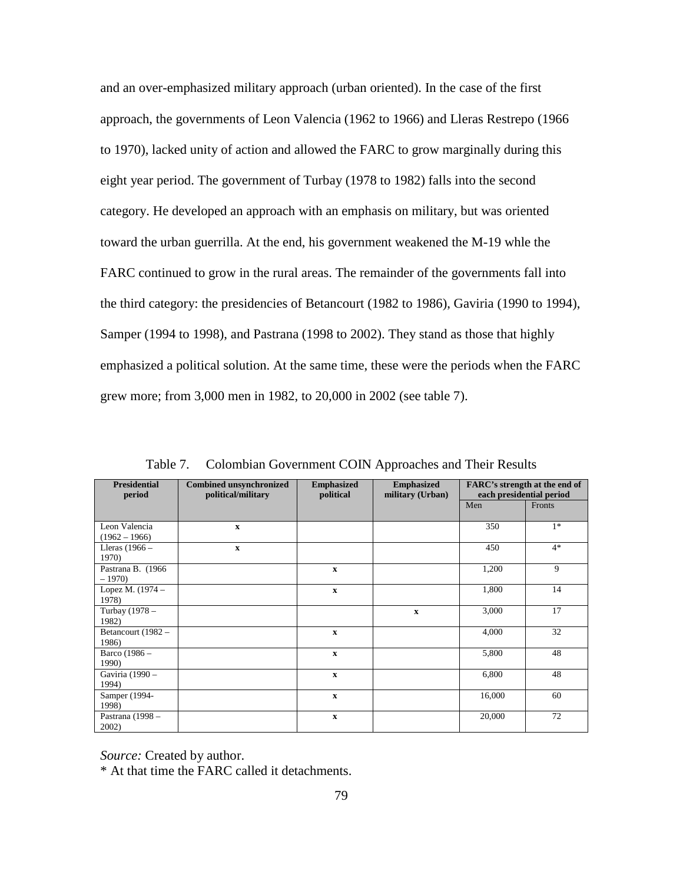and an over-emphasized military approach (urban oriented). In the case of the first approach, the governments of Leon Valencia (1962 to 1966) and Lleras Restrepo (1966 to 1970), lacked unity of action and allowed the FARC to grow marginally during this eight year period. The government of Turbay (1978 to 1982) falls into the second category. He developed an approach with an emphasis on military, but was oriented toward the urban guerrilla. At the end, his government weakened the M-19 whle the FARC continued to grow in the rural areas. The remainder of the governments fall into the third category: the presidencies of Betancourt (1982 to 1986), Gaviria (1990 to 1994), Samper (1994 to 1998), and Pastrana (1998 to 2002). They stand as those that highly emphasized a political solution. At the same time, these were the periods when the FARC grew more; from 3,000 men in 1982, to 20,000 in 2002 (see table 7).

| <b>Presidential</b> | <b>Combined unsynchronized</b> | <b>Emphasized</b> | <b>Emphasized</b> | <b>FARC's strength at the end of</b><br>each presidential period |        |
|---------------------|--------------------------------|-------------------|-------------------|------------------------------------------------------------------|--------|
| period              | political/military             | political         | military (Urban)  |                                                                  |        |
|                     |                                |                   |                   | Men                                                              | Fronts |
|                     |                                |                   |                   |                                                                  |        |
| Leon Valencia       | $\mathbf{x}$                   |                   |                   | 350                                                              | $1*$   |
| $(1962 - 1966)$     |                                |                   |                   |                                                                  |        |
| Lleras $(1966 -$    | $\mathbf{x}$                   |                   |                   | 450                                                              | $4*$   |
| 1970)               |                                |                   |                   |                                                                  |        |
| Pastrana B. (1966)  |                                | $\mathbf{x}$      |                   | 1,200                                                            | 9      |
| $-1970$             |                                |                   |                   |                                                                  |        |
| Lopez M. (1974 –    |                                | $\mathbf X$       |                   | 1,800                                                            | 14     |
| 1978)               |                                |                   |                   |                                                                  |        |
| Turbay (1978 -      |                                |                   | $\mathbf x$       | 3,000                                                            | 17     |
| 1982)               |                                |                   |                   |                                                                  |        |
| Betancourt (1982 -  |                                | $\mathbf x$       |                   | 4,000                                                            | 32     |
| 1986)               |                                |                   |                   |                                                                  |        |
| Barco (1986 -       |                                | $\mathbf X$       |                   | 5,800                                                            | 48     |
| 1990)               |                                |                   |                   |                                                                  |        |
| Gaviria (1990 -     |                                | $\mathbf X$       |                   | 6,800                                                            | 48     |
| 1994)               |                                |                   |                   |                                                                  |        |
| Samper (1994-       |                                | $\mathbf{x}$      |                   | 16,000                                                           | 60     |
| 1998)               |                                |                   |                   |                                                                  |        |
| Pastrana (1998 -    |                                | $\mathbf{x}$      |                   | 20,000                                                           | 72     |
| 2002)               |                                |                   |                   |                                                                  |        |

Table 7. Colombian Government COIN Approaches and Their Results

*Source:* Created by author.

\* At that time the FARC called it detachments.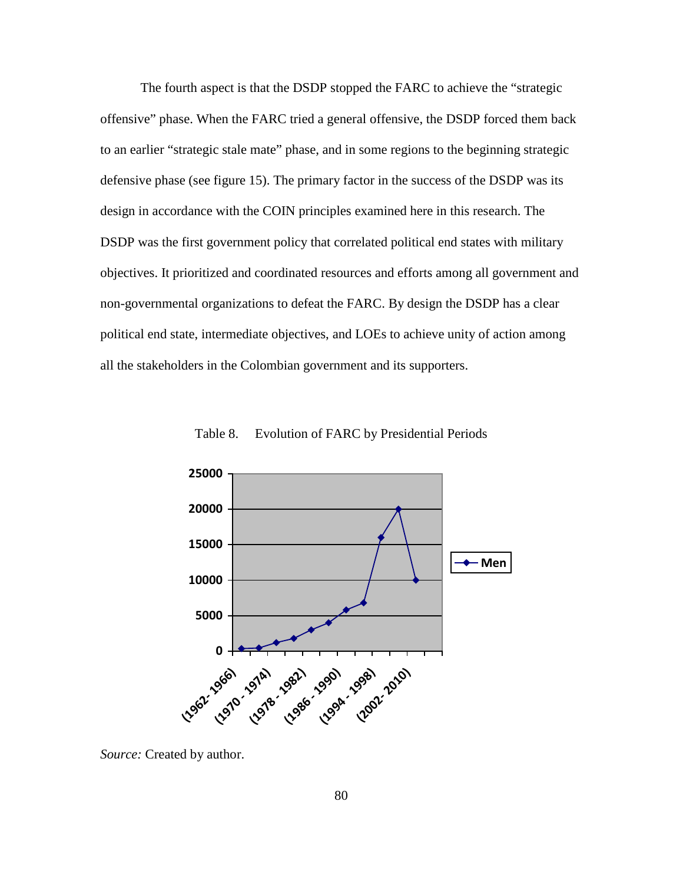The fourth aspect is that the DSDP stopped the FARC to achieve the "strategic offensive" phase. When the FARC tried a general offensive, the DSDP forced them back to an earlier "strategic stale mate" phase, and in some regions to the beginning strategic defensive phase (see figure 15). The primary factor in the success of the DSDP was its design in accordance with the COIN principles examined here in this research. The DSDP was the first government policy that correlated political end states with military objectives. It prioritized and coordinated resources and efforts among all government and non-governmental organizations to defeat the FARC. By design the DSDP has a clear political end state, intermediate objectives, and LOEs to achieve unity of action among all the stakeholders in the Colombian government and its supporters.



Table 8. Evolution of FARC by Presidential Periods

*Source:* Created by author.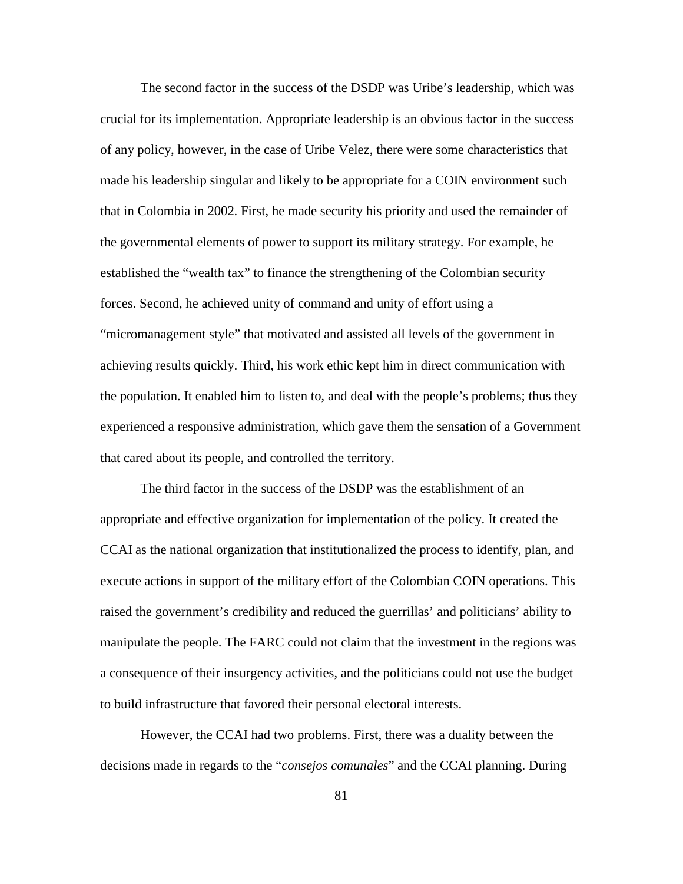The second factor in the success of the DSDP was Uribe's leadership, which was crucial for its implementation. Appropriate leadership is an obvious factor in the success of any policy, however, in the case of Uribe Velez, there were some characteristics that made his leadership singular and likely to be appropriate for a COIN environment such that in Colombia in 2002. First, he made security his priority and used the remainder of the governmental elements of power to support its military strategy. For example, he established the "wealth tax" to finance the strengthening of the Colombian security forces. Second, he achieved unity of command and unity of effort using a "micromanagement style" that motivated and assisted all levels of the government in achieving results quickly. Third, his work ethic kept him in direct communication with the population. It enabled him to listen to, and deal with the people's problems; thus they experienced a responsive administration, which gave them the sensation of a Government that cared about its people, and controlled the territory.

The third factor in the success of the DSDP was the establishment of an appropriate and effective organization for implementation of the policy. It created the CCAI as the national organization that institutionalized the process to identify, plan, and execute actions in support of the military effort of the Colombian COIN operations. This raised the government's credibility and reduced the guerrillas' and politicians' ability to manipulate the people. The FARC could not claim that the investment in the regions was a consequence of their insurgency activities, and the politicians could not use the budget to build infrastructure that favored their personal electoral interests.

However, the CCAI had two problems. First, there was a duality between the decisions made in regards to the "*consejos comunales*" and the CCAI planning. During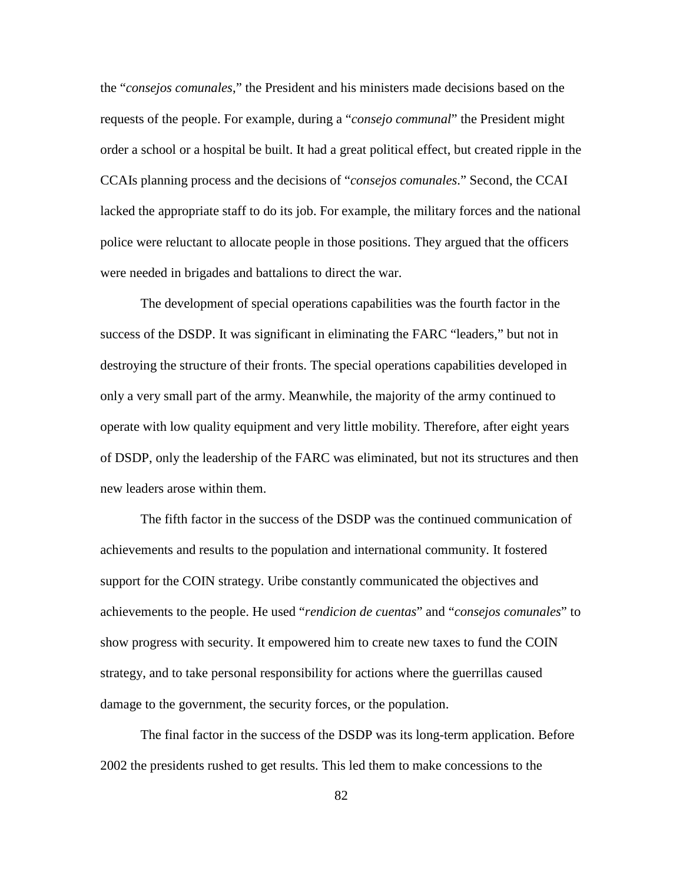the "*consejos comunales*," the President and his ministers made decisions based on the requests of the people. For example, during a "*consejo communal*" the President might order a school or a hospital be built. It had a great political effect, but created ripple in the CCAIs planning process and the decisions of "*consejos comunales*." Second, the CCAI lacked the appropriate staff to do its job. For example, the military forces and the national police were reluctant to allocate people in those positions. They argued that the officers were needed in brigades and battalions to direct the war.

The development of special operations capabilities was the fourth factor in the success of the DSDP. It was significant in eliminating the FARC "leaders," but not in destroying the structure of their fronts. The special operations capabilities developed in only a very small part of the army. Meanwhile, the majority of the army continued to operate with low quality equipment and very little mobility. Therefore, after eight years of DSDP, only the leadership of the FARC was eliminated, but not its structures and then new leaders arose within them.

The fifth factor in the success of the DSDP was the continued communication of achievements and results to the population and international community. It fostered support for the COIN strategy. Uribe constantly communicated the objectives and achievements to the people. He used "*rendicion de cuentas*" and "*consejos comunales*" to show progress with security. It empowered him to create new taxes to fund the COIN strategy, and to take personal responsibility for actions where the guerrillas caused damage to the government, the security forces, or the population.

The final factor in the success of the DSDP was its long-term application. Before 2002 the presidents rushed to get results. This led them to make concessions to the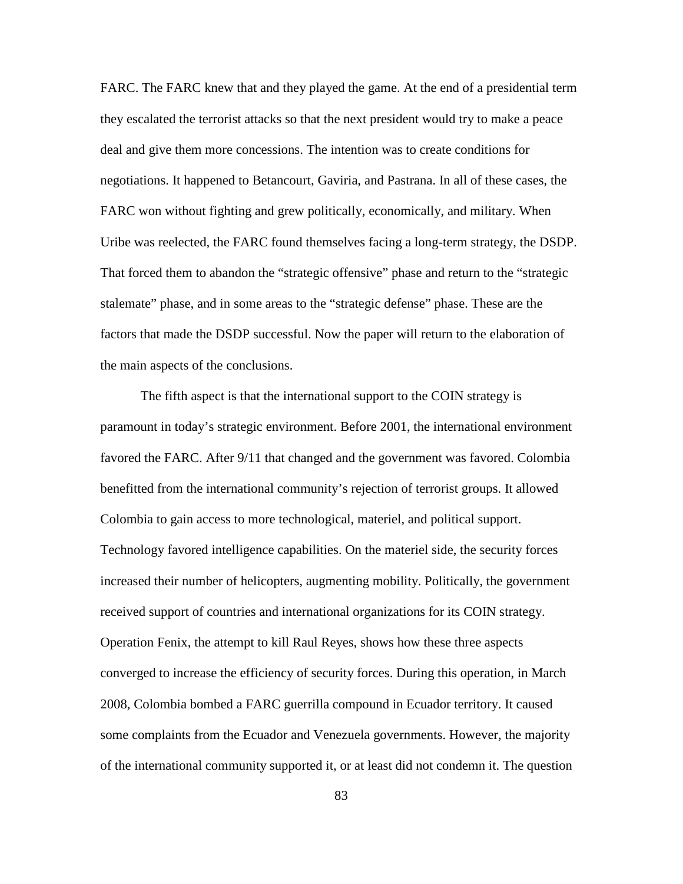FARC. The FARC knew that and they played the game. At the end of a presidential term they escalated the terrorist attacks so that the next president would try to make a peace deal and give them more concessions. The intention was to create conditions for negotiations. It happened to Betancourt, Gaviria, and Pastrana. In all of these cases, the FARC won without fighting and grew politically, economically, and military. When Uribe was reelected, the FARC found themselves facing a long-term strategy, the DSDP. That forced them to abandon the "strategic offensive" phase and return to the "strategic stalemate" phase, and in some areas to the "strategic defense" phase. These are the factors that made the DSDP successful. Now the paper will return to the elaboration of the main aspects of the conclusions.

The fifth aspect is that the international support to the COIN strategy is paramount in today's strategic environment. Before 2001, the international environment favored the FARC. After 9/11 that changed and the government was favored. Colombia benefitted from the international community's rejection of terrorist groups. It allowed Colombia to gain access to more technological, materiel, and political support. Technology favored intelligence capabilities. On the materiel side, the security forces increased their number of helicopters, augmenting mobility. Politically, the government received support of countries and international organizations for its COIN strategy. Operation Fenix, the attempt to kill Raul Reyes, shows how these three aspects converged to increase the efficiency of security forces. During this operation, in March 2008, Colombia bombed a FARC guerrilla compound in Ecuador territory. It caused some complaints from the Ecuador and Venezuela governments. However, the majority of the international community supported it, or at least did not condemn it. The question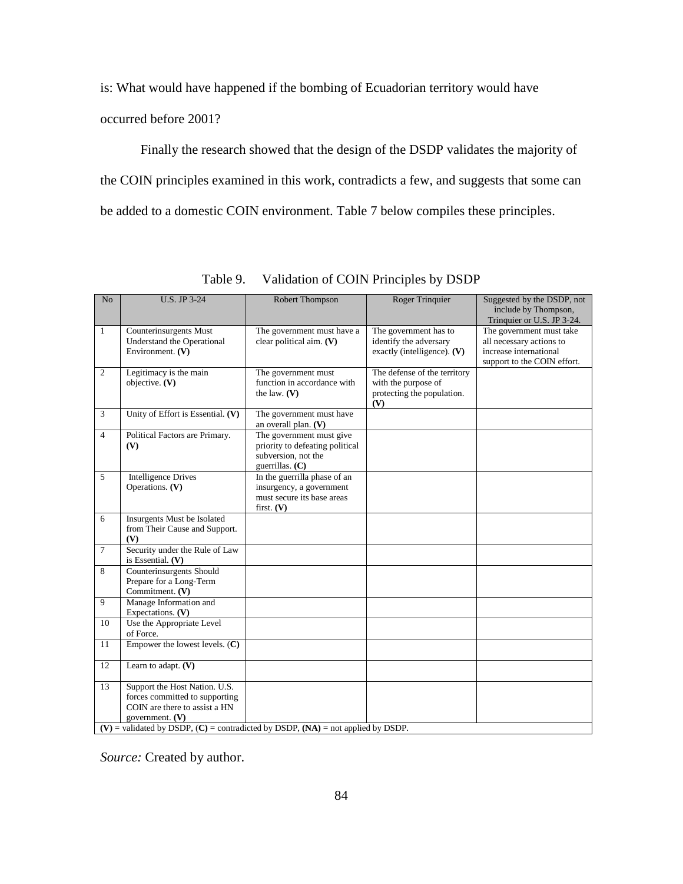is: What would have happened if the bombing of Ecuadorian territory would have occurred before 2001?

Finally the research showed that the design of the DSDP validates the majority of the COIN principles examined in this work, contradicts a few, and suggests that some can be added to a domestic COIN environment. Table 7 below compiles these principles.

| No             | <b>U.S. JP 3-24</b>                                                                    | Robert Thompson                                        | <b>Roger Trinquier</b>        | Suggested by the DSDP, not                            |  |  |
|----------------|----------------------------------------------------------------------------------------|--------------------------------------------------------|-------------------------------|-------------------------------------------------------|--|--|
|                |                                                                                        |                                                        |                               | include by Thompson,                                  |  |  |
|                |                                                                                        |                                                        |                               | Trinquier or U.S. JP 3-24.                            |  |  |
| 1              | Counterinsurgents Must                                                                 | The government must have a                             | The government has to         | The government must take                              |  |  |
|                | Understand the Operational                                                             | clear political aim. (V)                               | identify the adversary        | all necessary actions to                              |  |  |
|                | Environment. (V)                                                                       |                                                        | exactly (intelligence). $(V)$ | increase international<br>support to the COIN effort. |  |  |
| 2              | Legitimacy is the main                                                                 | The government must                                    | The defense of the territory  |                                                       |  |  |
|                | objective. (V)                                                                         | function in accordance with                            | with the purpose of           |                                                       |  |  |
|                |                                                                                        | the law. $(V)$                                         | protecting the population.    |                                                       |  |  |
|                |                                                                                        |                                                        | (V)                           |                                                       |  |  |
| 3              | Unity of Effort is Essential. (V)                                                      | The government must have                               |                               |                                                       |  |  |
|                |                                                                                        | an overall plan. (V)                                   |                               |                                                       |  |  |
| $\overline{4}$ | Political Factors are Primary.                                                         | The government must give                               |                               |                                                       |  |  |
|                | (V)                                                                                    | priority to defeating political<br>subversion, not the |                               |                                                       |  |  |
|                |                                                                                        | guerrillas. $(C)$                                      |                               |                                                       |  |  |
| 5              | <b>Intelligence Drives</b>                                                             | In the guerrilla phase of an                           |                               |                                                       |  |  |
|                | Operations. (V)                                                                        | insurgency, a government                               |                               |                                                       |  |  |
|                |                                                                                        | must secure its base areas                             |                               |                                                       |  |  |
|                |                                                                                        | first. $(V)$                                           |                               |                                                       |  |  |
| 6              | Insurgents Must be Isolated                                                            |                                                        |                               |                                                       |  |  |
|                | from Their Cause and Support.<br>(V)                                                   |                                                        |                               |                                                       |  |  |
| $\tau$         | Security under the Rule of Law                                                         |                                                        |                               |                                                       |  |  |
|                | is Essential. $(V)$                                                                    |                                                        |                               |                                                       |  |  |
| 8              | Counterinsurgents Should                                                               |                                                        |                               |                                                       |  |  |
|                | Prepare for a Long-Term                                                                |                                                        |                               |                                                       |  |  |
| $\overline{9}$ | Commitment. (V)                                                                        |                                                        |                               |                                                       |  |  |
|                | Manage Information and<br>Expectations. $(V)$                                          |                                                        |                               |                                                       |  |  |
| 10             | Use the Appropriate Level                                                              |                                                        |                               |                                                       |  |  |
|                | of Force.                                                                              |                                                        |                               |                                                       |  |  |
| 11             | Empower the lowest levels. $(C)$                                                       |                                                        |                               |                                                       |  |  |
|                |                                                                                        |                                                        |                               |                                                       |  |  |
| 12             | Learn to adapt. $(V)$                                                                  |                                                        |                               |                                                       |  |  |
| 13             | Support the Host Nation. U.S.                                                          |                                                        |                               |                                                       |  |  |
|                | forces committed to supporting                                                         |                                                        |                               |                                                       |  |  |
|                | COIN are there to assist a HN                                                          |                                                        |                               |                                                       |  |  |
|                | government. $(V)$                                                                      |                                                        |                               |                                                       |  |  |
|                | $(V)$ = validated by DSDP, $(C)$ = contradicted by DSDP, $(NA)$ = not applied by DSDP. |                                                        |                               |                                                       |  |  |

Table 9. Validation of COIN Principles by DSDP

*Source:* Created by author.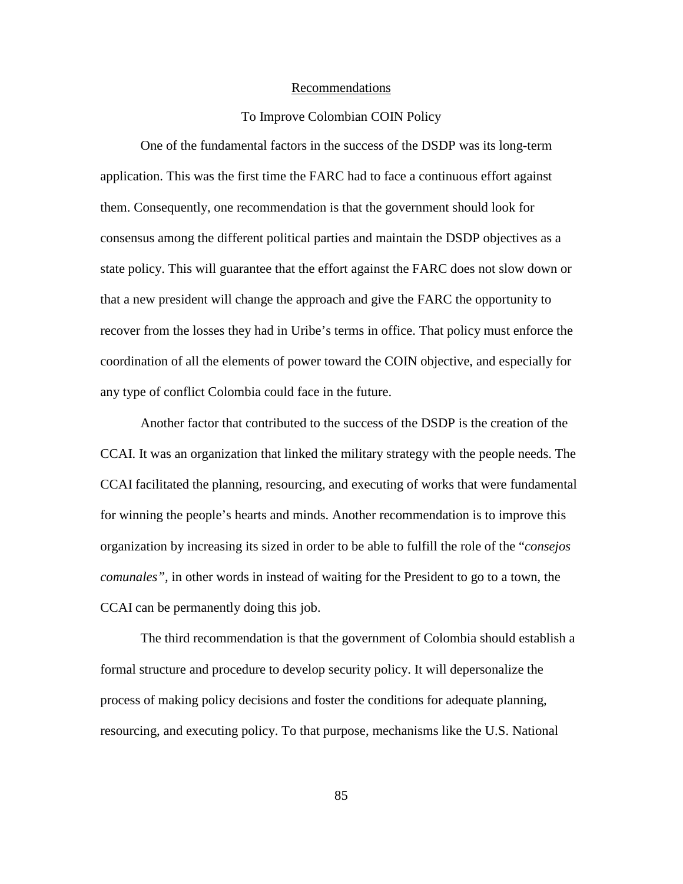#### Recommendations

### To Improve Colombian COIN Policy

One of the fundamental factors in the success of the DSDP was its long-term application. This was the first time the FARC had to face a continuous effort against them. Consequently, one recommendation is that the government should look for consensus among the different political parties and maintain the DSDP objectives as a state policy. This will guarantee that the effort against the FARC does not slow down or that a new president will change the approach and give the FARC the opportunity to recover from the losses they had in Uribe's terms in office. That policy must enforce the coordination of all the elements of power toward the COIN objective, and especially for any type of conflict Colombia could face in the future.

Another factor that contributed to the success of the DSDP is the creation of the CCAI. It was an organization that linked the military strategy with the people needs. The CCAI facilitated the planning, resourcing, and executing of works that were fundamental for winning the people's hearts and minds. Another recommendation is to improve this organization by increasing its sized in order to be able to fulfill the role of the "*consejos comunales",* in other words in instead of waiting for the President to go to a town, the CCAI can be permanently doing this job.

The third recommendation is that the government of Colombia should establish a formal structure and procedure to develop security policy. It will depersonalize the process of making policy decisions and foster the conditions for adequate planning, resourcing, and executing policy. To that purpose, mechanisms like the U.S. National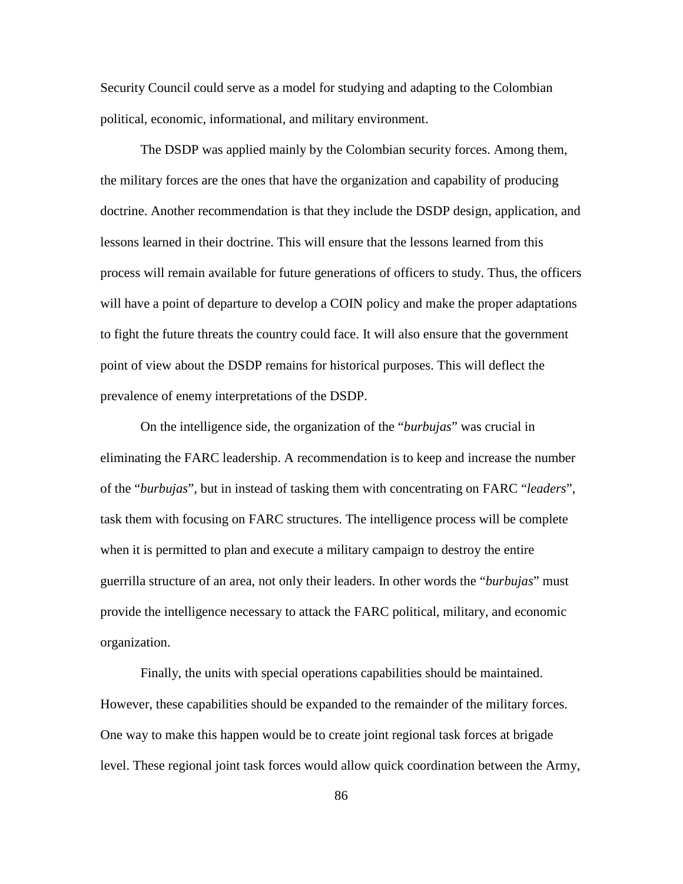Security Council could serve as a model for studying and adapting to the Colombian political, economic, informational, and military environment.

The DSDP was applied mainly by the Colombian security forces. Among them, the military forces are the ones that have the organization and capability of producing doctrine. Another recommendation is that they include the DSDP design, application, and lessons learned in their doctrine. This will ensure that the lessons learned from this process will remain available for future generations of officers to study. Thus, the officers will have a point of departure to develop a COIN policy and make the proper adaptations to fight the future threats the country could face. It will also ensure that the government point of view about the DSDP remains for historical purposes. This will deflect the prevalence of enemy interpretations of the DSDP.

On the intelligence side, the organization of the "*burbujas*" was crucial in eliminating the FARC leadership. A recommendation is to keep and increase the number of the "*burbujas*", but in instead of tasking them with concentrating on FARC "*leaders*", task them with focusing on FARC structures. The intelligence process will be complete when it is permitted to plan and execute a military campaign to destroy the entire guerrilla structure of an area, not only their leaders. In other words the "*burbujas*" must provide the intelligence necessary to attack the FARC political, military, and economic organization.

Finally, the units with special operations capabilities should be maintained. However, these capabilities should be expanded to the remainder of the military forces. One way to make this happen would be to create joint regional task forces at brigade level. These regional joint task forces would allow quick coordination between the Army,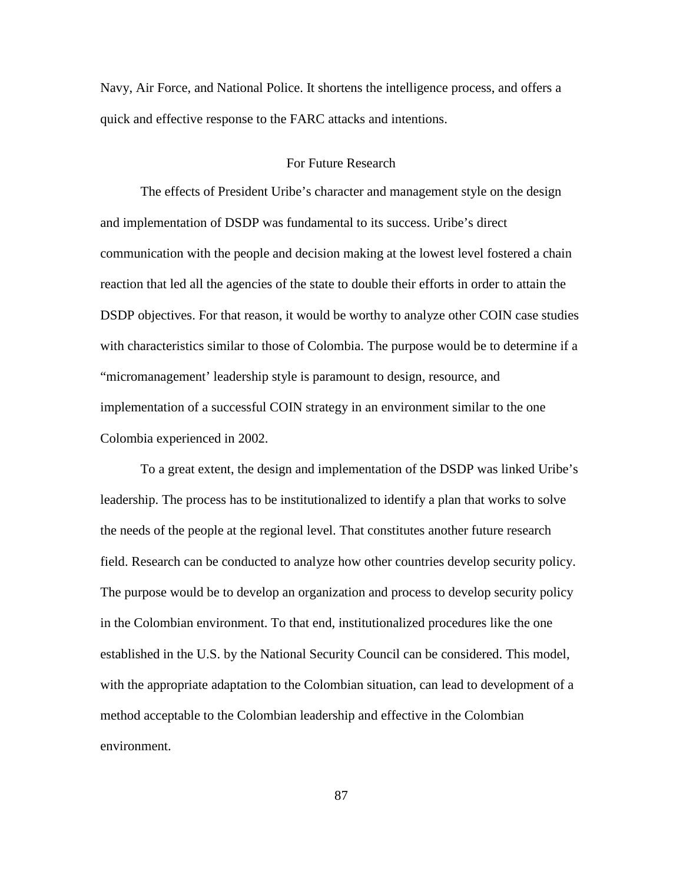Navy, Air Force, and National Police. It shortens the intelligence process, and offers a quick and effective response to the FARC attacks and intentions.

#### For Future Research

The effects of President Uribe's character and management style on the design and implementation of DSDP was fundamental to its success. Uribe's direct communication with the people and decision making at the lowest level fostered a chain reaction that led all the agencies of the state to double their efforts in order to attain the DSDP objectives. For that reason, it would be worthy to analyze other COIN case studies with characteristics similar to those of Colombia. The purpose would be to determine if a "micromanagement' leadership style is paramount to design, resource, and implementation of a successful COIN strategy in an environment similar to the one Colombia experienced in 2002.

To a great extent, the design and implementation of the DSDP was linked Uribe's leadership. The process has to be institutionalized to identify a plan that works to solve the needs of the people at the regional level. That constitutes another future research field. Research can be conducted to analyze how other countries develop security policy. The purpose would be to develop an organization and process to develop security policy in the Colombian environment. To that end, institutionalized procedures like the one established in the U.S. by the National Security Council can be considered. This model, with the appropriate adaptation to the Colombian situation, can lead to development of a method acceptable to the Colombian leadership and effective in the Colombian environment.

87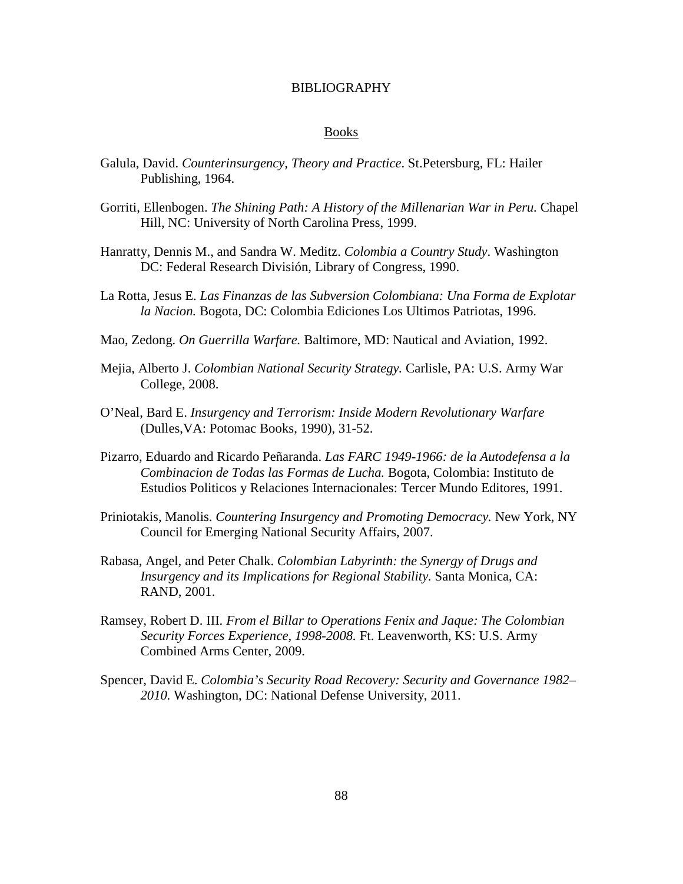#### BIBLIOGRAPHY

#### Books

- Galula, David. *Counterinsurgency, Theory and Practice*. St.Petersburg, FL: Hailer Publishing, 1964.
- Gorriti, Ellenbogen. *The Shining Path: A History of the Millenarian War in Peru.* Chapel Hill, NC: University of North Carolina Press, 1999.
- Hanratty, Dennis M., and Sandra W. Meditz. *Colombia a Country Study*. Washington DC: Federal Research División, Library of Congress, 1990.
- La Rotta, Jesus E. *Las Finanzas de las Subversion Colombiana: Una Forma de Explotar la Nacion.* Bogota, DC: Colombia Ediciones Los Ultimos Patriotas, 1996.
- Mao, Zedong. *On Guerrilla Warfare.* Baltimore, MD: Nautical and Aviation, 1992.
- Mejia, Alberto J. *Colombian National Security Strategy.* Carlisle, PA: U.S. Army War College, 2008.
- O'Neal, Bard E. *Insurgency and Terrorism: Inside Modern Revolutionary Warfare* (Dulles,VA: Potomac Books, 1990), 31-52.
- Pizarro, Eduardo and Ricardo Peñaranda. *Las FARC 1949-1966: de la Autodefensa a la Combinacion de Todas las Formas de Lucha.* Bogota, Colombia: Instituto de Estudios Politicos y Relaciones Internacionales: Tercer Mundo Editores, 1991.
- Priniotakis, Manolis. *Countering Insurgency and Promoting Democracy.* New York, NY Council for Emerging National Security Affairs, 2007.
- Rabasa, Angel, and Peter Chalk. *Colombian Labyrinth: the Synergy of Drugs and Insurgency and its Implications for Regional Stability.* Santa Monica, CA: RAND, 2001.
- Ramsey, Robert D. III. *From el Billar to Operations Fenix and Jaque: The Colombian Security Forces Experience, 1998-2008.* Ft. Leavenworth, KS: U.S. Army Combined Arms Center, 2009.
- Spencer, David E. *Colombia's Security Road Recovery: Security and Governance 1982– 2010.* Washington, DC: National Defense University, 2011.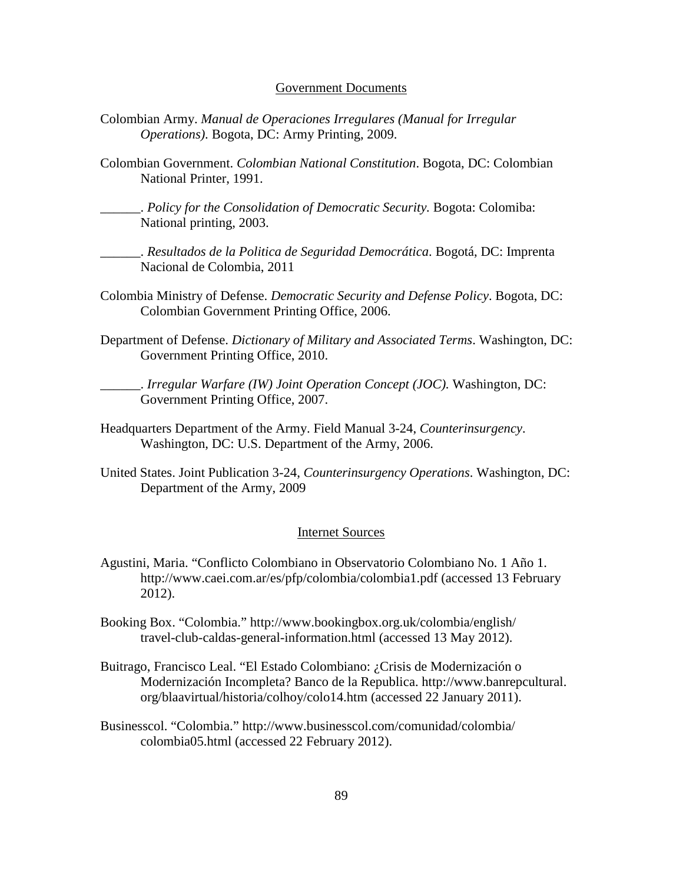#### Government Documents

- Colombian Army. *Manual de Operaciones Irregulares (Manual for Irregular Operations)*. Bogota, DC: Army Printing, 2009.
- Colombian Government. *Colombian National Constitution*. Bogota, DC: Colombian National Printer, 1991.

\_\_\_\_\_\_. *Policy for the Consolidation of Democratic Security.* Bogota: Colomiba: National printing, 2003.

\_\_\_\_\_\_. *Resultados de la Politica de Seguridad Democrática*. Bogotá, DC: Imprenta Nacional de Colombia, 2011

- Colombia Ministry of Defense. *Democratic Security and Defense Policy*. Bogota, DC: Colombian Government Printing Office, 2006.
- Department of Defense. *Dictionary of Military and Associated Terms*. Washington, DC: Government Printing Office, 2010.

\_\_\_\_\_\_. *Irregular Warfare (IW) Joint Operation Concept (JOC).* Washington, DC: Government Printing Office, 2007.

- Headquarters Department of the Army. Field Manual 3-24, *Counterinsurgency*. Washington, DC: U.S. Department of the Army, 2006.
- United States. Joint Publication 3-24, *Counterinsurgency Operations*. Washington, DC: Department of the Army, 2009

#### Internet Sources

- Agustini, Maria. "Conflicto Colombiano in Observatorio Colombiano No. 1 Año 1. http://www.caei.com.ar/es/pfp/colombia/colombia1.pdf (accessed 13 February 2012).
- Booking Box. "Colombia." http://www.bookingbox.org.uk/colombia/english/ travel-club-caldas-general-information.html (accessed 13 May 2012).
- Buitrago, Francisco Leal. "El Estado Colombiano: ¿Crisis de Modernización o Modernización Incompleta? Banco de la Republica. http://www.banrepcultural. org/blaavirtual/historia/colhoy/colo14.htm (accessed 22 January 2011).
- Businesscol. "Colombia." http://www.businesscol.com/comunidad/colombia/ colombia05.html (accessed 22 February 2012).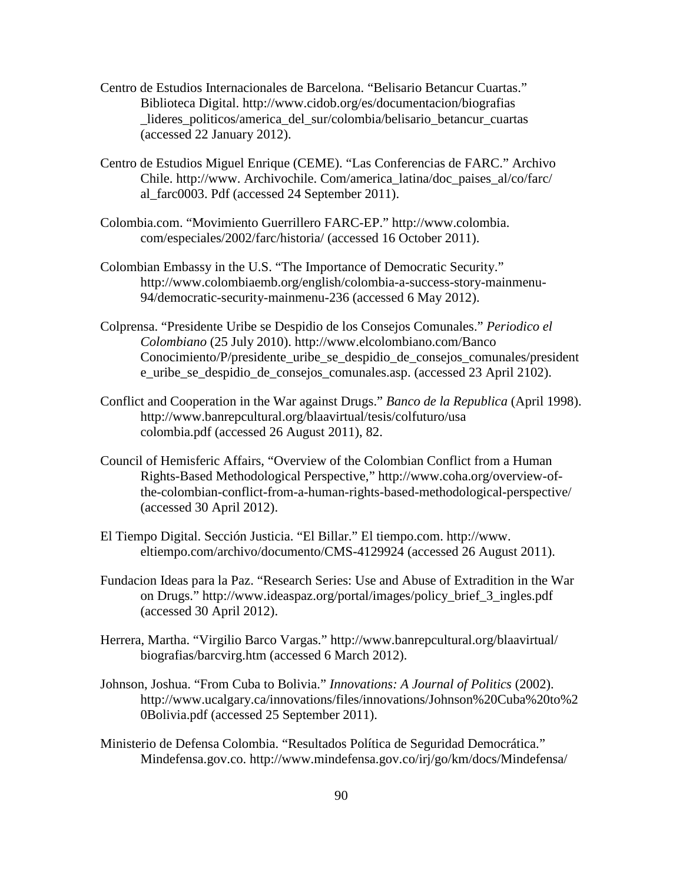- Centro de Estudios Internacionales de Barcelona. "Belisario Betancur Cuartas." Biblioteca Digital. http://www.cidob.org/es/documentacion/biografias lideres politicos/america del sur/colombia/belisario betancur cuartas (accessed 22 January 2012).
- Centro de Estudios Miguel Enrique (CEME). "Las Conferencias de FARC." Archivo Chile. http://www. Archivochile. Com/america\_latina/doc\_paises\_al/co/farc/ al\_farc0003. Pdf (accessed 24 September 2011).
- Colombia.com. "Movimiento Guerrillero FARC-EP." http://www.colombia. com/especiales/2002/farc/historia/ (accessed 16 October 2011).
- Colombian Embassy in the U.S. "The Importance of Democratic Security." [http://www.colombiaemb.org/english/colombia-a-success-story-mainmenu-](http://www.colombiaemb.org/english/colombia-a-success-story-mainmenu-94/democratic-security-mainmenu-236)[94/democratic-security-mainmenu-236](http://www.colombiaemb.org/english/colombia-a-success-story-mainmenu-94/democratic-security-mainmenu-236) (accessed 6 May 2012).
- Colprensa. "Presidente Uribe se Despidio de los Consejos Comunales." *Periodico el Colombiano* (25 July 2010).<http://www.elcolombiano.com/Banco> Conocimiento/P/presidente uribe se despidio de consejos comunales/president e\_uribe\_se\_despidio\_de\_consejos\_comunales.asp. (accessed 23 April 2102).
- Conflict and Cooperation in the War against Drugs." *Banco de la Republica* (April 1998). http://www.banrepcultural.org/blaavirtual/tesis/colfuturo/usa colombia.pdf (accessed 26 August 2011), 82.
- Council of Hemisferic Affairs, "Overview of the Colombian Conflict from a Human Rights-Based Methodological Perspective," http://www.coha.org/overview-ofthe-colombian-conflict-from-a-human-rights-based-methodological-perspective/ (accessed 30 April 2012).
- El Tiempo Digital. Sección Justicia. "El Billar." El tiempo.com. http://www. eltiempo.com/archivo/documento/CMS-4129924 (accessed 26 August 2011).
- Fundacion Ideas para la Paz. "Research Series: Use and Abuse of Extradition in the War on Drugs." [http://www.ideaspaz.org/portal/images/policy\\_brief\\_3\\_ingles.pdf](http://www.ideaspaz.org/portal/images/policy_brief_3_ingles.pdf) (accessed 30 April 2012).
- Herrera, Martha. "Virgilio Barco Vargas." http://www.banrepcultural.org/blaavirtual/ biografias/barcvirg.htm (accessed 6 March 2012).
- Johnson, Joshua. "From Cuba to Bolivia." *Innovations: A Journal of Politics* (2002). http://www.ucalgary.ca/innovations/files/innovations/Johnson%20Cuba%20to%2 0Bolivia.pdf (accessed 25 September 2011).
- Ministerio de Defensa Colombia. "Resultados Política de Seguridad Democrática." Mindefensa.gov.co. http://www.mindefensa.gov.co/irj/go/km/docs/Mindefensa/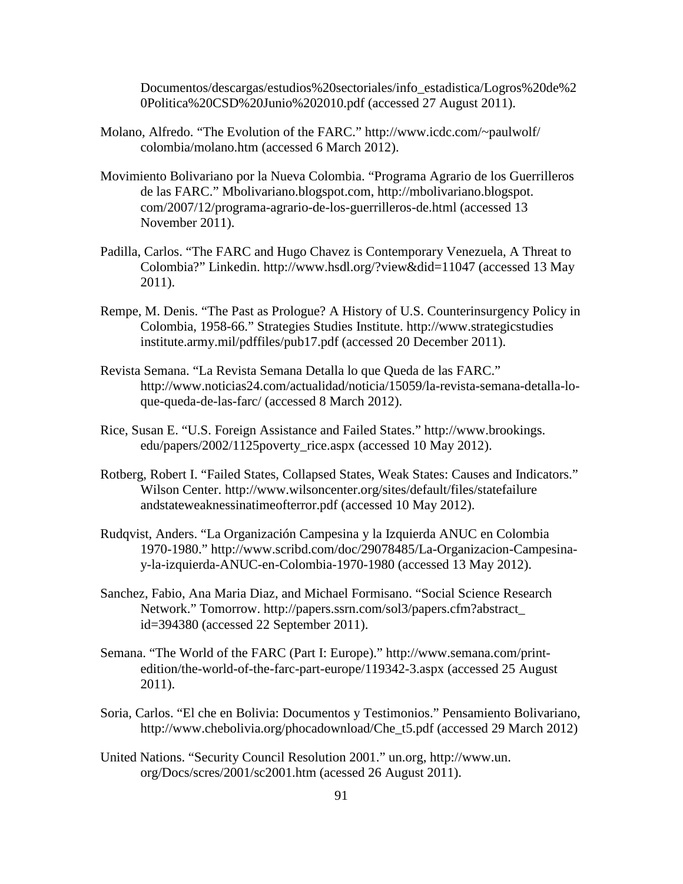Documentos/descargas/estudios%20sectoriales/info\_estadistica/Logros%20de%2 0Politica%20CSD%20Junio%202010.pdf (accessed 27 August 2011).

- Molano, Alfredo. "The Evolution of the FARC." http://www.icdc.com/~paulwolf/ colombia/molano.htm (accessed 6 March 2012).
- Movimiento Bolivariano por la Nueva Colombia. "Programa Agrario de los Guerrilleros de las FARC." Mbolivariano.blogspot.com, http://mbolivariano.blogspot. com/2007/12/programa-agrario-de-los-guerrilleros-de.html (accessed 13 November 2011).
- Padilla, Carlos. "The FARC and Hugo Chavez is Contemporary Venezuela, A Threat to Colombia?" Linkedin. http://www.hsdl.org/?view&did=11047 (accessed 13 May 2011).
- Rempe, M. Denis. "The Past as Prologue? A History of U.S. Counterinsurgency Policy in Colombia, 1958-66." Strategies Studies Institute. http://www.strategicstudies institute.army.mil/pdffiles/pub17.pdf (accessed 20 December 2011).
- Revista Semana. "La Revista Semana Detalla lo que Queda de las FARC." http://www.noticias24.com/actualidad/noticia/15059/la-revista-semana-detalla-loque-queda-de-las-farc/ (accessed 8 March 2012).
- Rice, Susan E. "U.S. Foreign Assistance and Failed States." http://www.brookings. edu/papers/2002/1125poverty\_rice.aspx (accessed 10 May 2012).
- Rotberg, Robert I. "Failed States, Collapsed States, Weak States: Causes and Indicators." Wilson Center. http://www.wilsoncenter.org/sites/default/files/statefailure andstateweaknessinatimeofterror.pdf (accessed 10 May 2012).
- Rudqvist, Anders. "La Organización Campesina y la Izquierda ANUC en Colombia 1970-1980." http://www.scribd.com/doc/29078485/La-Organizacion-Campesinay-la-izquierda-ANUC-en-Colombia-1970-1980 (accessed 13 May 2012).
- Sanchez, Fabio, Ana Maria Diaz, and Michael Formisano. "Social Science Research Network." Tomorrow. http://papers.ssrn.com/sol3/papers.cfm?abstract\_ id=394380 (accessed 22 September 2011).
- Semana. "The World of the FARC (Part I: Europe)." http://www.semana.com/printedition/the-world-of-the-farc-part-europe/119342-3.aspx (accessed 25 August 2011).
- Soria, Carlos. "El che en Bolivia: Documentos y Testimonios." Pensamiento Bolivariano, http://www.chebolivia.org/phocadownload/Che\_t5.pdf (accessed 29 March 2012)
- United Nations. "Security Council Resolution 2001." un.org, http://www.un. org/Docs/scres/2001/sc2001.htm (acessed 26 August 2011).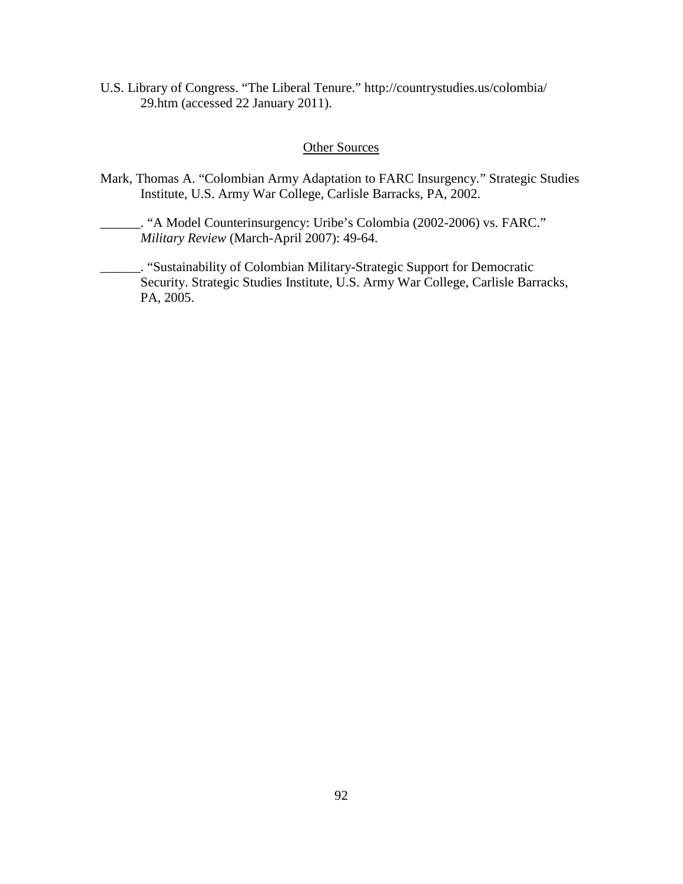U.S. Library of Congress. "The Liberal Tenure." http://countrystudies.us/colombia/ 29.htm (accessed 22 January 2011).

## Other Sources

- Mark, Thomas A. "Colombian Army Adaptation to FARC Insurgency*.*" Strategic Studies Institute, U.S. Army War College, Carlisle Barracks, PA, 2002.
	- \_\_\_\_\_\_. "A Model Counterinsurgency: Uribe's Colombia (2002-2006) vs. FARC." *Military Review* (March-April 2007): 49-64.
- \_\_\_\_\_\_. "Sustainability of Colombian Military-Strategic Support for Democratic Security. Strategic Studies Institute, U.S. Army War College, Carlisle Barracks, PA, 2005.